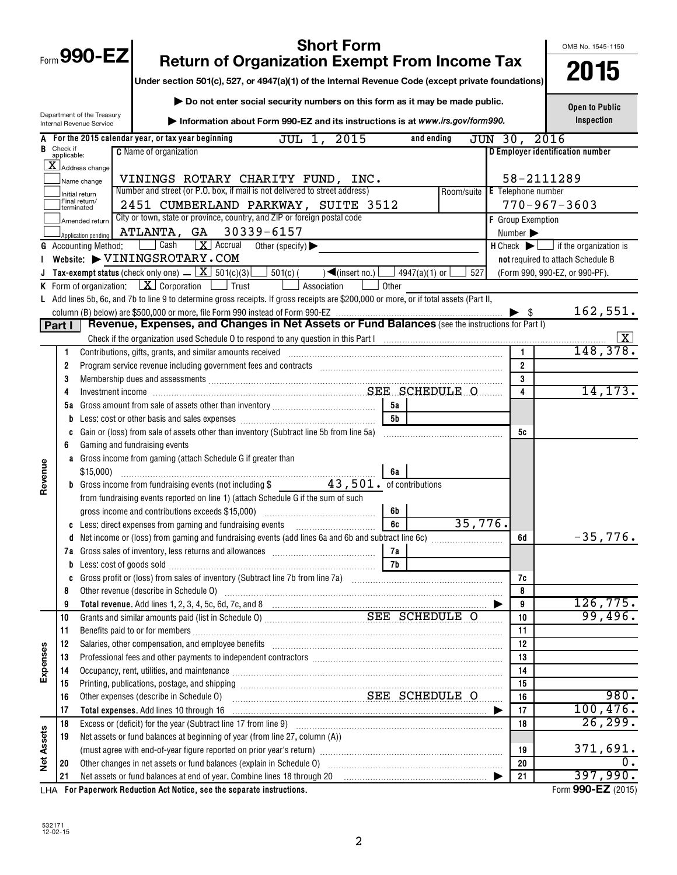| <b>Short Form</b><br>Form 990-EZ<br><b>Return of Organization Exempt From Income Tax</b>       |                                                                                                                                                 |                                                        |                                                                                                                                                                                                                                |                                       |             |  |                                         |                |                 |     | OMB No. 1545-1150 |                              |                                                                     |
|------------------------------------------------------------------------------------------------|-------------------------------------------------------------------------------------------------------------------------------------------------|--------------------------------------------------------|--------------------------------------------------------------------------------------------------------------------------------------------------------------------------------------------------------------------------------|---------------------------------------|-------------|--|-----------------------------------------|----------------|-----------------|-----|-------------------|------------------------------|---------------------------------------------------------------------|
|                                                                                                |                                                                                                                                                 |                                                        |                                                                                                                                                                                                                                |                                       |             |  |                                         |                |                 |     |                   |                              | 2015                                                                |
|                                                                                                |                                                                                                                                                 |                                                        | Under section 501(c), 527, or 4947(a)(1) of the Internal Revenue Code (except private foundations)                                                                                                                             |                                       |             |  |                                         |                |                 |     |                   |                              |                                                                     |
|                                                                                                |                                                                                                                                                 |                                                        | Do not enter social security numbers on this form as it may be made public.                                                                                                                                                    |                                       |             |  |                                         |                |                 |     |                   |                              | <b>Open to Public</b>                                               |
|                                                                                                |                                                                                                                                                 | Department of the Treasury<br>Internal Revenue Service | Information about Form 990-EZ and its instructions is at www.irs.gov/form990.                                                                                                                                                  |                                       |             |  |                                         |                |                 |     |                   |                              | Inspection                                                          |
| For the 2015 calendar year, or tax year beginning<br>JUL 1, 2015<br>JUN 30, 2016<br>and ending |                                                                                                                                                 |                                                        |                                                                                                                                                                                                                                |                                       |             |  |                                         |                |                 |     |                   |                              |                                                                     |
| B                                                                                              | Check if<br>applicable:                                                                                                                         |                                                        | <b>C</b> Name of organization                                                                                                                                                                                                  |                                       |             |  |                                         |                |                 |     |                   |                              | D Employer identification number                                    |
|                                                                                                |                                                                                                                                                 | $\overline{\mathbf{X}}$ Address change                 |                                                                                                                                                                                                                                |                                       |             |  |                                         |                |                 |     |                   |                              |                                                                     |
|                                                                                                |                                                                                                                                                 | Name change                                            | VININGS ROTARY CHARITY FUND, INC.                                                                                                                                                                                              |                                       |             |  |                                         |                |                 |     |                   |                              | 58-2111289                                                          |
|                                                                                                | Number and street (or P.O. box, if mail is not delivered to street address)<br>Room/suite E Telephone number<br>Initial return<br>Final return/ |                                                        |                                                                                                                                                                                                                                |                                       |             |  |                                         |                |                 |     |                   |                              |                                                                     |
|                                                                                                |                                                                                                                                                 | Iterminated                                            | 2451 CUMBERLAND PARKWAY, SUITE 3512                                                                                                                                                                                            |                                       |             |  |                                         |                |                 |     |                   |                              | $770 - 967 - 3603$                                                  |
|                                                                                                |                                                                                                                                                 | Amended return                                         | City or town, state or province, country, and ZIP or foreign postal code                                                                                                                                                       |                                       |             |  |                                         |                |                 |     |                   | F Group Exemption            |                                                                     |
|                                                                                                |                                                                                                                                                 | Application pending                                    | ATLANTA, GA 30339-6157                                                                                                                                                                                                         |                                       |             |  |                                         |                |                 |     |                   | Number $\blacktriangleright$ |                                                                     |
|                                                                                                |                                                                                                                                                 | <b>G</b> Accounting Method:                            | Cash<br>$\boxed{\mathbf{X}}$ Accrual<br>Website: VININGSROTARY.COM                                                                                                                                                             | Other (specify) $\blacktriangleright$ |             |  |                                         |                |                 |     |                   |                              | $H$ Check $\blacktriangleright$ $\Box$ if the organization is       |
|                                                                                                |                                                                                                                                                 |                                                        | <b>J</b> Tax-exempt status (check only one) $\overline{K}$ 501(c)(3)                                                                                                                                                           | $501(c)$ (                            |             |  | $\sqrt{\frac{2}{\text{ (insert no.)}}}$ |                | $4947(a)(1)$ or | 527 |                   |                              | not required to attach Schedule B<br>(Form 990, 990-EZ, or 990-PF). |
|                                                                                                |                                                                                                                                                 |                                                        | <b>K</b> Form of organization: $X \cdot \text{Corporation}$ $\Box$ Trust                                                                                                                                                       |                                       | Association |  |                                         | Other          |                 |     |                   |                              |                                                                     |
|                                                                                                |                                                                                                                                                 |                                                        | L Add lines 5b, 6c, and 7b to line 9 to determine gross receipts. If gross receipts are \$200,000 or more, or if total assets (Part II,                                                                                        |                                       |             |  |                                         |                |                 |     |                   |                              |                                                                     |
|                                                                                                |                                                                                                                                                 |                                                        |                                                                                                                                                                                                                                |                                       |             |  |                                         |                |                 |     |                   |                              | 162,551.                                                            |
|                                                                                                | Part I                                                                                                                                          |                                                        | Revenue, Expenses, and Changes in Net Assets or Fund Balances (see the instructions for Part I)                                                                                                                                |                                       |             |  |                                         |                |                 |     |                   |                              |                                                                     |
|                                                                                                |                                                                                                                                                 |                                                        | Check if the organization used Schedule O to respond to any question in this Part Informational manufacture or manufacture or manufacture or manufacture or manufacture or manufacture or manufacture or manufacture or manufa |                                       |             |  |                                         |                |                 |     |                   |                              |                                                                     |
|                                                                                                | 1                                                                                                                                               |                                                        | Contributions, gifts, grants, and similar amounts received                                                                                                                                                                     |                                       |             |  |                                         |                |                 |     |                   | 1                            | 148,378.                                                            |
|                                                                                                | 2                                                                                                                                               |                                                        | Program service revenue including government fees and contracts [11] matter contracts [11] program service revenue including government fees and contracts [11] matter contracts and a program service revenue of the service  |                                       |             |  |                                         |                |                 |     |                   | $\overline{2}$               |                                                                     |
|                                                                                                | 3                                                                                                                                               |                                                        | Membership dues and assessments [111] Membership and assessments [11] Membership and assessments [11] Membership and assessments [11] Membership and assessments [11] Membership and assessments [11] Membership and assessmen |                                       |             |  |                                         |                |                 |     |                   | 3                            |                                                                     |
|                                                                                                | 4                                                                                                                                               |                                                        |                                                                                                                                                                                                                                |                                       |             |  |                                         |                |                 |     |                   | 4                            | 14, 173.                                                            |
|                                                                                                | 5a                                                                                                                                              |                                                        |                                                                                                                                                                                                                                |                                       |             |  |                                         | 5а             |                 |     |                   |                              |                                                                     |
|                                                                                                | b                                                                                                                                               |                                                        |                                                                                                                                                                                                                                |                                       |             |  |                                         | 5 <sub>b</sub> |                 |     |                   |                              |                                                                     |
|                                                                                                | c                                                                                                                                               |                                                        | Gain or (loss) from sale of assets other than inventory (Subtract line 5b from line 5a)                                                                                                                                        |                                       |             |  |                                         |                |                 |     |                   | 5c                           |                                                                     |
|                                                                                                | 6                                                                                                                                               |                                                        | Gaming and fundraising events                                                                                                                                                                                                  |                                       |             |  |                                         |                |                 |     |                   |                              |                                                                     |
| Revenue                                                                                        |                                                                                                                                                 |                                                        | a Gross income from gaming (attach Schedule G if greater than                                                                                                                                                                  |                                       |             |  |                                         | 6a             |                 |     |                   |                              |                                                                     |
|                                                                                                |                                                                                                                                                 |                                                        | <b>b</b> Gross income from fundraising events (not including \$ 43,501. of contributions                                                                                                                                       |                                       |             |  |                                         |                |                 |     |                   |                              |                                                                     |
|                                                                                                |                                                                                                                                                 |                                                        | from fundraising events reported on line 1) (attach Schedule G if the sum of such                                                                                                                                              |                                       |             |  |                                         |                |                 |     |                   |                              |                                                                     |
|                                                                                                |                                                                                                                                                 |                                                        | gross income and contributions exceeds \$15,000)                                                                                                                                                                               |                                       |             |  |                                         | 6b             |                 |     |                   |                              |                                                                     |
|                                                                                                |                                                                                                                                                 |                                                        | c Less: direct expenses from gaming and fundraising events                                                                                                                                                                     |                                       |             |  |                                         | 6c             |                 |     | 35,776.           |                              |                                                                     |
|                                                                                                | d                                                                                                                                               |                                                        |                                                                                                                                                                                                                                |                                       |             |  |                                         |                |                 |     |                   | 6d                           | $-35,776.$                                                          |
|                                                                                                | 7а                                                                                                                                              |                                                        |                                                                                                                                                                                                                                |                                       |             |  |                                         | 7a             |                 |     |                   |                              |                                                                     |
|                                                                                                | b                                                                                                                                               | Less: cost of goods sold                               |                                                                                                                                                                                                                                |                                       |             |  |                                         | 7b             |                 |     |                   |                              |                                                                     |
|                                                                                                | C                                                                                                                                               |                                                        |                                                                                                                                                                                                                                |                                       |             |  |                                         |                |                 |     |                   | 7c                           |                                                                     |
|                                                                                                | 8                                                                                                                                               |                                                        | Other revenue (describe in Schedule O)                                                                                                                                                                                         |                                       |             |  |                                         |                |                 |     |                   | 8                            | 126, 775.                                                           |
|                                                                                                | 9<br>10                                                                                                                                         |                                                        |                                                                                                                                                                                                                                |                                       |             |  |                                         |                |                 |     |                   | 9<br>10                      | 99,496.                                                             |
|                                                                                                | 11                                                                                                                                              |                                                        |                                                                                                                                                                                                                                |                                       |             |  |                                         |                |                 |     |                   | 11                           |                                                                     |
|                                                                                                | 12                                                                                                                                              |                                                        | Salaries, other compensation, and employee benefits [11] matter content to the compensation, and employee benefits [11] matter communities, other compensation, and employee benefits [11] matter communities, $\alpha$        |                                       |             |  |                                         |                |                 |     |                   | 12                           |                                                                     |
| Expenses                                                                                       | 13                                                                                                                                              |                                                        | Professional fees and other payments to independent contractors [11] matter contractors [11] matter contractors [11] matter contractors [11] matter contractors [11] matter contractors [11] matter contractors and the contra |                                       |             |  |                                         |                |                 |     |                   | 13                           |                                                                     |
|                                                                                                | 14                                                                                                                                              |                                                        | Occupancy, rent, utilities, and maintenance manufactured and an arrangement of the manufactured and maintenance                                                                                                                |                                       |             |  |                                         |                |                 |     |                   | 14                           |                                                                     |
|                                                                                                | 15                                                                                                                                              |                                                        |                                                                                                                                                                                                                                |                                       |             |  |                                         |                |                 |     |                   | 15                           |                                                                     |
|                                                                                                | 16                                                                                                                                              |                                                        | Other expenses (describe in Schedule O)                                                                                                                                                                                        | SEE SCHEDULE O                        |             |  |                                         |                |                 |     |                   | 16                           | 980.                                                                |
|                                                                                                | 17                                                                                                                                              |                                                        |                                                                                                                                                                                                                                |                                       |             |  |                                         |                |                 |     | ▶                 | 17                           | 100, 476.                                                           |
|                                                                                                | 18                                                                                                                                              |                                                        |                                                                                                                                                                                                                                |                                       |             |  |                                         |                |                 |     |                   | 18                           | 26, 299.                                                            |
| <b>Net Assets</b>                                                                              | 19                                                                                                                                              |                                                        | Net assets or fund balances at beginning of year (from line 27, column (A))                                                                                                                                                    |                                       |             |  |                                         |                |                 |     |                   |                              |                                                                     |
|                                                                                                |                                                                                                                                                 |                                                        |                                                                                                                                                                                                                                |                                       |             |  |                                         |                |                 |     |                   | 19                           | 371,691.                                                            |
|                                                                                                | 20                                                                                                                                              |                                                        |                                                                                                                                                                                                                                |                                       |             |  |                                         |                |                 |     |                   | 20                           | 0.                                                                  |
|                                                                                                | 21                                                                                                                                              |                                                        | Net assets or fund balances at end of year. Combine lines 18 through 20                                                                                                                                                        |                                       |             |  |                                         |                |                 |     |                   | 21                           | 397,990.                                                            |

**For Paperwork Reduction Act Notice, see the separate instructions.** LHA Form (2015)

532171 12-02-15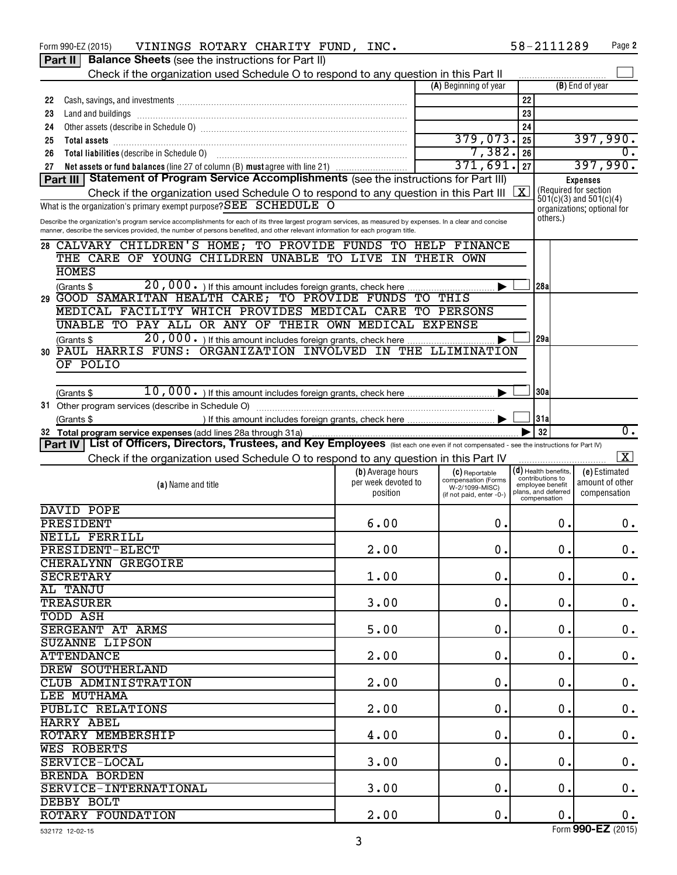|    | VININGS ROTARY CHARITY FUND, INC.<br>Form 990-EZ (2015)                                                                                                     |                     |                                       |                             | 58-2111289                                 | Page 2                      |
|----|-------------------------------------------------------------------------------------------------------------------------------------------------------------|---------------------|---------------------------------------|-----------------------------|--------------------------------------------|-----------------------------|
|    | <b>Balance Sheets</b> (see the instructions for Part II)<br>Part II                                                                                         |                     |                                       |                             |                                            |                             |
|    | Check if the organization used Schedule O to respond to any question in this Part II                                                                        |                     |                                       |                             |                                            |                             |
|    |                                                                                                                                                             |                     | (A) Beginning of year                 |                             |                                            | (B) End of year             |
| 22 |                                                                                                                                                             |                     |                                       | 22                          |                                            |                             |
| 23 | Land and buildings                                                                                                                                          |                     |                                       | 23                          |                                            |                             |
|    |                                                                                                                                                             |                     |                                       | 24                          |                                            |                             |
| 24 |                                                                                                                                                             |                     | 379,073.                              |                             |                                            |                             |
| 25 |                                                                                                                                                             |                     |                                       | 25                          |                                            | 397,990.                    |
| 26 |                                                                                                                                                             |                     | 7,382.                                | 26                          |                                            | 0.                          |
| 27 | Net assets or fund balances (line 27 of column (B) must agree with line 21)                                                                                 |                     | 371,691.                              | 27                          |                                            | 397,990.                    |
|    | Part III Statement of Program Service Accomplishments (see the instructions for Part III)                                                                   |                     |                                       |                             |                                            | Expenses                    |
|    | Check if the organization used Schedule O to respond to any question in this Part III                                                                       |                     |                                       | X                           | (Required for section                      | $501(c)(3)$ and $501(c)(4)$ |
|    | What is the organization's primary exempt purpose? $SEE$ $SCHEDULE$ $O$                                                                                     |                     |                                       | organizations; optional for |                                            |                             |
|    | Describe the organization's program service accomplishments for each of its three largest program services, as measured by expenses. In a clear and concise |                     |                                       |                             | others.)                                   |                             |
|    | manner, describe the services provided, the number of persons benefited, and other relevant information for each program title.                             |                     |                                       |                             |                                            |                             |
|    | 28 CALVARY CHILDREN'S HOME; TO PROVIDE FUNDS TO HELP FINANCE                                                                                                |                     |                                       |                             |                                            |                             |
|    | THE CARE OF YOUNG CHILDREN UNABLE TO LIVE IN THEIR OWN                                                                                                      |                     |                                       |                             |                                            |                             |
|    | <b>HOMES</b>                                                                                                                                                |                     |                                       |                             |                                            |                             |
|    | (Grants \$                                                                                                                                                  |                     |                                       |                             | 28a                                        |                             |
|    | 29 GOOD SAMARITAN HEALTH CARE; TO PROVIDE FUNDS TO THIS                                                                                                     |                     |                                       |                             |                                            |                             |
|    | MEDICAL FACILITY WHICH PROVIDES MEDICAL CARE TO PERSONS                                                                                                     |                     |                                       |                             |                                            |                             |
|    | UNABLE TO PAY ALL OR ANY OF THEIR OWN MEDICAL EXPENSE                                                                                                       |                     |                                       |                             |                                            |                             |
|    | 20,000. If this amount includes foreign grants, check here<br>(Grants \$                                                                                    |                     |                                       |                             | 29a                                        |                             |
|    | 30 PAUL HARRIS FUNS: ORGANIZATION INVOLVED IN THE LLIMINATION                                                                                               |                     |                                       |                             |                                            |                             |
|    | OF POLIO                                                                                                                                                    |                     |                                       |                             |                                            |                             |
|    |                                                                                                                                                             |                     |                                       |                             |                                            |                             |
|    |                                                                                                                                                             |                     |                                       |                             |                                            |                             |
|    | (Grants \$                                                                                                                                                  |                     |                                       |                             | 30a                                        |                             |
|    |                                                                                                                                                             |                     |                                       |                             |                                            |                             |
|    | (Grants \$                                                                                                                                                  |                     |                                       |                             | 31a                                        |                             |
|    | 32 Total program service expenses (add lines 28a through 31a)                                                                                               |                     |                                       |                             | 32                                         | $\overline{0}$ .            |
|    | Part IV   List of Officers, Directors, Trustees, and Key Employees (list each one even if not compensated - see the instructions for Part IV)               |                     |                                       |                             |                                            |                             |
|    | Check if the organization used Schedule O to respond to any question in this Part IV                                                                        |                     |                                       |                             |                                            | $\boxed{\textbf{X}}$        |
|    |                                                                                                                                                             | (b) Average hours   | (C) Reportable                        |                             | $(d)$ Health benefits,<br>contributions to | (e) Estimated               |
|    | (a) Name and title                                                                                                                                          | per week devoted to | compensation (Forms<br>W-2/1099-MISC) |                             | employee benefit<br>plans, and deferred    | amount of other             |
|    |                                                                                                                                                             | position            | (if not paid, enter -0-)              |                             | compensation                               | compensation                |
|    | DAVID POPE                                                                                                                                                  |                     |                                       |                             |                                            |                             |
|    | PRESIDENT                                                                                                                                                   | 6.00                | 0.                                    |                             | 0.                                         | 0.                          |
|    | <b>NEILL FERRILL</b>                                                                                                                                        |                     |                                       |                             |                                            |                             |
|    | PRESIDENT-ELECT                                                                                                                                             | 2.00                | $0$ .                                 |                             | 0.                                         | 0.                          |
|    | <b>CHERALYNN GREGOIRE</b>                                                                                                                                   |                     |                                       |                             |                                            |                             |
|    | <b>SECRETARY</b>                                                                                                                                            | 1.00                | 0.                                    |                             | 0.                                         | 0.                          |
|    | AL TANJU                                                                                                                                                    |                     |                                       |                             |                                            |                             |
|    | <b>TREASURER</b>                                                                                                                                            | 3.00                | $\mathbf 0$ .                         |                             | 0.                                         | 0.                          |
|    | <b>TODD ASH</b>                                                                                                                                             |                     |                                       |                             |                                            |                             |
|    | <b>SERGEANT AT ARMS</b>                                                                                                                                     | 5.00                | $\mathbf 0$ .                         |                             | 0.                                         | 0.                          |
|    | <b>SUZANNE LIPSON</b>                                                                                                                                       |                     |                                       |                             |                                            |                             |
|    | <b>ATTENDANCE</b>                                                                                                                                           |                     | 0.                                    |                             | 0.                                         |                             |
|    |                                                                                                                                                             | 2.00                |                                       |                             |                                            | $0$ .                       |
|    | DREW SOUTHERLAND                                                                                                                                            |                     |                                       |                             |                                            |                             |
|    | CLUB ADMINISTRATION                                                                                                                                         | 2.00                | $\mathbf 0$ .                         |                             | 0.                                         | 0.                          |
|    | LEE MUTHAMA                                                                                                                                                 |                     |                                       |                             |                                            |                             |
|    | <b>PUBLIC RELATIONS</b>                                                                                                                                     | 2.00                | 0.                                    |                             | 0.                                         | $\mathbf 0$ .               |
|    | <b>HARRY ABEL</b>                                                                                                                                           |                     |                                       |                             |                                            |                             |
|    | ROTARY MEMBERSHIP                                                                                                                                           | 4.00                | $\mathbf 0$ .                         |                             | 0.                                         | 0.                          |
|    |                                                                                                                                                             |                     |                                       |                             |                                            |                             |
|    | <b>WES ROBERTS</b>                                                                                                                                          |                     |                                       |                             |                                            |                             |
|    | SERVICE-LOCAL                                                                                                                                               | 3.00                | $\mathbf 0$ .                         |                             | 0.                                         | 0.                          |
|    | BRENDA BORDEN                                                                                                                                               |                     |                                       |                             |                                            |                             |
|    | SERVICE-INTERNATIONAL                                                                                                                                       | 3.00                | $0$ .                                 |                             | 0.                                         |                             |
|    | DEBBY BOLT                                                                                                                                                  |                     |                                       |                             |                                            | 0.                          |

Form (2015) **990-EZ**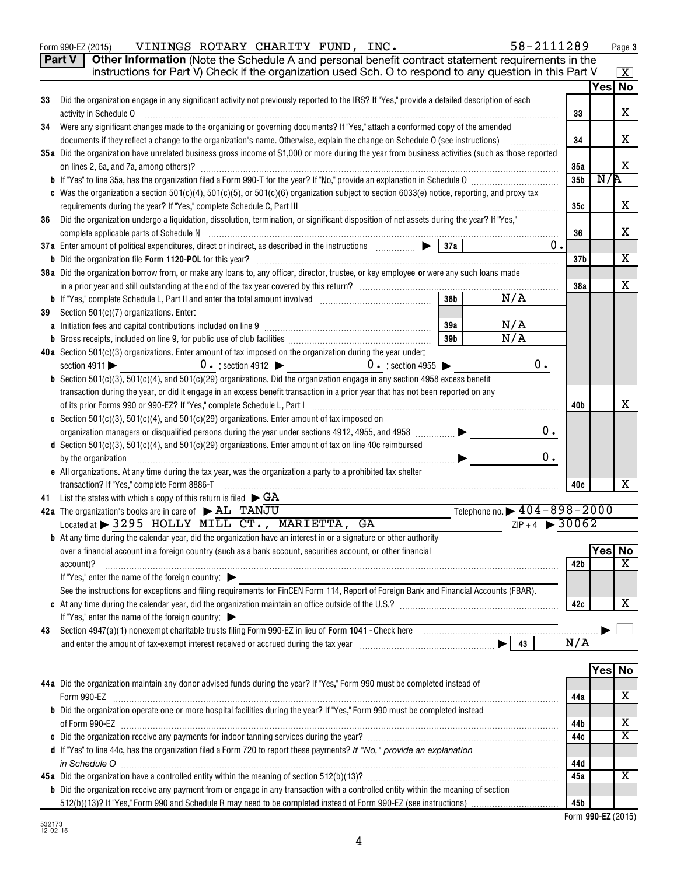|    | Other Information (Note the Schedule A and personal benefit contract statement requirements in the<br>Part V                                                                                                                               |                 |               |                         |
|----|--------------------------------------------------------------------------------------------------------------------------------------------------------------------------------------------------------------------------------------------|-----------------|---------------|-------------------------|
|    | instructions for Part V) Check if the organization used Sch. O to respond to any question in this Part V                                                                                                                                   |                 | Yes No        | $\mathbf{X}$            |
| 33 | Did the organization engage in any significant activity not previously reported to the IRS? If "Yes," provide a detailed description of each                                                                                               |                 |               |                         |
|    | activity in Schedule O                                                                                                                                                                                                                     | 33              |               | X                       |
| 34 | Were any significant changes made to the organizing or governing documents? If "Yes," attach a conformed copy of the amended                                                                                                               |                 |               |                         |
|    | documents if they reflect a change to the organization's name. Otherwise, explain the change on Schedule O (see instructions)<br>.                                                                                                         | 34              |               | х                       |
|    | 35a Did the organization have unrelated business gross income of \$1,000 or more during the year from business activities (such as those reported                                                                                          |                 |               |                         |
|    | on lines 2, 6a, and 7a, among others)?                                                                                                                                                                                                     | 35a             |               | X                       |
|    |                                                                                                                                                                                                                                            | 35 <sub>b</sub> | N/R           |                         |
|    | c Was the organization a section 501(c)(4), 501(c)(5), or 501(c)(6) organization subject to section 6033(e) notice, reporting, and proxy tax                                                                                               |                 |               |                         |
|    |                                                                                                                                                                                                                                            | 35c             |               | х                       |
| 36 | Did the organization undergo a liquidation, dissolution, termination, or significant disposition of net assets during the year? If "Yes,"                                                                                                  | 36              |               | х                       |
|    | 0.                                                                                                                                                                                                                                         |                 |               |                         |
|    |                                                                                                                                                                                                                                            | 37 <sub>b</sub> |               | х                       |
|    | 38a Did the organization borrow from, or make any loans to, any officer, director, trustee, or key employee or were any such loans made                                                                                                    |                 |               |                         |
|    |                                                                                                                                                                                                                                            | 38a             |               | х                       |
|    | N/A<br>38 <sub>b</sub>                                                                                                                                                                                                                     |                 |               |                         |
| 39 | Section 501(c)(7) organizations. Enter:                                                                                                                                                                                                    |                 |               |                         |
|    | N/A<br>39a                                                                                                                                                                                                                                 |                 |               |                         |
|    | $\overline{N/A}$<br>39b                                                                                                                                                                                                                    |                 |               |                         |
|    | 40a Section $501(c)(3)$ organizations. Enter amount of tax imposed on the organization during the year under:                                                                                                                              |                 |               |                         |
|    | $0$ .<br>$0 \cdot$ ; section 4912 $\triangleright$ 0 $\cdot$ ; section 4955 $\triangleright$<br>section $4911$                                                                                                                             |                 |               |                         |
|    | <b>b</b> Section $501(c)(3)$ , $501(c)(4)$ , and $501(c)(29)$ organizations. Did the organization engage in any section 4958 excess benefit                                                                                                |                 |               |                         |
|    | transaction during the year, or did it engage in an excess benefit transaction in a prior year that has not been reported on any                                                                                                           | 40b             |               | x                       |
|    | c Section 501(c)(3), 501(c)(4), and 501(c)(29) organizations. Enter amount of tax imposed on                                                                                                                                               |                 |               |                         |
|    | 0.<br>organization managers or disqualified persons during the year under sections 4912, 4955, and 4958 [                                                                                                                                  |                 |               |                         |
|    | d Section 501(c)(3), 501(c)(4), and 501(c)(29) organizations. Enter amount of tax on line 40c reimbursed                                                                                                                                   |                 |               |                         |
|    | 0.<br>by the organization                                                                                                                                                                                                                  |                 |               |                         |
|    | e All organizations. At any time during the tax year, was the organization a party to a prohibited tax shelter                                                                                                                             |                 |               |                         |
|    | transaction? If "Yes," complete Form 8886-T                                                                                                                                                                                                | 40e             |               | x                       |
| 41 | List the states with which a copy of this return is filed $\blacktriangleright$ GA                                                                                                                                                         |                 |               |                         |
|    | Telephone no. $\triangleright$ 404-898-2000<br>42a The organization's books are in care of AL TANJU                                                                                                                                        |                 |               |                         |
|    | $ZIP + 4$ > 30062<br>Located at > 3295 HOLLY MILL CT., MARIETTA, GA                                                                                                                                                                        |                 |               |                         |
|    | <b>b</b> At any time during the calendar year, did the organization have an interest in or a signature or other authority<br>over a financial account in a foreign country (such as a bank account, securities account, or other financial |                 | <b>Yes No</b> |                         |
|    | account)?                                                                                                                                                                                                                                  | 42 b            |               | $\overline{\textbf{x}}$ |
|    | If "Yes," enter the name of the foreign country: $\blacktriangleright$                                                                                                                                                                     |                 |               |                         |
|    | See the instructions for exceptions and filing requirements for FinCEN Form 114, Report of Foreign Bank and Financial Accounts (FBAR).                                                                                                     |                 |               |                         |
|    |                                                                                                                                                                                                                                            | 42c             |               | х                       |
|    | If "Yes," enter the name of the foreign country:                                                                                                                                                                                           |                 |               |                         |
| 43 |                                                                                                                                                                                                                                            |                 |               |                         |
|    |                                                                                                                                                                                                                                            | N/A             |               |                         |
|    |                                                                                                                                                                                                                                            |                 |               |                         |
|    |                                                                                                                                                                                                                                            |                 | Yes No        |                         |
|    | 44a Did the organization maintain any donor advised funds during the year? If "Yes," Form 990 must be completed instead of                                                                                                                 |                 |               |                         |
|    | b Did the organization operate one or more hospital facilities during the year? If "Yes," Form 990 must be completed instead                                                                                                               | 44a             |               | х                       |
|    |                                                                                                                                                                                                                                            | 44b             |               | х                       |
|    |                                                                                                                                                                                                                                            | 44c             |               | $\overline{\textbf{X}}$ |
|    | d If "Yes" to line 44c, has the organization filed a Form 720 to report these payments? If "No," provide an explanation                                                                                                                    |                 |               |                         |
|    | in Schedule O                                                                                                                                                                                                                              | 44d             |               |                         |
|    |                                                                                                                                                                                                                                            | 45a             |               | $\overline{\mathbf{X}}$ |
|    | b Did the organization receive any payment from or engage in any transaction with a controlled entity within the meaning of section                                                                                                        |                 |               |                         |
|    |                                                                                                                                                                                                                                            | 45b             |               |                         |

Form 990-EZ (2015) Page VININGS ROTARY CHARITY FUND, INC. 58-2111289

| 45b l |                    |  |
|-------|--------------------|--|
|       | Form 990-EZ (2015) |  |

**Page 3**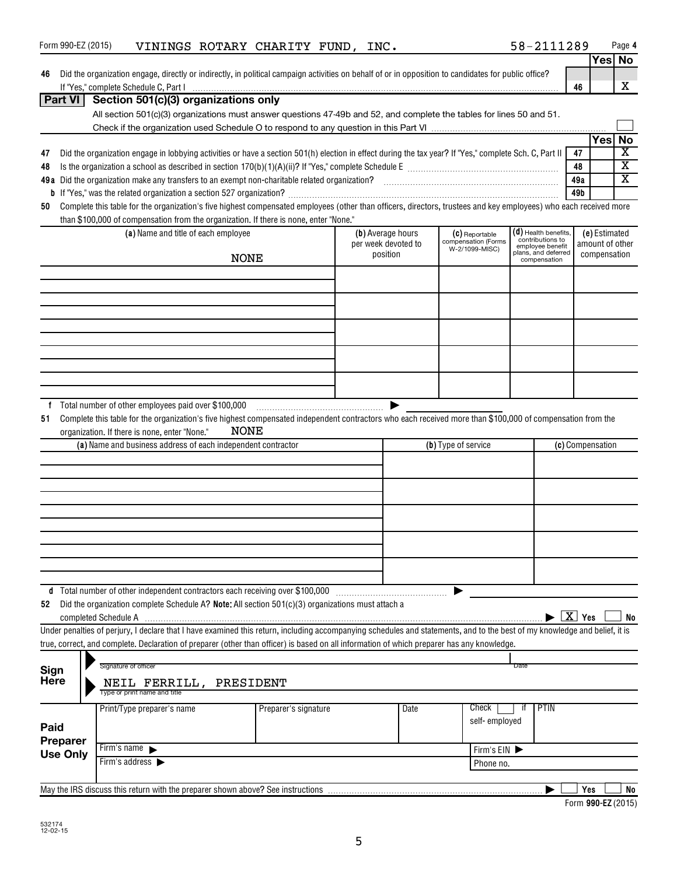|         | Form 990-EZ (2015) |                      |                                               | VININGS ROTARY CHARITY FUND, INC.                                                                                                                                                                                             |                      |  |                     |                     |                                       |      | 58-2111289                                   |              |                  | Page 4                               |
|---------|--------------------|----------------------|-----------------------------------------------|-------------------------------------------------------------------------------------------------------------------------------------------------------------------------------------------------------------------------------|----------------------|--|---------------------|---------------------|---------------------------------------|------|----------------------------------------------|--------------|------------------|--------------------------------------|
|         |                    |                      |                                               |                                                                                                                                                                                                                               |                      |  |                     |                     |                                       |      |                                              |              |                  | Yes No                               |
| 46      |                    |                      |                                               | Did the organization engage, directly or indirectly, in political campaign activities on behalf of or in opposition to candidates for public office?                                                                          |                      |  |                     |                     |                                       |      |                                              |              |                  |                                      |
|         |                    |                      |                                               | If "Yes," complete Schedule C, Part I with an accommodate to the content of the C and the C and the C and the C and the C and the C and the C and the C and the C and the C and the C and the C and the C and the C and the C |                      |  |                     |                     |                                       |      |                                              | 46           |                  | X                                    |
|         | Part VI            |                      |                                               | Section 501(c)(3) organizations only                                                                                                                                                                                          |                      |  |                     |                     |                                       |      |                                              |              |                  |                                      |
|         |                    |                      |                                               | All section 501(c)(3) organizations must answer questions 47-49b and 52, and complete the tables for lines 50 and 51.                                                                                                         |                      |  |                     |                     |                                       |      |                                              |              |                  |                                      |
|         |                    |                      |                                               |                                                                                                                                                                                                                               |                      |  |                     |                     |                                       |      |                                              |              |                  |                                      |
|         |                    |                      |                                               |                                                                                                                                                                                                                               |                      |  |                     |                     |                                       |      |                                              |              | Yes              | <b>No</b><br>$\overline{\mathbf{X}}$ |
| 47      |                    |                      |                                               | Did the organization engage in lobbying activities or have a section 501(h) election in effect during the tax year? If "Yes," complete Sch. C, Part II                                                                        |                      |  |                     |                     |                                       |      |                                              | 47           |                  | $\overline{\mathbf{X}}$              |
| 48      |                    |                      |                                               |                                                                                                                                                                                                                               |                      |  |                     |                     |                                       |      |                                              | 48<br>49a    |                  | $\overline{\text{X}}$                |
|         |                    |                      |                                               |                                                                                                                                                                                                                               |                      |  |                     |                     |                                       |      |                                              | 49b          |                  |                                      |
| 50      |                    |                      |                                               | Complete this table for the organization's five highest compensated employees (other than officers, directors, trustees and key employees) who each received more                                                             |                      |  |                     |                     |                                       |      |                                              |              |                  |                                      |
|         |                    |                      |                                               | than \$100,000 of compensation from the organization. If there is none, enter "None."                                                                                                                                         |                      |  |                     |                     |                                       |      |                                              |              |                  |                                      |
|         |                    |                      |                                               | (a) Name and title of each employee                                                                                                                                                                                           |                      |  | (b) Average hours   |                     | (C) Reportable                        |      | (d) Health benefits,                         |              | (e) Estimated    |                                      |
|         |                    |                      |                                               |                                                                                                                                                                                                                               |                      |  | per week devoted to |                     | compensation (Forms<br>W-2/1099-MISC) |      | contributions to<br>employee benefit         |              | amount of other  |                                      |
|         |                    |                      |                                               | <b>NONE</b>                                                                                                                                                                                                                   |                      |  | position            |                     |                                       |      | plans, and deferred<br>compensation          | compensation |                  |                                      |
|         |                    |                      |                                               |                                                                                                                                                                                                                               |                      |  |                     |                     |                                       |      |                                              |              |                  |                                      |
|         |                    |                      |                                               |                                                                                                                                                                                                                               |                      |  |                     |                     |                                       |      |                                              |              |                  |                                      |
|         |                    |                      |                                               |                                                                                                                                                                                                                               |                      |  |                     |                     |                                       |      |                                              |              |                  |                                      |
|         |                    |                      |                                               |                                                                                                                                                                                                                               |                      |  |                     |                     |                                       |      |                                              |              |                  |                                      |
|         |                    |                      |                                               |                                                                                                                                                                                                                               |                      |  |                     |                     |                                       |      |                                              |              |                  |                                      |
|         |                    |                      |                                               |                                                                                                                                                                                                                               |                      |  |                     |                     |                                       |      |                                              |              |                  |                                      |
|         |                    |                      |                                               |                                                                                                                                                                                                                               |                      |  |                     |                     |                                       |      |                                              |              |                  |                                      |
|         |                    |                      |                                               |                                                                                                                                                                                                                               |                      |  |                     |                     |                                       |      |                                              |              |                  |                                      |
|         |                    |                      |                                               |                                                                                                                                                                                                                               |                      |  |                     |                     |                                       |      |                                              |              |                  |                                      |
|         |                    |                      |                                               |                                                                                                                                                                                                                               |                      |  |                     |                     |                                       |      |                                              |              |                  |                                      |
| f<br>51 |                    |                      |                                               | Complete this table for the organization's five highest compensated independent contractors who each received more than \$100,000 of compensation from the                                                                    |                      |  | ▶                   |                     |                                       |      |                                              |              |                  |                                      |
|         |                    |                      | organization. If there is none, enter "None." | <b>NONE</b>                                                                                                                                                                                                                   |                      |  |                     |                     |                                       |      |                                              |              |                  |                                      |
|         |                    |                      |                                               | (a) Name and business address of each independent contractor                                                                                                                                                                  |                      |  |                     | (b) Type of service |                                       |      |                                              |              | (c) Compensation |                                      |
|         |                    |                      |                                               |                                                                                                                                                                                                                               |                      |  |                     |                     |                                       |      |                                              |              |                  |                                      |
|         |                    |                      |                                               |                                                                                                                                                                                                                               |                      |  |                     |                     |                                       |      |                                              |              |                  |                                      |
|         |                    |                      |                                               |                                                                                                                                                                                                                               |                      |  |                     |                     |                                       |      |                                              |              |                  |                                      |
|         |                    |                      |                                               |                                                                                                                                                                                                                               |                      |  |                     |                     |                                       |      |                                              |              |                  |                                      |
|         |                    |                      |                                               |                                                                                                                                                                                                                               |                      |  |                     |                     |                                       |      |                                              |              |                  |                                      |
|         |                    |                      |                                               |                                                                                                                                                                                                                               |                      |  |                     |                     |                                       |      |                                              |              |                  |                                      |
|         |                    |                      |                                               |                                                                                                                                                                                                                               |                      |  |                     |                     |                                       |      |                                              |              |                  |                                      |
|         |                    |                      |                                               |                                                                                                                                                                                                                               |                      |  |                     |                     |                                       |      |                                              |              |                  |                                      |
|         |                    |                      |                                               |                                                                                                                                                                                                                               |                      |  |                     |                     |                                       |      |                                              |              |                  |                                      |
|         |                    |                      |                                               |                                                                                                                                                                                                                               |                      |  |                     |                     |                                       |      |                                              |              |                  |                                      |
|         |                    |                      |                                               | d Total number of other independent contractors each receiving over \$100,000                                                                                                                                                 |                      |  |                     |                     |                                       |      |                                              |              |                  |                                      |
| 52      |                    |                      |                                               | Did the organization complete Schedule A? Note: All section 501(c)(3) organizations must attach a                                                                                                                             |                      |  |                     |                     |                                       |      |                                              |              |                  |                                      |
|         |                    | completed Schedule A |                                               |                                                                                                                                                                                                                               |                      |  |                     |                     |                                       |      | $\blacktriangleright$ $\boxed{\text{X}}$ Yes |              |                  | No                                   |
|         |                    |                      |                                               | Under penalties of perjury, I declare that I have examined this return, including accompanying schedules and statements, and to the best of my knowledge and belief, it is                                                    |                      |  |                     |                     |                                       |      |                                              |              |                  |                                      |
|         |                    |                      |                                               | true, correct, and complete. Declaration of preparer (other than officer) is based on all information of which preparer has any knowledge.                                                                                    |                      |  |                     |                     |                                       |      |                                              |              |                  |                                      |
| Sign    |                    |                      | Signature of officer                          |                                                                                                                                                                                                                               |                      |  |                     |                     |                                       | Date |                                              |              |                  |                                      |
| Here    |                    |                      |                                               | NEIL FERRILL, PRESIDENT                                                                                                                                                                                                       |                      |  |                     |                     |                                       |      |                                              |              |                  |                                      |
|         |                    |                      | Type or print name and title                  |                                                                                                                                                                                                                               |                      |  |                     |                     |                                       |      |                                              |              |                  |                                      |
|         |                    |                      | Print/Type preparer's name                    |                                                                                                                                                                                                                               | Preparer's signature |  | Date                |                     | Check                                 | ït   | PTIN                                         |              |                  |                                      |
|         |                    |                      |                                               |                                                                                                                                                                                                                               |                      |  |                     |                     | self-employed                         |      |                                              |              |                  |                                      |
| Paid    |                    |                      |                                               |                                                                                                                                                                                                                               |                      |  |                     |                     |                                       |      |                                              |              |                  |                                      |
|         | <b>Preparer</b>    |                      | Firm's name $\blacktriangleright$             |                                                                                                                                                                                                                               |                      |  |                     |                     | Firm's EIN                            |      |                                              |              |                  |                                      |
|         | <b>Use Only</b>    |                      | Firm's address >                              |                                                                                                                                                                                                                               |                      |  |                     |                     | Phone no.                             |      |                                              |              |                  |                                      |
|         |                    |                      |                                               |                                                                                                                                                                                                                               |                      |  |                     |                     |                                       |      |                                              |              |                  |                                      |
|         |                    |                      |                                               | May the IRS discuss this return with the preparer shown above? See instructions                                                                                                                                               |                      |  |                     |                     |                                       |      |                                              | Yes          |                  | No                                   |
|         |                    |                      |                                               |                                                                                                                                                                                                                               |                      |  |                     |                     |                                       |      |                                              |              |                  |                                      |

**990-EZ**  Form (2015)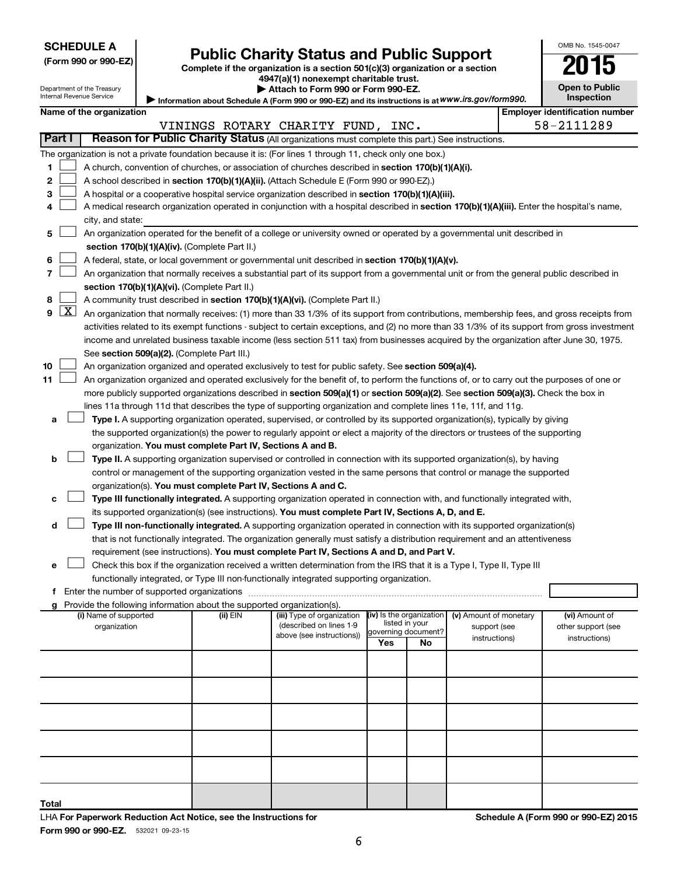| (Form 990 or 990-EZ) |  |  |  |  |
|----------------------|--|--|--|--|
|----------------------|--|--|--|--|

# Form 990 or 990-EZ) **Public Charity Status and Public Support**<br>
Complete if the organization is a section 501(c)(3) organization or a section<br> **2015**

**Information about Schedule A (Form 990 or 990-EZ) and its instructions is at** 

**4947(a)(1) nonexempt charitable trust.**

|                                                                                                   | Attach to Form 990 or Form 990-EZ. |  |
|---------------------------------------------------------------------------------------------------|------------------------------------|--|
| Information about Schedule A (Form 990 or 990-EZ) and its instructions is at WWW.irs.gov/form990. |                                    |  |

**Open to Public Inspection**

OMB No. 1545-0047

| Department of the Treasury<br>Internal Revenue Service |
|--------------------------------------------------------|
|                                                        |

|    | Name of the organization<br><b>Employer identification number</b> |                                                                                                                                                                                      |          |                                                       |                          |                     |                                        |  |                                      |  |  |  |
|----|-------------------------------------------------------------------|--------------------------------------------------------------------------------------------------------------------------------------------------------------------------------------|----------|-------------------------------------------------------|--------------------------|---------------------|----------------------------------------|--|--------------------------------------|--|--|--|
|    |                                                                   |                                                                                                                                                                                      |          | VININGS ROTARY CHARITY FUND, INC.                     |                          |                     |                                        |  | 58-2111289                           |  |  |  |
|    | Part I                                                            | Reason for Public Charity Status (All organizations must complete this part.) See instructions.                                                                                      |          |                                                       |                          |                     |                                        |  |                                      |  |  |  |
|    |                                                                   | The organization is not a private foundation because it is: (For lines 1 through 11, check only one box.)                                                                            |          |                                                       |                          |                     |                                        |  |                                      |  |  |  |
| 1. |                                                                   | A church, convention of churches, or association of churches described in section 170(b)(1)(A)(i).                                                                                   |          |                                                       |                          |                     |                                        |  |                                      |  |  |  |
| 2  |                                                                   | A school described in section 170(b)(1)(A)(ii). (Attach Schedule E (Form 990 or 990-EZ).)                                                                                            |          |                                                       |                          |                     |                                        |  |                                      |  |  |  |
| 3  |                                                                   | A hospital or a cooperative hospital service organization described in section 170(b)(1)(A)(iii).                                                                                    |          |                                                       |                          |                     |                                        |  |                                      |  |  |  |
| 4  |                                                                   | A medical research organization operated in conjunction with a hospital described in section 170(b)(1)(A)(iii). Enter the hospital's name,                                           |          |                                                       |                          |                     |                                        |  |                                      |  |  |  |
|    |                                                                   | city, and state:                                                                                                                                                                     |          |                                                       |                          |                     |                                        |  |                                      |  |  |  |
| 5  |                                                                   | An organization operated for the benefit of a college or university owned or operated by a governmental unit described in                                                            |          |                                                       |                          |                     |                                        |  |                                      |  |  |  |
|    |                                                                   | section 170(b)(1)(A)(iv). (Complete Part II.)<br>A federal, state, or local government or governmental unit described in section 170(b)(1)(A)(v).                                    |          |                                                       |                          |                     |                                        |  |                                      |  |  |  |
| 6  |                                                                   |                                                                                                                                                                                      |          |                                                       |                          |                     |                                        |  |                                      |  |  |  |
| 7  |                                                                   | An organization that normally receives a substantial part of its support from a governmental unit or from the general public described in                                            |          |                                                       |                          |                     |                                        |  |                                      |  |  |  |
|    |                                                                   | section 170(b)(1)(A)(vi). (Complete Part II.)                                                                                                                                        |          |                                                       |                          |                     |                                        |  |                                      |  |  |  |
| 8  | $9$ $X$                                                           | A community trust described in section 170(b)(1)(A)(vi). (Complete Part II.)                                                                                                         |          |                                                       |                          |                     |                                        |  |                                      |  |  |  |
|    |                                                                   | An organization that normally receives: (1) more than 33 1/3% of its support from contributions, membership fees, and gross receipts from                                            |          |                                                       |                          |                     |                                        |  |                                      |  |  |  |
|    |                                                                   | activities related to its exempt functions - subject to certain exceptions, and (2) no more than 33 1/3% of its support from gross investment                                        |          |                                                       |                          |                     |                                        |  |                                      |  |  |  |
|    |                                                                   | income and unrelated business taxable income (less section 511 tax) from businesses acquired by the organization after June 30, 1975.<br>See section 509(a)(2). (Complete Part III.) |          |                                                       |                          |                     |                                        |  |                                      |  |  |  |
| 10 |                                                                   | An organization organized and operated exclusively to test for public safety. See section 509(a)(4).                                                                                 |          |                                                       |                          |                     |                                        |  |                                      |  |  |  |
| 11 |                                                                   | An organization organized and operated exclusively for the benefit of, to perform the functions of, or to carry out the purposes of one or                                           |          |                                                       |                          |                     |                                        |  |                                      |  |  |  |
|    |                                                                   | more publicly supported organizations described in section 509(a)(1) or section 509(a)(2). See section 509(a)(3). Check the box in                                                   |          |                                                       |                          |                     |                                        |  |                                      |  |  |  |
|    |                                                                   | lines 11a through 11d that describes the type of supporting organization and complete lines 11e, 11f, and 11g.                                                                       |          |                                                       |                          |                     |                                        |  |                                      |  |  |  |
| а  |                                                                   | Type I. A supporting organization operated, supervised, or controlled by its supported organization(s), typically by giving                                                          |          |                                                       |                          |                     |                                        |  |                                      |  |  |  |
|    |                                                                   | the supported organization(s) the power to regularly appoint or elect a majority of the directors or trustees of the supporting                                                      |          |                                                       |                          |                     |                                        |  |                                      |  |  |  |
|    |                                                                   | organization. You must complete Part IV, Sections A and B.                                                                                                                           |          |                                                       |                          |                     |                                        |  |                                      |  |  |  |
| b  |                                                                   | Type II. A supporting organization supervised or controlled in connection with its supported organization(s), by having                                                              |          |                                                       |                          |                     |                                        |  |                                      |  |  |  |
|    |                                                                   | control or management of the supporting organization vested in the same persons that control or manage the supported                                                                 |          |                                                       |                          |                     |                                        |  |                                      |  |  |  |
|    |                                                                   | organization(s). You must complete Part IV, Sections A and C.                                                                                                                        |          |                                                       |                          |                     |                                        |  |                                      |  |  |  |
| с  |                                                                   | Type III functionally integrated. A supporting organization operated in connection with, and functionally integrated with,                                                           |          |                                                       |                          |                     |                                        |  |                                      |  |  |  |
|    |                                                                   | its supported organization(s) (see instructions). You must complete Part IV, Sections A, D, and E.                                                                                   |          |                                                       |                          |                     |                                        |  |                                      |  |  |  |
| d  |                                                                   | Type III non-functionally integrated. A supporting organization operated in connection with its supported organization(s)                                                            |          |                                                       |                          |                     |                                        |  |                                      |  |  |  |
|    |                                                                   | that is not functionally integrated. The organization generally must satisfy a distribution requirement and an attentiveness                                                         |          |                                                       |                          |                     |                                        |  |                                      |  |  |  |
|    |                                                                   | requirement (see instructions). You must complete Part IV, Sections A and D, and Part V.                                                                                             |          |                                                       |                          |                     |                                        |  |                                      |  |  |  |
| е  |                                                                   | Check this box if the organization received a written determination from the IRS that it is a Type I, Type II, Type III                                                              |          |                                                       |                          |                     |                                        |  |                                      |  |  |  |
|    |                                                                   | functionally integrated, or Type III non-functionally integrated supporting organization.                                                                                            |          |                                                       |                          |                     |                                        |  |                                      |  |  |  |
|    |                                                                   |                                                                                                                                                                                      |          |                                                       |                          |                     |                                        |  |                                      |  |  |  |
|    |                                                                   | g Provide the following information about the supported organization(s).                                                                                                             |          |                                                       |                          |                     |                                        |  |                                      |  |  |  |
|    |                                                                   | (i) Name of supported<br>organization                                                                                                                                                | (ii) EIN | (iii) Type of organization<br>(described on lines 1-9 | (iv) Is the organization | listed in your      | (v) Amount of monetary<br>support (see |  | (vi) Amount of<br>other support (see |  |  |  |
|    |                                                                   |                                                                                                                                                                                      |          | above (see instructions))                             |                          | governing document? | instructions)                          |  | instructions)                        |  |  |  |
|    |                                                                   |                                                                                                                                                                                      |          |                                                       | Yes                      | No                  |                                        |  |                                      |  |  |  |
|    |                                                                   |                                                                                                                                                                                      |          |                                                       |                          |                     |                                        |  |                                      |  |  |  |
|    |                                                                   |                                                                                                                                                                                      |          |                                                       |                          |                     |                                        |  |                                      |  |  |  |
|    |                                                                   |                                                                                                                                                                                      |          |                                                       |                          |                     |                                        |  |                                      |  |  |  |
|    |                                                                   |                                                                                                                                                                                      |          |                                                       |                          |                     |                                        |  |                                      |  |  |  |
|    |                                                                   |                                                                                                                                                                                      |          |                                                       |                          |                     |                                        |  |                                      |  |  |  |
|    |                                                                   |                                                                                                                                                                                      |          |                                                       |                          |                     |                                        |  |                                      |  |  |  |
|    |                                                                   |                                                                                                                                                                                      |          |                                                       |                          |                     |                                        |  |                                      |  |  |  |

**Total**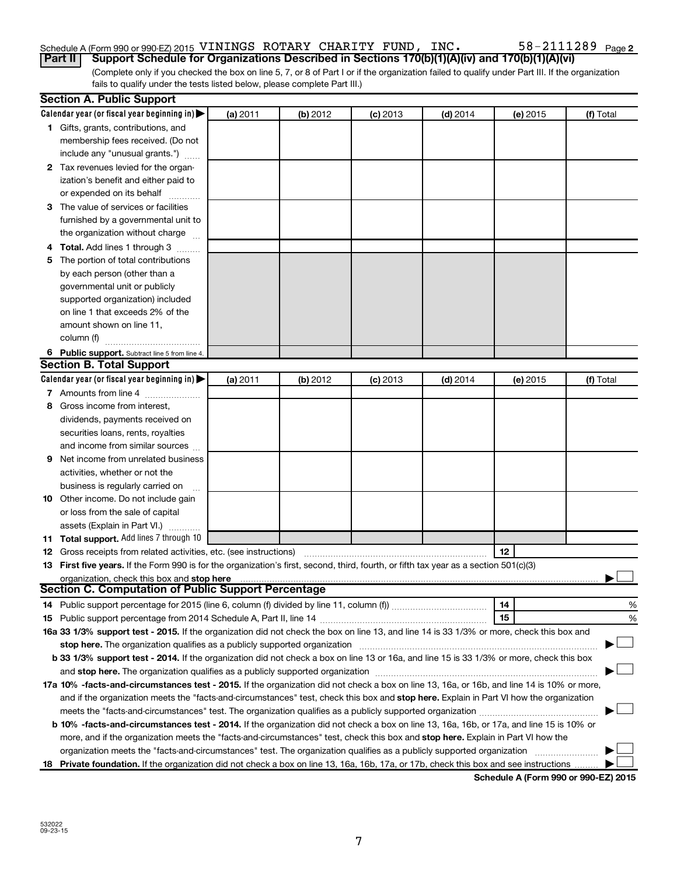### Schedule A (Form 990 or 990-EZ) 2015 <code>VININGS ROTARY CHARITY FUND</code> , <code>INC</code> .  $58-2111289$  <code>Page</code>

(Complete only if you checked the box on line 5, 7, or 8 of Part I or if the organization failed to qualify under Part III. If the organization fails to qualify under the tests listed below, please complete Part III.) **Part II Support Schedule for Organizations Described in Sections 170(b)(1)(A)(iv) and 170(b)(1)(A)(vi)**

|   | <b>Section A. Public Support</b>                                                                                                           |          |          |            |            |          |           |
|---|--------------------------------------------------------------------------------------------------------------------------------------------|----------|----------|------------|------------|----------|-----------|
|   | Calendar year (or fiscal year beginning in)                                                                                                | (a) 2011 | (b) 2012 | $(c)$ 2013 | $(d)$ 2014 | (e) 2015 | (f) Total |
|   | 1 Gifts, grants, contributions, and                                                                                                        |          |          |            |            |          |           |
|   | membership fees received. (Do not                                                                                                          |          |          |            |            |          |           |
|   | include any "unusual grants.")                                                                                                             |          |          |            |            |          |           |
|   | 2 Tax revenues levied for the organ-                                                                                                       |          |          |            |            |          |           |
|   | ization's benefit and either paid to                                                                                                       |          |          |            |            |          |           |
|   | or expended on its behalf                                                                                                                  |          |          |            |            |          |           |
|   | 3 The value of services or facilities                                                                                                      |          |          |            |            |          |           |
|   | furnished by a governmental unit to                                                                                                        |          |          |            |            |          |           |
|   | the organization without charge                                                                                                            |          |          |            |            |          |           |
|   | 4 Total. Add lines 1 through 3                                                                                                             |          |          |            |            |          |           |
|   | 5 The portion of total contributions                                                                                                       |          |          |            |            |          |           |
|   | by each person (other than a                                                                                                               |          |          |            |            |          |           |
|   | governmental unit or publicly                                                                                                              |          |          |            |            |          |           |
|   | supported organization) included                                                                                                           |          |          |            |            |          |           |
|   | on line 1 that exceeds 2% of the                                                                                                           |          |          |            |            |          |           |
|   | amount shown on line 11,                                                                                                                   |          |          |            |            |          |           |
|   | column (f)                                                                                                                                 |          |          |            |            |          |           |
|   | 6 Public support. Subtract line 5 from line 4.                                                                                             |          |          |            |            |          |           |
|   | <b>Section B. Total Support</b>                                                                                                            |          |          |            |            |          |           |
|   | Calendar year (or fiscal year beginning in)                                                                                                | (a) 2011 | (b) 2012 | $(c)$ 2013 | $(d)$ 2014 | (e) 2015 | (f) Total |
|   | 7 Amounts from line 4                                                                                                                      |          |          |            |            |          |           |
| 8 | Gross income from interest,                                                                                                                |          |          |            |            |          |           |
|   | dividends, payments received on                                                                                                            |          |          |            |            |          |           |
|   |                                                                                                                                            |          |          |            |            |          |           |
|   | securities loans, rents, royalties                                                                                                         |          |          |            |            |          |           |
|   | and income from similar sources                                                                                                            |          |          |            |            |          |           |
| 9 | Net income from unrelated business                                                                                                         |          |          |            |            |          |           |
|   | activities, whether or not the                                                                                                             |          |          |            |            |          |           |
|   | business is regularly carried on                                                                                                           |          |          |            |            |          |           |
|   | 10 Other income. Do not include gain                                                                                                       |          |          |            |            |          |           |
|   | or loss from the sale of capital                                                                                                           |          |          |            |            |          |           |
|   | assets (Explain in Part VI.)                                                                                                               |          |          |            |            |          |           |
|   | 11 Total support. Add lines 7 through 10                                                                                                   |          |          |            |            |          |           |
|   | <b>12</b> Gross receipts from related activities, etc. (see instructions)                                                                  |          |          |            |            | 12       |           |
|   | 13 First five years. If the Form 990 is for the organization's first, second, third, fourth, or fifth tax year as a section 501(c)(3)      |          |          |            |            |          |           |
|   | organization, check this box and stop here<br><b>Section C. Computation of Public Support Percentage</b>                                   |          |          |            |            |          |           |
|   |                                                                                                                                            |          |          |            |            | 14       | %         |
|   |                                                                                                                                            |          |          |            |            | 15       |           |
|   | 16a 33 1/3% support test - 2015. If the organization did not check the box on line 13, and line 14 is 33 1/3% or more, check this box and  |          |          |            |            |          | %         |
|   |                                                                                                                                            |          |          |            |            |          |           |
|   | stop here. The organization qualifies as a publicly supported organization manufaction manufacture or the organization                     |          |          |            |            |          |           |
|   | b 33 1/3% support test - 2014. If the organization did not check a box on line 13 or 16a, and line 15 is 33 1/3% or more, check this box   |          |          |            |            |          |           |
|   |                                                                                                                                            |          |          |            |            |          |           |
|   | 17a 10% -facts-and-circumstances test - 2015. If the organization did not check a box on line 13, 16a, or 16b, and line 14 is 10% or more, |          |          |            |            |          |           |
|   | and if the organization meets the "facts-and-circumstances" test, check this box and stop here. Explain in Part VI how the organization    |          |          |            |            |          |           |
|   | meets the "facts-and-circumstances" test. The organization qualifies as a publicly supported organization <i>manumumumum</i>               |          |          |            |            |          |           |
|   | b 10% -facts-and-circumstances test - 2014. If the organization did not check a box on line 13, 16a, 16b, or 17a, and line 15 is 10% or    |          |          |            |            |          |           |
|   | more, and if the organization meets the "facts-and-circumstances" test, check this box and stop here. Explain in Part VI how the           |          |          |            |            |          |           |
|   | organization meets the "facts-and-circumstances" test. The organization qualifies as a publicly supported organization                     |          |          |            |            |          |           |
|   | 18 Private foundation. If the organization did not check a box on line 13, 16a, 16b, 17a, or 17b, check this box and see instructions      |          |          |            |            |          |           |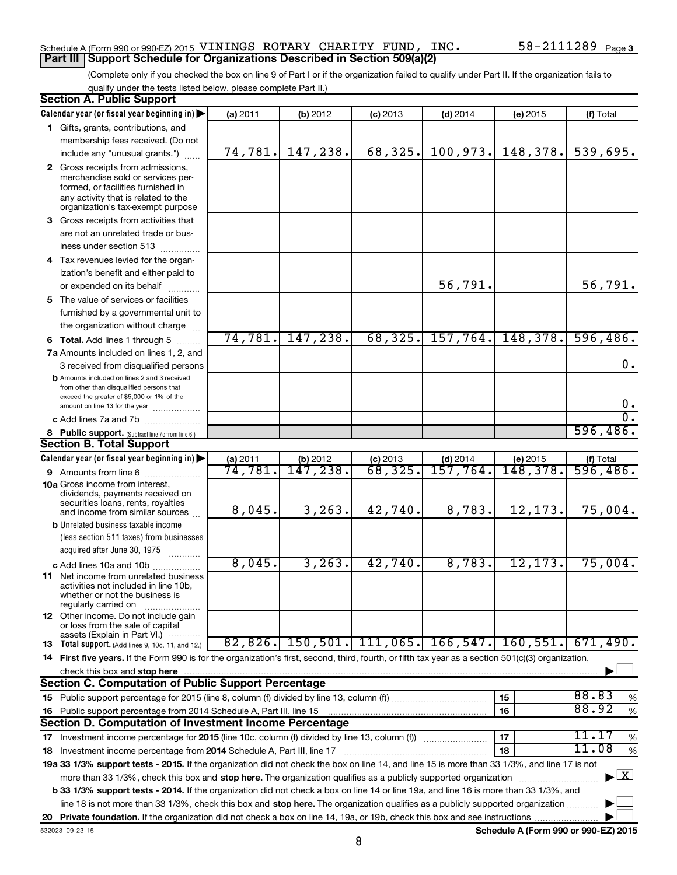#### Schedule A (Form 990 or 990-EZ) 2015 <code>VININGS ROTARY CHARITY FUND</code> , <code>INC</code> .  $58-2111289$  <code>Page</code> **Part III Support Schedule for Organizations Described in Section 509(a)(2)**

(Complete only if you checked the box on line 9 of Part I or if the organization failed to qualify under Part II. If the organization fails to qualify under the tests listed below, please complete Part II.)

|    | <b>Section A. Public Support</b>                                                                                                                                                         |          |           |                               |            |                                      |                                          |
|----|------------------------------------------------------------------------------------------------------------------------------------------------------------------------------------------|----------|-----------|-------------------------------|------------|--------------------------------------|------------------------------------------|
|    | Calendar year (or fiscal year beginning in)                                                                                                                                              | (a) 2011 | (b) 2012  | $(c)$ 2013                    | $(d)$ 2014 | (e) 2015                             | (f) Total                                |
|    | 1 Gifts, grants, contributions, and                                                                                                                                                      |          |           |                               |            |                                      |                                          |
|    | membership fees received. (Do not                                                                                                                                                        |          |           |                               |            |                                      |                                          |
|    | include any "unusual grants.")                                                                                                                                                           | 74,781.  | 147,238.  | 68,325.                       | 100,973.   | 148,378.                             | 539,695.                                 |
|    | 2 Gross receipts from admissions,<br>merchandise sold or services per-<br>formed, or facilities furnished in<br>any activity that is related to the<br>organization's tax-exempt purpose |          |           |                               |            |                                      |                                          |
|    | 3 Gross receipts from activities that                                                                                                                                                    |          |           |                               |            |                                      |                                          |
|    | are not an unrelated trade or bus-<br>iness under section 513                                                                                                                            |          |           |                               |            |                                      |                                          |
|    | 4 Tax revenues levied for the organ-                                                                                                                                                     |          |           |                               |            |                                      |                                          |
|    | ization's benefit and either paid to                                                                                                                                                     |          |           |                               |            |                                      |                                          |
|    | or expended on its behalf                                                                                                                                                                |          |           |                               | 56,791.    |                                      | 56,791.                                  |
|    | 5 The value of services or facilities                                                                                                                                                    |          |           |                               |            |                                      |                                          |
|    | furnished by a governmental unit to                                                                                                                                                      |          |           |                               |            |                                      |                                          |
|    | the organization without charge                                                                                                                                                          |          |           |                               |            |                                      |                                          |
|    | <b>6 Total.</b> Add lines 1 through 5                                                                                                                                                    | 74,781.  | 147,238.  | 68, 325.                      | 157,764.   | 148,378.                             | 596,486.                                 |
|    | 7a Amounts included on lines 1, 2, and                                                                                                                                                   |          |           |                               |            |                                      |                                          |
|    | 3 received from disqualified persons                                                                                                                                                     |          |           |                               |            |                                      | $\mathbf 0$ .                            |
|    | <b>b</b> Amounts included on lines 2 and 3 received<br>from other than disqualified persons that<br>exceed the greater of \$5,000 or 1% of the<br>amount on line 13 for the year         |          |           |                               |            |                                      | $0$ .                                    |
|    | c Add lines 7a and 7b                                                                                                                                                                    |          |           |                               |            |                                      | σ.                                       |
|    | 8 Public support. (Subtract line 7c from line 6.)                                                                                                                                        |          |           |                               |            |                                      | 596,486.                                 |
|    | <b>Section B. Total Support</b>                                                                                                                                                          |          |           |                               |            |                                      |                                          |
|    | Calendar year (or fiscal year beginning in)                                                                                                                                              | (a) 2011 | (b) 2012  |                               | $(d)$ 2014 | (e) 2015                             |                                          |
|    | <b>9</b> Amounts from line 6                                                                                                                                                             | 74,781.  | 147,238.  | $\frac{$ (c) 2013<br>68, 325. | 157,764.   | 148,378.                             | $($ f) Total<br>596, 486.                |
|    | <b>10a</b> Gross income from interest,<br>dividends, payments received on<br>securities loans, rents, royalties<br>and income from similar sources                                       | 8,045.   | 3, 263.   | 42,740.                       | 8,783.     | 12,173.                              | 75,004.                                  |
|    | <b>b</b> Unrelated business taxable income                                                                                                                                               |          |           |                               |            |                                      |                                          |
|    | (less section 511 taxes) from businesses<br>acquired after June 30, 1975<br>.                                                                                                            |          |           |                               |            |                                      |                                          |
|    | c Add lines 10a and 10b                                                                                                                                                                  | 8,045.   | 3, 263.   | 42,740.                       | 8,783.     | 12, 173.                             | 75,004.                                  |
|    | <b>11</b> Net income from unrelated business<br>activities not included in line 10b.<br>whether or not the business is<br>regularly carried on                                           |          |           |                               |            |                                      |                                          |
|    | <b>12</b> Other income. Do not include gain<br>or loss from the sale of capital<br>assets (Explain in Part VI.)                                                                          |          |           |                               |            |                                      |                                          |
|    | <b>13</b> Total support. (Add lines 9, 10c, 11, and 12.)                                                                                                                                 | 82,826.  | 150, 501. | 111,065.                      | 166, 547.  | 160, 551.                            | 671,490.                                 |
|    | 14 First five years. If the Form 990 is for the organization's first, second, third, fourth, or fifth tax year as a section 501(c)(3) organization,                                      |          |           |                               |            |                                      |                                          |
|    | check this box and stop here                                                                                                                                                             |          |           |                               |            |                                      |                                          |
|    | Section C. Computation of Public Support Percentage                                                                                                                                      |          |           |                               |            |                                      |                                          |
|    |                                                                                                                                                                                          |          |           |                               |            | 15                                   | 88.83<br>%                               |
| 16 | Public support percentage from 2014 Schedule A, Part III, line 15                                                                                                                        |          |           |                               |            | 16                                   | 88.92<br>%                               |
|    | Section D. Computation of Investment Income Percentage                                                                                                                                   |          |           |                               |            |                                      |                                          |
|    |                                                                                                                                                                                          |          | 17        | 11.17<br>%                    |            |                                      |                                          |
|    | 18 Investment income percentage from 2014 Schedule A, Part III, line 17                                                                                                                  |          |           |                               |            | 18                                   | 11.08<br>$\%$                            |
|    | 19a 33 1/3% support tests - 2015. If the organization did not check the box on line 14, and line 15 is more than 33 1/3%, and line 17 is not                                             |          |           |                               |            |                                      |                                          |
|    | more than 33 1/3%, check this box and stop here. The organization qualifies as a publicly supported organization                                                                         |          |           |                               |            |                                      | $\blacktriangleright$ $\boxed{\text{X}}$ |
|    | <b>b 33 1/3% support tests - 2014.</b> If the organization did not check a box on line 14 or line 19a, and line 16 is more than 33 1/3%, and                                             |          |           |                               |            |                                      |                                          |
|    | line 18 is not more than 33 1/3%, check this box and stop here. The organization qualifies as a publicly supported organization                                                          |          |           |                               |            |                                      |                                          |
| 20 |                                                                                                                                                                                          |          |           |                               |            |                                      |                                          |
|    | 532023 09-23-15                                                                                                                                                                          |          |           |                               |            | Schedule A (Form 990 or 990-EZ) 2015 |                                          |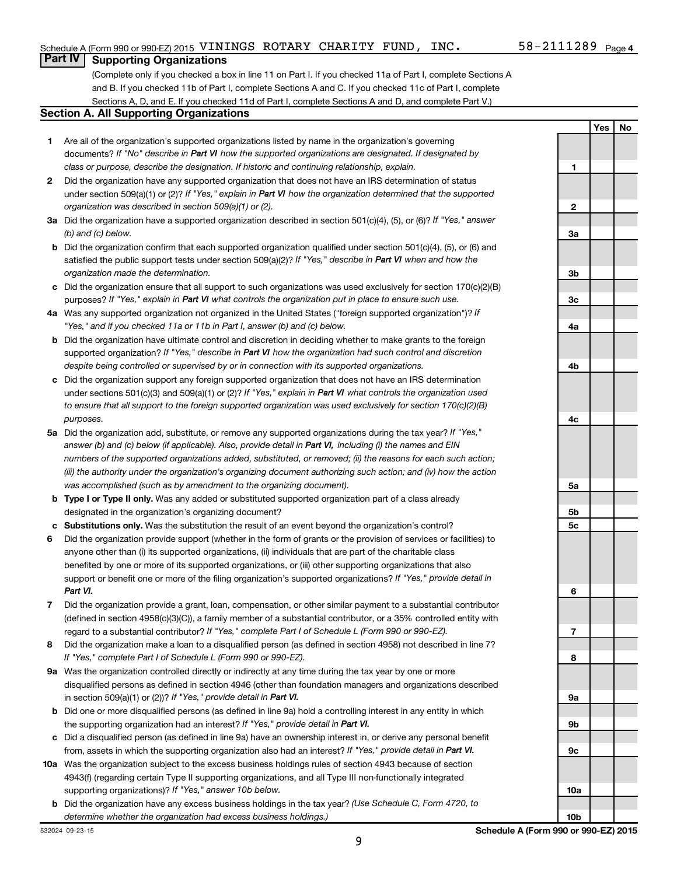**Yes No**

#### **Part IV Supporting Organizations**

(Complete only if you checked a box in line 11 on Part I. If you checked 11a of Part I, complete Sections A and B. If you checked 11b of Part I, complete Sections A and C. If you checked 11c of Part I, complete Sections A, D, and E. If you checked 11d of Part I, complete Sections A and D, and complete Part V.)

#### **Section A. All Supporting Organizations**

- **1** Are all of the organization's supported organizations listed by name in the organization's governing documents? If "No" describe in Part VI how the supported organizations are designated. If designated by *class or purpose, describe the designation. If historic and continuing relationship, explain.*
- **2** Did the organization have any supported organization that does not have an IRS determination of status under section 509(a)(1) or (2)? If "Yes," explain in Part VI how the organization determined that the supported *organization was described in section 509(a)(1) or (2).*
- **3a** Did the organization have a supported organization described in section 501(c)(4), (5), or (6)? If "Yes," answer *(b) and (c) below.*
- **b** Did the organization confirm that each supported organization qualified under section 501(c)(4), (5), or (6) and satisfied the public support tests under section 509(a)(2)? If "Yes," describe in Part VI when and how the *organization made the determination.*
- **c** Did the organization ensure that all support to such organizations was used exclusively for section 170(c)(2)(B) purposes? If "Yes," explain in Part VI what controls the organization put in place to ensure such use.
- **4 a** *If* Was any supported organization not organized in the United States ("foreign supported organization")? *"Yes," and if you checked 11a or 11b in Part I, answer (b) and (c) below.*
- **b** Did the organization have ultimate control and discretion in deciding whether to make grants to the foreign supported organization? If "Yes," describe in Part VI how the organization had such control and discretion *despite being controlled or supervised by or in connection with its supported organizations.*
- **c** Did the organization support any foreign supported organization that does not have an IRS determination under sections 501(c)(3) and 509(a)(1) or (2)? If "Yes," explain in Part VI what controls the organization used *to ensure that all support to the foreign supported organization was used exclusively for section 170(c)(2)(B) purposes.*
- **5a** Did the organization add, substitute, or remove any supported organizations during the tax year? If "Yes," answer (b) and (c) below (if applicable). Also, provide detail in Part VI, including (i) the names and EIN *numbers of the supported organizations added, substituted, or removed; (ii) the reasons for each such action; (iii) the authority under the organization's organizing document authorizing such action; and (iv) how the action was accomplished (such as by amendment to the organizing document).*
- **b Type I or Type II only.** Was any added or substituted supported organization part of a class already designated in the organization's organizing document?
- **c Substitutions only.**  Was the substitution the result of an event beyond the organization's control?
- **6** Did the organization provide support (whether in the form of grants or the provision of services or facilities) to support or benefit one or more of the filing organization's supported organizations? If "Yes," provide detail in anyone other than (i) its supported organizations, (ii) individuals that are part of the charitable class benefited by one or more of its supported organizations, or (iii) other supporting organizations that also *Part VI.*
- **7** Did the organization provide a grant, loan, compensation, or other similar payment to a substantial contributor regard to a substantial contributor? If "Yes," complete Part I of Schedule L (Form 990 or 990-EZ). (defined in section 4958(c)(3)(C)), a family member of a substantial contributor, or a 35% controlled entity with
- **8** Did the organization make a loan to a disqualified person (as defined in section 4958) not described in line 7? *If "Yes," complete Part I of Schedule L (Form 990 or 990-EZ).*
- **9 a** Was the organization controlled directly or indirectly at any time during the tax year by one or more in section 509(a)(1) or (2))? If "Yes," provide detail in Part VI. disqualified persons as defined in section 4946 (other than foundation managers and organizations described
- **b** Did one or more disqualified persons (as defined in line 9a) hold a controlling interest in any entity in which the supporting organization had an interest? If "Yes," provide detail in Part VI.
- **c** Did a disqualified person (as defined in line 9a) have an ownership interest in, or derive any personal benefit from, assets in which the supporting organization also had an interest? If "Yes," provide detail in Part VI.
- **10 a** Was the organization subject to the excess business holdings rules of section 4943 because of section supporting organizations)? If "Yes," answer 10b below. 4943(f) (regarding certain Type II supporting organizations, and all Type III non-functionally integrated
- **b** Did the organization have any excess business holdings in the tax year? (Use Schedule C, Form 4720, to *determine whether the organization had excess business holdings.)*

**1 2 3a 3b 3c 4a 4b 4c 5a 5b 5c 6 7 8 9a 9b 9c**

**10a**

**10b**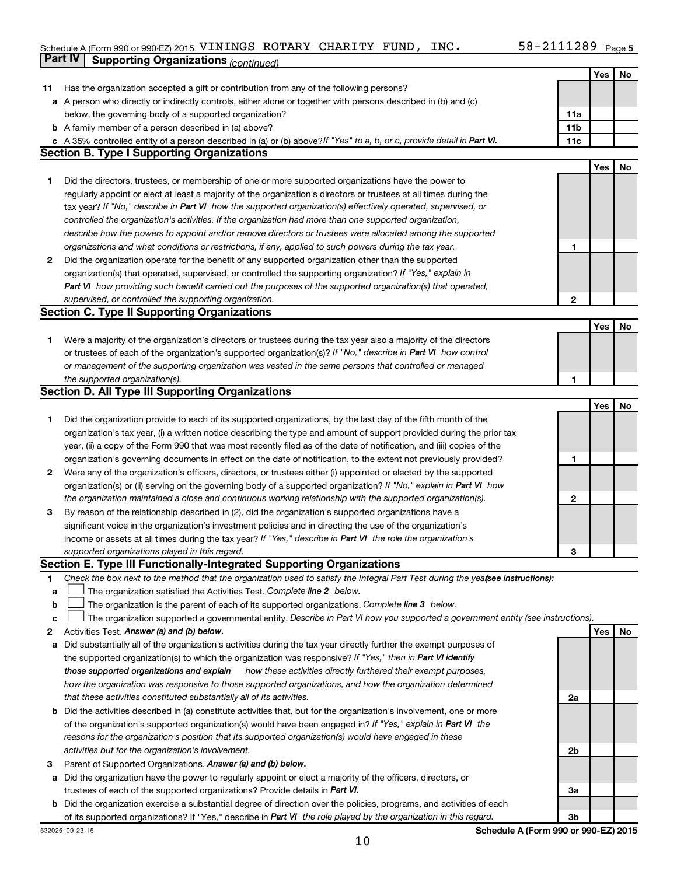#### Schedule A (Form 990 or 990-EZ) 2015 <code>VININGS ROTARY CHARITY FUND</code> , <code>INC</code> .  $58-2111289$  <code>Page</code> **Part IV** Supporting Organizations *(continued)*

| Has the organization accepted a gift or contribution from any of the following persons?<br>11<br>a A person who directly or indirectly controls, either alone or together with persons described in (b) and (c)<br>below, the governing body of a supported organization?<br>11a<br><b>b</b> A family member of a person described in (a) above?<br>11b<br>c A 35% controlled entity of a person described in (a) or (b) above? If "Yes" to a, b, or c, provide detail in Part VI.<br>11c<br><b>Section B. Type I Supporting Organizations</b><br>Yes<br>No<br>Did the directors, trustees, or membership of one or more supported organizations have the power to<br>1<br>regularly appoint or elect at least a majority of the organization's directors or trustees at all times during the<br>tax year? If "No," describe in Part VI how the supported organization(s) effectively operated, supervised, or<br>controlled the organization's activities. If the organization had more than one supported organization,<br>describe how the powers to appoint and/or remove directors or trustees were allocated among the supported<br>organizations and what conditions or restrictions, if any, applied to such powers during the tax year.<br>1<br>Did the organization operate for the benefit of any supported organization other than the supported<br>2<br>organization(s) that operated, supervised, or controlled the supporting organization? If "Yes," explain in<br>Part VI how providing such benefit carried out the purposes of the supported organization(s) that operated,<br>supervised, or controlled the supporting organization.<br>2<br><b>Section C. Type II Supporting Organizations</b><br>Yes<br>No<br>Were a majority of the organization's directors or trustees during the tax year also a majority of the directors<br>1<br>or trustees of each of the organization's supported organization(s)? If "No," describe in Part VI how control<br>or management of the supporting organization was vested in the same persons that controlled or managed<br>the supported organization(s).<br>1<br><b>Section D. All Type III Supporting Organizations</b><br>Yes<br>No<br>Did the organization provide to each of its supported organizations, by the last day of the fifth month of the<br>1<br>organization's tax year, (i) a written notice describing the type and amount of support provided during the prior tax<br>year, (ii) a copy of the Form 990 that was most recently filed as of the date of notification, and (iii) copies of the<br>organization's governing documents in effect on the date of notification, to the extent not previously provided?<br>1<br>Were any of the organization's officers, directors, or trustees either (i) appointed or elected by the supported<br>2<br>organization(s) or (ii) serving on the governing body of a supported organization? If "No," explain in Part VI how<br>the organization maintained a close and continuous working relationship with the supported organization(s).<br>2<br>By reason of the relationship described in (2), did the organization's supported organizations have a<br>3<br>significant voice in the organization's investment policies and in directing the use of the organization's<br>income or assets at all times during the tax year? If "Yes," describe in Part VI the role the organization's<br>supported organizations played in this regard.<br>3<br>Section E. Type III Functionally-Integrated Supporting Organizations<br>Check the box next to the method that the organization used to satisfy the Integral Part Test during the yealsee instructions):<br>1<br>The organization satisfied the Activities Test. Complete line 2 below.<br>a<br>The organization is the parent of each of its supported organizations. Complete line 3 below.<br>b<br>The organization supported a governmental entity. Describe in Part VI how you supported a government entity (see instructions).<br>с<br>Activities Test. Answer (a) and (b) below.<br>Yes<br>No<br>2<br>Did substantially all of the organization's activities during the tax year directly further the exempt purposes of<br>а<br>the supported organization(s) to which the organization was responsive? If "Yes," then in Part VI identify<br>how these activities directly furthered their exempt purposes,<br>those supported organizations and explain<br>how the organization was responsive to those supported organizations, and how the organization determined<br>that these activities constituted substantially all of its activities.<br>2a<br>Did the activities described in (a) constitute activities that, but for the organization's involvement, one or more<br>b<br>of the organization's supported organization(s) would have been engaged in? If "Yes," explain in Part VI the<br>reasons for the organization's position that its supported organization(s) would have engaged in these<br>activities but for the organization's involvement.<br>2b<br>Parent of Supported Organizations. Answer (a) and (b) below.<br>з<br>Did the organization have the power to regularly appoint or elect a majority of the officers, directors, or<br>а<br>trustees of each of the supported organizations? Provide details in Part VI.<br>За<br><b>b</b> Did the organization exercise a substantial degree of direction over the policies, programs, and activities of each<br>of its supported organizations? If "Yes," describe in Part VI the role played by the organization in this regard.<br>3b |  | Yes | No |
|------------------------------------------------------------------------------------------------------------------------------------------------------------------------------------------------------------------------------------------------------------------------------------------------------------------------------------------------------------------------------------------------------------------------------------------------------------------------------------------------------------------------------------------------------------------------------------------------------------------------------------------------------------------------------------------------------------------------------------------------------------------------------------------------------------------------------------------------------------------------------------------------------------------------------------------------------------------------------------------------------------------------------------------------------------------------------------------------------------------------------------------------------------------------------------------------------------------------------------------------------------------------------------------------------------------------------------------------------------------------------------------------------------------------------------------------------------------------------------------------------------------------------------------------------------------------------------------------------------------------------------------------------------------------------------------------------------------------------------------------------------------------------------------------------------------------------------------------------------------------------------------------------------------------------------------------------------------------------------------------------------------------------------------------------------------------------------------------------------------------------------------------------------------------------------------------------------------------------------------------------------------------------------------------------------------------------------------------------------------------------------------------------------------------------------------------------------------------------------------------------------------------------------------------------------------------------------------------------------------------------------------------------------------------------------------------------------------------------------------------------------------------------------------------------------------------------------------------------------------------------------------------------------------------------------------------------------------------------------------------------------------------------------------------------------------------------------------------------------------------------------------------------------------------------------------------------------------------------------------------------------------------------------------------------------------------------------------------------------------------------------------------------------------------------------------------------------------------------------------------------------------------------------------------------------------------------------------------------------------------------------------------------------------------------------------------------------------------------------------------------------------------------------------------------------------------------------------------------------------------------------------------------------------------------------------------------------------------------------------------------------------------------------------------------------------------------------------------------------------------------------------------------------------------------------------------------------------------------------------------------------------------------------------------------------------------------------------------------------------------------------------------------------------------------------------------------------------------------------------------------------------------------------------------------------------------------------------------------------------------------------------------------------------------------------------------------------------------------------------------------------------------------------------------------------------------------------------------------------------------------------------------------------------------------------------------------------------------------------------------------------------------------------------------------------------------------------------------------------------------------------------------------------------------------------------------------------------------------------------------------------------------------------------------------------------------------------------------------------------------------------------------------------------------------------------------------------------------------------------------------------------------------------------------------------------------------------------------------------|--|-----|----|
|                                                                                                                                                                                                                                                                                                                                                                                                                                                                                                                                                                                                                                                                                                                                                                                                                                                                                                                                                                                                                                                                                                                                                                                                                                                                                                                                                                                                                                                                                                                                                                                                                                                                                                                                                                                                                                                                                                                                                                                                                                                                                                                                                                                                                                                                                                                                                                                                                                                                                                                                                                                                                                                                                                                                                                                                                                                                                                                                                                                                                                                                                                                                                                                                                                                                                                                                                                                                                                                                                                                                                                                                                                                                                                                                                                                                                                                                                                                                                                                                                                                                                                                                                                                                                                                                                                                                                                                                                                                                                                                                                                                                                                                                                                                                                                                                                                                                                                                                                                                                                                                                                                                                                                                                                                                                                                                                                                                                                                                                                                                                                                                                            |  |     |    |
|                                                                                                                                                                                                                                                                                                                                                                                                                                                                                                                                                                                                                                                                                                                                                                                                                                                                                                                                                                                                                                                                                                                                                                                                                                                                                                                                                                                                                                                                                                                                                                                                                                                                                                                                                                                                                                                                                                                                                                                                                                                                                                                                                                                                                                                                                                                                                                                                                                                                                                                                                                                                                                                                                                                                                                                                                                                                                                                                                                                                                                                                                                                                                                                                                                                                                                                                                                                                                                                                                                                                                                                                                                                                                                                                                                                                                                                                                                                                                                                                                                                                                                                                                                                                                                                                                                                                                                                                                                                                                                                                                                                                                                                                                                                                                                                                                                                                                                                                                                                                                                                                                                                                                                                                                                                                                                                                                                                                                                                                                                                                                                                                            |  |     |    |
|                                                                                                                                                                                                                                                                                                                                                                                                                                                                                                                                                                                                                                                                                                                                                                                                                                                                                                                                                                                                                                                                                                                                                                                                                                                                                                                                                                                                                                                                                                                                                                                                                                                                                                                                                                                                                                                                                                                                                                                                                                                                                                                                                                                                                                                                                                                                                                                                                                                                                                                                                                                                                                                                                                                                                                                                                                                                                                                                                                                                                                                                                                                                                                                                                                                                                                                                                                                                                                                                                                                                                                                                                                                                                                                                                                                                                                                                                                                                                                                                                                                                                                                                                                                                                                                                                                                                                                                                                                                                                                                                                                                                                                                                                                                                                                                                                                                                                                                                                                                                                                                                                                                                                                                                                                                                                                                                                                                                                                                                                                                                                                                                            |  |     |    |
|                                                                                                                                                                                                                                                                                                                                                                                                                                                                                                                                                                                                                                                                                                                                                                                                                                                                                                                                                                                                                                                                                                                                                                                                                                                                                                                                                                                                                                                                                                                                                                                                                                                                                                                                                                                                                                                                                                                                                                                                                                                                                                                                                                                                                                                                                                                                                                                                                                                                                                                                                                                                                                                                                                                                                                                                                                                                                                                                                                                                                                                                                                                                                                                                                                                                                                                                                                                                                                                                                                                                                                                                                                                                                                                                                                                                                                                                                                                                                                                                                                                                                                                                                                                                                                                                                                                                                                                                                                                                                                                                                                                                                                                                                                                                                                                                                                                                                                                                                                                                                                                                                                                                                                                                                                                                                                                                                                                                                                                                                                                                                                                                            |  |     |    |
|                                                                                                                                                                                                                                                                                                                                                                                                                                                                                                                                                                                                                                                                                                                                                                                                                                                                                                                                                                                                                                                                                                                                                                                                                                                                                                                                                                                                                                                                                                                                                                                                                                                                                                                                                                                                                                                                                                                                                                                                                                                                                                                                                                                                                                                                                                                                                                                                                                                                                                                                                                                                                                                                                                                                                                                                                                                                                                                                                                                                                                                                                                                                                                                                                                                                                                                                                                                                                                                                                                                                                                                                                                                                                                                                                                                                                                                                                                                                                                                                                                                                                                                                                                                                                                                                                                                                                                                                                                                                                                                                                                                                                                                                                                                                                                                                                                                                                                                                                                                                                                                                                                                                                                                                                                                                                                                                                                                                                                                                                                                                                                                                            |  |     |    |
|                                                                                                                                                                                                                                                                                                                                                                                                                                                                                                                                                                                                                                                                                                                                                                                                                                                                                                                                                                                                                                                                                                                                                                                                                                                                                                                                                                                                                                                                                                                                                                                                                                                                                                                                                                                                                                                                                                                                                                                                                                                                                                                                                                                                                                                                                                                                                                                                                                                                                                                                                                                                                                                                                                                                                                                                                                                                                                                                                                                                                                                                                                                                                                                                                                                                                                                                                                                                                                                                                                                                                                                                                                                                                                                                                                                                                                                                                                                                                                                                                                                                                                                                                                                                                                                                                                                                                                                                                                                                                                                                                                                                                                                                                                                                                                                                                                                                                                                                                                                                                                                                                                                                                                                                                                                                                                                                                                                                                                                                                                                                                                                                            |  |     |    |
|                                                                                                                                                                                                                                                                                                                                                                                                                                                                                                                                                                                                                                                                                                                                                                                                                                                                                                                                                                                                                                                                                                                                                                                                                                                                                                                                                                                                                                                                                                                                                                                                                                                                                                                                                                                                                                                                                                                                                                                                                                                                                                                                                                                                                                                                                                                                                                                                                                                                                                                                                                                                                                                                                                                                                                                                                                                                                                                                                                                                                                                                                                                                                                                                                                                                                                                                                                                                                                                                                                                                                                                                                                                                                                                                                                                                                                                                                                                                                                                                                                                                                                                                                                                                                                                                                                                                                                                                                                                                                                                                                                                                                                                                                                                                                                                                                                                                                                                                                                                                                                                                                                                                                                                                                                                                                                                                                                                                                                                                                                                                                                                                            |  |     |    |
|                                                                                                                                                                                                                                                                                                                                                                                                                                                                                                                                                                                                                                                                                                                                                                                                                                                                                                                                                                                                                                                                                                                                                                                                                                                                                                                                                                                                                                                                                                                                                                                                                                                                                                                                                                                                                                                                                                                                                                                                                                                                                                                                                                                                                                                                                                                                                                                                                                                                                                                                                                                                                                                                                                                                                                                                                                                                                                                                                                                                                                                                                                                                                                                                                                                                                                                                                                                                                                                                                                                                                                                                                                                                                                                                                                                                                                                                                                                                                                                                                                                                                                                                                                                                                                                                                                                                                                                                                                                                                                                                                                                                                                                                                                                                                                                                                                                                                                                                                                                                                                                                                                                                                                                                                                                                                                                                                                                                                                                                                                                                                                                                            |  |     |    |
|                                                                                                                                                                                                                                                                                                                                                                                                                                                                                                                                                                                                                                                                                                                                                                                                                                                                                                                                                                                                                                                                                                                                                                                                                                                                                                                                                                                                                                                                                                                                                                                                                                                                                                                                                                                                                                                                                                                                                                                                                                                                                                                                                                                                                                                                                                                                                                                                                                                                                                                                                                                                                                                                                                                                                                                                                                                                                                                                                                                                                                                                                                                                                                                                                                                                                                                                                                                                                                                                                                                                                                                                                                                                                                                                                                                                                                                                                                                                                                                                                                                                                                                                                                                                                                                                                                                                                                                                                                                                                                                                                                                                                                                                                                                                                                                                                                                                                                                                                                                                                                                                                                                                                                                                                                                                                                                                                                                                                                                                                                                                                                                                            |  |     |    |
|                                                                                                                                                                                                                                                                                                                                                                                                                                                                                                                                                                                                                                                                                                                                                                                                                                                                                                                                                                                                                                                                                                                                                                                                                                                                                                                                                                                                                                                                                                                                                                                                                                                                                                                                                                                                                                                                                                                                                                                                                                                                                                                                                                                                                                                                                                                                                                                                                                                                                                                                                                                                                                                                                                                                                                                                                                                                                                                                                                                                                                                                                                                                                                                                                                                                                                                                                                                                                                                                                                                                                                                                                                                                                                                                                                                                                                                                                                                                                                                                                                                                                                                                                                                                                                                                                                                                                                                                                                                                                                                                                                                                                                                                                                                                                                                                                                                                                                                                                                                                                                                                                                                                                                                                                                                                                                                                                                                                                                                                                                                                                                                                            |  |     |    |
|                                                                                                                                                                                                                                                                                                                                                                                                                                                                                                                                                                                                                                                                                                                                                                                                                                                                                                                                                                                                                                                                                                                                                                                                                                                                                                                                                                                                                                                                                                                                                                                                                                                                                                                                                                                                                                                                                                                                                                                                                                                                                                                                                                                                                                                                                                                                                                                                                                                                                                                                                                                                                                                                                                                                                                                                                                                                                                                                                                                                                                                                                                                                                                                                                                                                                                                                                                                                                                                                                                                                                                                                                                                                                                                                                                                                                                                                                                                                                                                                                                                                                                                                                                                                                                                                                                                                                                                                                                                                                                                                                                                                                                                                                                                                                                                                                                                                                                                                                                                                                                                                                                                                                                                                                                                                                                                                                                                                                                                                                                                                                                                                            |  |     |    |
|                                                                                                                                                                                                                                                                                                                                                                                                                                                                                                                                                                                                                                                                                                                                                                                                                                                                                                                                                                                                                                                                                                                                                                                                                                                                                                                                                                                                                                                                                                                                                                                                                                                                                                                                                                                                                                                                                                                                                                                                                                                                                                                                                                                                                                                                                                                                                                                                                                                                                                                                                                                                                                                                                                                                                                                                                                                                                                                                                                                                                                                                                                                                                                                                                                                                                                                                                                                                                                                                                                                                                                                                                                                                                                                                                                                                                                                                                                                                                                                                                                                                                                                                                                                                                                                                                                                                                                                                                                                                                                                                                                                                                                                                                                                                                                                                                                                                                                                                                                                                                                                                                                                                                                                                                                                                                                                                                                                                                                                                                                                                                                                                            |  |     |    |
|                                                                                                                                                                                                                                                                                                                                                                                                                                                                                                                                                                                                                                                                                                                                                                                                                                                                                                                                                                                                                                                                                                                                                                                                                                                                                                                                                                                                                                                                                                                                                                                                                                                                                                                                                                                                                                                                                                                                                                                                                                                                                                                                                                                                                                                                                                                                                                                                                                                                                                                                                                                                                                                                                                                                                                                                                                                                                                                                                                                                                                                                                                                                                                                                                                                                                                                                                                                                                                                                                                                                                                                                                                                                                                                                                                                                                                                                                                                                                                                                                                                                                                                                                                                                                                                                                                                                                                                                                                                                                                                                                                                                                                                                                                                                                                                                                                                                                                                                                                                                                                                                                                                                                                                                                                                                                                                                                                                                                                                                                                                                                                                                            |  |     |    |
|                                                                                                                                                                                                                                                                                                                                                                                                                                                                                                                                                                                                                                                                                                                                                                                                                                                                                                                                                                                                                                                                                                                                                                                                                                                                                                                                                                                                                                                                                                                                                                                                                                                                                                                                                                                                                                                                                                                                                                                                                                                                                                                                                                                                                                                                                                                                                                                                                                                                                                                                                                                                                                                                                                                                                                                                                                                                                                                                                                                                                                                                                                                                                                                                                                                                                                                                                                                                                                                                                                                                                                                                                                                                                                                                                                                                                                                                                                                                                                                                                                                                                                                                                                                                                                                                                                                                                                                                                                                                                                                                                                                                                                                                                                                                                                                                                                                                                                                                                                                                                                                                                                                                                                                                                                                                                                                                                                                                                                                                                                                                                                                                            |  |     |    |
|                                                                                                                                                                                                                                                                                                                                                                                                                                                                                                                                                                                                                                                                                                                                                                                                                                                                                                                                                                                                                                                                                                                                                                                                                                                                                                                                                                                                                                                                                                                                                                                                                                                                                                                                                                                                                                                                                                                                                                                                                                                                                                                                                                                                                                                                                                                                                                                                                                                                                                                                                                                                                                                                                                                                                                                                                                                                                                                                                                                                                                                                                                                                                                                                                                                                                                                                                                                                                                                                                                                                                                                                                                                                                                                                                                                                                                                                                                                                                                                                                                                                                                                                                                                                                                                                                                                                                                                                                                                                                                                                                                                                                                                                                                                                                                                                                                                                                                                                                                                                                                                                                                                                                                                                                                                                                                                                                                                                                                                                                                                                                                                                            |  |     |    |
|                                                                                                                                                                                                                                                                                                                                                                                                                                                                                                                                                                                                                                                                                                                                                                                                                                                                                                                                                                                                                                                                                                                                                                                                                                                                                                                                                                                                                                                                                                                                                                                                                                                                                                                                                                                                                                                                                                                                                                                                                                                                                                                                                                                                                                                                                                                                                                                                                                                                                                                                                                                                                                                                                                                                                                                                                                                                                                                                                                                                                                                                                                                                                                                                                                                                                                                                                                                                                                                                                                                                                                                                                                                                                                                                                                                                                                                                                                                                                                                                                                                                                                                                                                                                                                                                                                                                                                                                                                                                                                                                                                                                                                                                                                                                                                                                                                                                                                                                                                                                                                                                                                                                                                                                                                                                                                                                                                                                                                                                                                                                                                                                            |  |     |    |
|                                                                                                                                                                                                                                                                                                                                                                                                                                                                                                                                                                                                                                                                                                                                                                                                                                                                                                                                                                                                                                                                                                                                                                                                                                                                                                                                                                                                                                                                                                                                                                                                                                                                                                                                                                                                                                                                                                                                                                                                                                                                                                                                                                                                                                                                                                                                                                                                                                                                                                                                                                                                                                                                                                                                                                                                                                                                                                                                                                                                                                                                                                                                                                                                                                                                                                                                                                                                                                                                                                                                                                                                                                                                                                                                                                                                                                                                                                                                                                                                                                                                                                                                                                                                                                                                                                                                                                                                                                                                                                                                                                                                                                                                                                                                                                                                                                                                                                                                                                                                                                                                                                                                                                                                                                                                                                                                                                                                                                                                                                                                                                                                            |  |     |    |
|                                                                                                                                                                                                                                                                                                                                                                                                                                                                                                                                                                                                                                                                                                                                                                                                                                                                                                                                                                                                                                                                                                                                                                                                                                                                                                                                                                                                                                                                                                                                                                                                                                                                                                                                                                                                                                                                                                                                                                                                                                                                                                                                                                                                                                                                                                                                                                                                                                                                                                                                                                                                                                                                                                                                                                                                                                                                                                                                                                                                                                                                                                                                                                                                                                                                                                                                                                                                                                                                                                                                                                                                                                                                                                                                                                                                                                                                                                                                                                                                                                                                                                                                                                                                                                                                                                                                                                                                                                                                                                                                                                                                                                                                                                                                                                                                                                                                                                                                                                                                                                                                                                                                                                                                                                                                                                                                                                                                                                                                                                                                                                                                            |  |     |    |
|                                                                                                                                                                                                                                                                                                                                                                                                                                                                                                                                                                                                                                                                                                                                                                                                                                                                                                                                                                                                                                                                                                                                                                                                                                                                                                                                                                                                                                                                                                                                                                                                                                                                                                                                                                                                                                                                                                                                                                                                                                                                                                                                                                                                                                                                                                                                                                                                                                                                                                                                                                                                                                                                                                                                                                                                                                                                                                                                                                                                                                                                                                                                                                                                                                                                                                                                                                                                                                                                                                                                                                                                                                                                                                                                                                                                                                                                                                                                                                                                                                                                                                                                                                                                                                                                                                                                                                                                                                                                                                                                                                                                                                                                                                                                                                                                                                                                                                                                                                                                                                                                                                                                                                                                                                                                                                                                                                                                                                                                                                                                                                                                            |  |     |    |
|                                                                                                                                                                                                                                                                                                                                                                                                                                                                                                                                                                                                                                                                                                                                                                                                                                                                                                                                                                                                                                                                                                                                                                                                                                                                                                                                                                                                                                                                                                                                                                                                                                                                                                                                                                                                                                                                                                                                                                                                                                                                                                                                                                                                                                                                                                                                                                                                                                                                                                                                                                                                                                                                                                                                                                                                                                                                                                                                                                                                                                                                                                                                                                                                                                                                                                                                                                                                                                                                                                                                                                                                                                                                                                                                                                                                                                                                                                                                                                                                                                                                                                                                                                                                                                                                                                                                                                                                                                                                                                                                                                                                                                                                                                                                                                                                                                                                                                                                                                                                                                                                                                                                                                                                                                                                                                                                                                                                                                                                                                                                                                                                            |  |     |    |
|                                                                                                                                                                                                                                                                                                                                                                                                                                                                                                                                                                                                                                                                                                                                                                                                                                                                                                                                                                                                                                                                                                                                                                                                                                                                                                                                                                                                                                                                                                                                                                                                                                                                                                                                                                                                                                                                                                                                                                                                                                                                                                                                                                                                                                                                                                                                                                                                                                                                                                                                                                                                                                                                                                                                                                                                                                                                                                                                                                                                                                                                                                                                                                                                                                                                                                                                                                                                                                                                                                                                                                                                                                                                                                                                                                                                                                                                                                                                                                                                                                                                                                                                                                                                                                                                                                                                                                                                                                                                                                                                                                                                                                                                                                                                                                                                                                                                                                                                                                                                                                                                                                                                                                                                                                                                                                                                                                                                                                                                                                                                                                                                            |  |     |    |
|                                                                                                                                                                                                                                                                                                                                                                                                                                                                                                                                                                                                                                                                                                                                                                                                                                                                                                                                                                                                                                                                                                                                                                                                                                                                                                                                                                                                                                                                                                                                                                                                                                                                                                                                                                                                                                                                                                                                                                                                                                                                                                                                                                                                                                                                                                                                                                                                                                                                                                                                                                                                                                                                                                                                                                                                                                                                                                                                                                                                                                                                                                                                                                                                                                                                                                                                                                                                                                                                                                                                                                                                                                                                                                                                                                                                                                                                                                                                                                                                                                                                                                                                                                                                                                                                                                                                                                                                                                                                                                                                                                                                                                                                                                                                                                                                                                                                                                                                                                                                                                                                                                                                                                                                                                                                                                                                                                                                                                                                                                                                                                                                            |  |     |    |
|                                                                                                                                                                                                                                                                                                                                                                                                                                                                                                                                                                                                                                                                                                                                                                                                                                                                                                                                                                                                                                                                                                                                                                                                                                                                                                                                                                                                                                                                                                                                                                                                                                                                                                                                                                                                                                                                                                                                                                                                                                                                                                                                                                                                                                                                                                                                                                                                                                                                                                                                                                                                                                                                                                                                                                                                                                                                                                                                                                                                                                                                                                                                                                                                                                                                                                                                                                                                                                                                                                                                                                                                                                                                                                                                                                                                                                                                                                                                                                                                                                                                                                                                                                                                                                                                                                                                                                                                                                                                                                                                                                                                                                                                                                                                                                                                                                                                                                                                                                                                                                                                                                                                                                                                                                                                                                                                                                                                                                                                                                                                                                                                            |  |     |    |
|                                                                                                                                                                                                                                                                                                                                                                                                                                                                                                                                                                                                                                                                                                                                                                                                                                                                                                                                                                                                                                                                                                                                                                                                                                                                                                                                                                                                                                                                                                                                                                                                                                                                                                                                                                                                                                                                                                                                                                                                                                                                                                                                                                                                                                                                                                                                                                                                                                                                                                                                                                                                                                                                                                                                                                                                                                                                                                                                                                                                                                                                                                                                                                                                                                                                                                                                                                                                                                                                                                                                                                                                                                                                                                                                                                                                                                                                                                                                                                                                                                                                                                                                                                                                                                                                                                                                                                                                                                                                                                                                                                                                                                                                                                                                                                                                                                                                                                                                                                                                                                                                                                                                                                                                                                                                                                                                                                                                                                                                                                                                                                                                            |  |     |    |
|                                                                                                                                                                                                                                                                                                                                                                                                                                                                                                                                                                                                                                                                                                                                                                                                                                                                                                                                                                                                                                                                                                                                                                                                                                                                                                                                                                                                                                                                                                                                                                                                                                                                                                                                                                                                                                                                                                                                                                                                                                                                                                                                                                                                                                                                                                                                                                                                                                                                                                                                                                                                                                                                                                                                                                                                                                                                                                                                                                                                                                                                                                                                                                                                                                                                                                                                                                                                                                                                                                                                                                                                                                                                                                                                                                                                                                                                                                                                                                                                                                                                                                                                                                                                                                                                                                                                                                                                                                                                                                                                                                                                                                                                                                                                                                                                                                                                                                                                                                                                                                                                                                                                                                                                                                                                                                                                                                                                                                                                                                                                                                                                            |  |     |    |
|                                                                                                                                                                                                                                                                                                                                                                                                                                                                                                                                                                                                                                                                                                                                                                                                                                                                                                                                                                                                                                                                                                                                                                                                                                                                                                                                                                                                                                                                                                                                                                                                                                                                                                                                                                                                                                                                                                                                                                                                                                                                                                                                                                                                                                                                                                                                                                                                                                                                                                                                                                                                                                                                                                                                                                                                                                                                                                                                                                                                                                                                                                                                                                                                                                                                                                                                                                                                                                                                                                                                                                                                                                                                                                                                                                                                                                                                                                                                                                                                                                                                                                                                                                                                                                                                                                                                                                                                                                                                                                                                                                                                                                                                                                                                                                                                                                                                                                                                                                                                                                                                                                                                                                                                                                                                                                                                                                                                                                                                                                                                                                                                            |  |     |    |
|                                                                                                                                                                                                                                                                                                                                                                                                                                                                                                                                                                                                                                                                                                                                                                                                                                                                                                                                                                                                                                                                                                                                                                                                                                                                                                                                                                                                                                                                                                                                                                                                                                                                                                                                                                                                                                                                                                                                                                                                                                                                                                                                                                                                                                                                                                                                                                                                                                                                                                                                                                                                                                                                                                                                                                                                                                                                                                                                                                                                                                                                                                                                                                                                                                                                                                                                                                                                                                                                                                                                                                                                                                                                                                                                                                                                                                                                                                                                                                                                                                                                                                                                                                                                                                                                                                                                                                                                                                                                                                                                                                                                                                                                                                                                                                                                                                                                                                                                                                                                                                                                                                                                                                                                                                                                                                                                                                                                                                                                                                                                                                                                            |  |     |    |
|                                                                                                                                                                                                                                                                                                                                                                                                                                                                                                                                                                                                                                                                                                                                                                                                                                                                                                                                                                                                                                                                                                                                                                                                                                                                                                                                                                                                                                                                                                                                                                                                                                                                                                                                                                                                                                                                                                                                                                                                                                                                                                                                                                                                                                                                                                                                                                                                                                                                                                                                                                                                                                                                                                                                                                                                                                                                                                                                                                                                                                                                                                                                                                                                                                                                                                                                                                                                                                                                                                                                                                                                                                                                                                                                                                                                                                                                                                                                                                                                                                                                                                                                                                                                                                                                                                                                                                                                                                                                                                                                                                                                                                                                                                                                                                                                                                                                                                                                                                                                                                                                                                                                                                                                                                                                                                                                                                                                                                                                                                                                                                                                            |  |     |    |
|                                                                                                                                                                                                                                                                                                                                                                                                                                                                                                                                                                                                                                                                                                                                                                                                                                                                                                                                                                                                                                                                                                                                                                                                                                                                                                                                                                                                                                                                                                                                                                                                                                                                                                                                                                                                                                                                                                                                                                                                                                                                                                                                                                                                                                                                                                                                                                                                                                                                                                                                                                                                                                                                                                                                                                                                                                                                                                                                                                                                                                                                                                                                                                                                                                                                                                                                                                                                                                                                                                                                                                                                                                                                                                                                                                                                                                                                                                                                                                                                                                                                                                                                                                                                                                                                                                                                                                                                                                                                                                                                                                                                                                                                                                                                                                                                                                                                                                                                                                                                                                                                                                                                                                                                                                                                                                                                                                                                                                                                                                                                                                                                            |  |     |    |
|                                                                                                                                                                                                                                                                                                                                                                                                                                                                                                                                                                                                                                                                                                                                                                                                                                                                                                                                                                                                                                                                                                                                                                                                                                                                                                                                                                                                                                                                                                                                                                                                                                                                                                                                                                                                                                                                                                                                                                                                                                                                                                                                                                                                                                                                                                                                                                                                                                                                                                                                                                                                                                                                                                                                                                                                                                                                                                                                                                                                                                                                                                                                                                                                                                                                                                                                                                                                                                                                                                                                                                                                                                                                                                                                                                                                                                                                                                                                                                                                                                                                                                                                                                                                                                                                                                                                                                                                                                                                                                                                                                                                                                                                                                                                                                                                                                                                                                                                                                                                                                                                                                                                                                                                                                                                                                                                                                                                                                                                                                                                                                                                            |  |     |    |
|                                                                                                                                                                                                                                                                                                                                                                                                                                                                                                                                                                                                                                                                                                                                                                                                                                                                                                                                                                                                                                                                                                                                                                                                                                                                                                                                                                                                                                                                                                                                                                                                                                                                                                                                                                                                                                                                                                                                                                                                                                                                                                                                                                                                                                                                                                                                                                                                                                                                                                                                                                                                                                                                                                                                                                                                                                                                                                                                                                                                                                                                                                                                                                                                                                                                                                                                                                                                                                                                                                                                                                                                                                                                                                                                                                                                                                                                                                                                                                                                                                                                                                                                                                                                                                                                                                                                                                                                                                                                                                                                                                                                                                                                                                                                                                                                                                                                                                                                                                                                                                                                                                                                                                                                                                                                                                                                                                                                                                                                                                                                                                                                            |  |     |    |
|                                                                                                                                                                                                                                                                                                                                                                                                                                                                                                                                                                                                                                                                                                                                                                                                                                                                                                                                                                                                                                                                                                                                                                                                                                                                                                                                                                                                                                                                                                                                                                                                                                                                                                                                                                                                                                                                                                                                                                                                                                                                                                                                                                                                                                                                                                                                                                                                                                                                                                                                                                                                                                                                                                                                                                                                                                                                                                                                                                                                                                                                                                                                                                                                                                                                                                                                                                                                                                                                                                                                                                                                                                                                                                                                                                                                                                                                                                                                                                                                                                                                                                                                                                                                                                                                                                                                                                                                                                                                                                                                                                                                                                                                                                                                                                                                                                                                                                                                                                                                                                                                                                                                                                                                                                                                                                                                                                                                                                                                                                                                                                                                            |  |     |    |
|                                                                                                                                                                                                                                                                                                                                                                                                                                                                                                                                                                                                                                                                                                                                                                                                                                                                                                                                                                                                                                                                                                                                                                                                                                                                                                                                                                                                                                                                                                                                                                                                                                                                                                                                                                                                                                                                                                                                                                                                                                                                                                                                                                                                                                                                                                                                                                                                                                                                                                                                                                                                                                                                                                                                                                                                                                                                                                                                                                                                                                                                                                                                                                                                                                                                                                                                                                                                                                                                                                                                                                                                                                                                                                                                                                                                                                                                                                                                                                                                                                                                                                                                                                                                                                                                                                                                                                                                                                                                                                                                                                                                                                                                                                                                                                                                                                                                                                                                                                                                                                                                                                                                                                                                                                                                                                                                                                                                                                                                                                                                                                                                            |  |     |    |
|                                                                                                                                                                                                                                                                                                                                                                                                                                                                                                                                                                                                                                                                                                                                                                                                                                                                                                                                                                                                                                                                                                                                                                                                                                                                                                                                                                                                                                                                                                                                                                                                                                                                                                                                                                                                                                                                                                                                                                                                                                                                                                                                                                                                                                                                                                                                                                                                                                                                                                                                                                                                                                                                                                                                                                                                                                                                                                                                                                                                                                                                                                                                                                                                                                                                                                                                                                                                                                                                                                                                                                                                                                                                                                                                                                                                                                                                                                                                                                                                                                                                                                                                                                                                                                                                                                                                                                                                                                                                                                                                                                                                                                                                                                                                                                                                                                                                                                                                                                                                                                                                                                                                                                                                                                                                                                                                                                                                                                                                                                                                                                                                            |  |     |    |
|                                                                                                                                                                                                                                                                                                                                                                                                                                                                                                                                                                                                                                                                                                                                                                                                                                                                                                                                                                                                                                                                                                                                                                                                                                                                                                                                                                                                                                                                                                                                                                                                                                                                                                                                                                                                                                                                                                                                                                                                                                                                                                                                                                                                                                                                                                                                                                                                                                                                                                                                                                                                                                                                                                                                                                                                                                                                                                                                                                                                                                                                                                                                                                                                                                                                                                                                                                                                                                                                                                                                                                                                                                                                                                                                                                                                                                                                                                                                                                                                                                                                                                                                                                                                                                                                                                                                                                                                                                                                                                                                                                                                                                                                                                                                                                                                                                                                                                                                                                                                                                                                                                                                                                                                                                                                                                                                                                                                                                                                                                                                                                                                            |  |     |    |
|                                                                                                                                                                                                                                                                                                                                                                                                                                                                                                                                                                                                                                                                                                                                                                                                                                                                                                                                                                                                                                                                                                                                                                                                                                                                                                                                                                                                                                                                                                                                                                                                                                                                                                                                                                                                                                                                                                                                                                                                                                                                                                                                                                                                                                                                                                                                                                                                                                                                                                                                                                                                                                                                                                                                                                                                                                                                                                                                                                                                                                                                                                                                                                                                                                                                                                                                                                                                                                                                                                                                                                                                                                                                                                                                                                                                                                                                                                                                                                                                                                                                                                                                                                                                                                                                                                                                                                                                                                                                                                                                                                                                                                                                                                                                                                                                                                                                                                                                                                                                                                                                                                                                                                                                                                                                                                                                                                                                                                                                                                                                                                                                            |  |     |    |
|                                                                                                                                                                                                                                                                                                                                                                                                                                                                                                                                                                                                                                                                                                                                                                                                                                                                                                                                                                                                                                                                                                                                                                                                                                                                                                                                                                                                                                                                                                                                                                                                                                                                                                                                                                                                                                                                                                                                                                                                                                                                                                                                                                                                                                                                                                                                                                                                                                                                                                                                                                                                                                                                                                                                                                                                                                                                                                                                                                                                                                                                                                                                                                                                                                                                                                                                                                                                                                                                                                                                                                                                                                                                                                                                                                                                                                                                                                                                                                                                                                                                                                                                                                                                                                                                                                                                                                                                                                                                                                                                                                                                                                                                                                                                                                                                                                                                                                                                                                                                                                                                                                                                                                                                                                                                                                                                                                                                                                                                                                                                                                                                            |  |     |    |
|                                                                                                                                                                                                                                                                                                                                                                                                                                                                                                                                                                                                                                                                                                                                                                                                                                                                                                                                                                                                                                                                                                                                                                                                                                                                                                                                                                                                                                                                                                                                                                                                                                                                                                                                                                                                                                                                                                                                                                                                                                                                                                                                                                                                                                                                                                                                                                                                                                                                                                                                                                                                                                                                                                                                                                                                                                                                                                                                                                                                                                                                                                                                                                                                                                                                                                                                                                                                                                                                                                                                                                                                                                                                                                                                                                                                                                                                                                                                                                                                                                                                                                                                                                                                                                                                                                                                                                                                                                                                                                                                                                                                                                                                                                                                                                                                                                                                                                                                                                                                                                                                                                                                                                                                                                                                                                                                                                                                                                                                                                                                                                                                            |  |     |    |
|                                                                                                                                                                                                                                                                                                                                                                                                                                                                                                                                                                                                                                                                                                                                                                                                                                                                                                                                                                                                                                                                                                                                                                                                                                                                                                                                                                                                                                                                                                                                                                                                                                                                                                                                                                                                                                                                                                                                                                                                                                                                                                                                                                                                                                                                                                                                                                                                                                                                                                                                                                                                                                                                                                                                                                                                                                                                                                                                                                                                                                                                                                                                                                                                                                                                                                                                                                                                                                                                                                                                                                                                                                                                                                                                                                                                                                                                                                                                                                                                                                                                                                                                                                                                                                                                                                                                                                                                                                                                                                                                                                                                                                                                                                                                                                                                                                                                                                                                                                                                                                                                                                                                                                                                                                                                                                                                                                                                                                                                                                                                                                                                            |  |     |    |
|                                                                                                                                                                                                                                                                                                                                                                                                                                                                                                                                                                                                                                                                                                                                                                                                                                                                                                                                                                                                                                                                                                                                                                                                                                                                                                                                                                                                                                                                                                                                                                                                                                                                                                                                                                                                                                                                                                                                                                                                                                                                                                                                                                                                                                                                                                                                                                                                                                                                                                                                                                                                                                                                                                                                                                                                                                                                                                                                                                                                                                                                                                                                                                                                                                                                                                                                                                                                                                                                                                                                                                                                                                                                                                                                                                                                                                                                                                                                                                                                                                                                                                                                                                                                                                                                                                                                                                                                                                                                                                                                                                                                                                                                                                                                                                                                                                                                                                                                                                                                                                                                                                                                                                                                                                                                                                                                                                                                                                                                                                                                                                                                            |  |     |    |
|                                                                                                                                                                                                                                                                                                                                                                                                                                                                                                                                                                                                                                                                                                                                                                                                                                                                                                                                                                                                                                                                                                                                                                                                                                                                                                                                                                                                                                                                                                                                                                                                                                                                                                                                                                                                                                                                                                                                                                                                                                                                                                                                                                                                                                                                                                                                                                                                                                                                                                                                                                                                                                                                                                                                                                                                                                                                                                                                                                                                                                                                                                                                                                                                                                                                                                                                                                                                                                                                                                                                                                                                                                                                                                                                                                                                                                                                                                                                                                                                                                                                                                                                                                                                                                                                                                                                                                                                                                                                                                                                                                                                                                                                                                                                                                                                                                                                                                                                                                                                                                                                                                                                                                                                                                                                                                                                                                                                                                                                                                                                                                                                            |  |     |    |
|                                                                                                                                                                                                                                                                                                                                                                                                                                                                                                                                                                                                                                                                                                                                                                                                                                                                                                                                                                                                                                                                                                                                                                                                                                                                                                                                                                                                                                                                                                                                                                                                                                                                                                                                                                                                                                                                                                                                                                                                                                                                                                                                                                                                                                                                                                                                                                                                                                                                                                                                                                                                                                                                                                                                                                                                                                                                                                                                                                                                                                                                                                                                                                                                                                                                                                                                                                                                                                                                                                                                                                                                                                                                                                                                                                                                                                                                                                                                                                                                                                                                                                                                                                                                                                                                                                                                                                                                                                                                                                                                                                                                                                                                                                                                                                                                                                                                                                                                                                                                                                                                                                                                                                                                                                                                                                                                                                                                                                                                                                                                                                                                            |  |     |    |
|                                                                                                                                                                                                                                                                                                                                                                                                                                                                                                                                                                                                                                                                                                                                                                                                                                                                                                                                                                                                                                                                                                                                                                                                                                                                                                                                                                                                                                                                                                                                                                                                                                                                                                                                                                                                                                                                                                                                                                                                                                                                                                                                                                                                                                                                                                                                                                                                                                                                                                                                                                                                                                                                                                                                                                                                                                                                                                                                                                                                                                                                                                                                                                                                                                                                                                                                                                                                                                                                                                                                                                                                                                                                                                                                                                                                                                                                                                                                                                                                                                                                                                                                                                                                                                                                                                                                                                                                                                                                                                                                                                                                                                                                                                                                                                                                                                                                                                                                                                                                                                                                                                                                                                                                                                                                                                                                                                                                                                                                                                                                                                                                            |  |     |    |
|                                                                                                                                                                                                                                                                                                                                                                                                                                                                                                                                                                                                                                                                                                                                                                                                                                                                                                                                                                                                                                                                                                                                                                                                                                                                                                                                                                                                                                                                                                                                                                                                                                                                                                                                                                                                                                                                                                                                                                                                                                                                                                                                                                                                                                                                                                                                                                                                                                                                                                                                                                                                                                                                                                                                                                                                                                                                                                                                                                                                                                                                                                                                                                                                                                                                                                                                                                                                                                                                                                                                                                                                                                                                                                                                                                                                                                                                                                                                                                                                                                                                                                                                                                                                                                                                                                                                                                                                                                                                                                                                                                                                                                                                                                                                                                                                                                                                                                                                                                                                                                                                                                                                                                                                                                                                                                                                                                                                                                                                                                                                                                                                            |  |     |    |
|                                                                                                                                                                                                                                                                                                                                                                                                                                                                                                                                                                                                                                                                                                                                                                                                                                                                                                                                                                                                                                                                                                                                                                                                                                                                                                                                                                                                                                                                                                                                                                                                                                                                                                                                                                                                                                                                                                                                                                                                                                                                                                                                                                                                                                                                                                                                                                                                                                                                                                                                                                                                                                                                                                                                                                                                                                                                                                                                                                                                                                                                                                                                                                                                                                                                                                                                                                                                                                                                                                                                                                                                                                                                                                                                                                                                                                                                                                                                                                                                                                                                                                                                                                                                                                                                                                                                                                                                                                                                                                                                                                                                                                                                                                                                                                                                                                                                                                                                                                                                                                                                                                                                                                                                                                                                                                                                                                                                                                                                                                                                                                                                            |  |     |    |
|                                                                                                                                                                                                                                                                                                                                                                                                                                                                                                                                                                                                                                                                                                                                                                                                                                                                                                                                                                                                                                                                                                                                                                                                                                                                                                                                                                                                                                                                                                                                                                                                                                                                                                                                                                                                                                                                                                                                                                                                                                                                                                                                                                                                                                                                                                                                                                                                                                                                                                                                                                                                                                                                                                                                                                                                                                                                                                                                                                                                                                                                                                                                                                                                                                                                                                                                                                                                                                                                                                                                                                                                                                                                                                                                                                                                                                                                                                                                                                                                                                                                                                                                                                                                                                                                                                                                                                                                                                                                                                                                                                                                                                                                                                                                                                                                                                                                                                                                                                                                                                                                                                                                                                                                                                                                                                                                                                                                                                                                                                                                                                                                            |  |     |    |
|                                                                                                                                                                                                                                                                                                                                                                                                                                                                                                                                                                                                                                                                                                                                                                                                                                                                                                                                                                                                                                                                                                                                                                                                                                                                                                                                                                                                                                                                                                                                                                                                                                                                                                                                                                                                                                                                                                                                                                                                                                                                                                                                                                                                                                                                                                                                                                                                                                                                                                                                                                                                                                                                                                                                                                                                                                                                                                                                                                                                                                                                                                                                                                                                                                                                                                                                                                                                                                                                                                                                                                                                                                                                                                                                                                                                                                                                                                                                                                                                                                                                                                                                                                                                                                                                                                                                                                                                                                                                                                                                                                                                                                                                                                                                                                                                                                                                                                                                                                                                                                                                                                                                                                                                                                                                                                                                                                                                                                                                                                                                                                                                            |  |     |    |
|                                                                                                                                                                                                                                                                                                                                                                                                                                                                                                                                                                                                                                                                                                                                                                                                                                                                                                                                                                                                                                                                                                                                                                                                                                                                                                                                                                                                                                                                                                                                                                                                                                                                                                                                                                                                                                                                                                                                                                                                                                                                                                                                                                                                                                                                                                                                                                                                                                                                                                                                                                                                                                                                                                                                                                                                                                                                                                                                                                                                                                                                                                                                                                                                                                                                                                                                                                                                                                                                                                                                                                                                                                                                                                                                                                                                                                                                                                                                                                                                                                                                                                                                                                                                                                                                                                                                                                                                                                                                                                                                                                                                                                                                                                                                                                                                                                                                                                                                                                                                                                                                                                                                                                                                                                                                                                                                                                                                                                                                                                                                                                                                            |  |     |    |
|                                                                                                                                                                                                                                                                                                                                                                                                                                                                                                                                                                                                                                                                                                                                                                                                                                                                                                                                                                                                                                                                                                                                                                                                                                                                                                                                                                                                                                                                                                                                                                                                                                                                                                                                                                                                                                                                                                                                                                                                                                                                                                                                                                                                                                                                                                                                                                                                                                                                                                                                                                                                                                                                                                                                                                                                                                                                                                                                                                                                                                                                                                                                                                                                                                                                                                                                                                                                                                                                                                                                                                                                                                                                                                                                                                                                                                                                                                                                                                                                                                                                                                                                                                                                                                                                                                                                                                                                                                                                                                                                                                                                                                                                                                                                                                                                                                                                                                                                                                                                                                                                                                                                                                                                                                                                                                                                                                                                                                                                                                                                                                                                            |  |     |    |
|                                                                                                                                                                                                                                                                                                                                                                                                                                                                                                                                                                                                                                                                                                                                                                                                                                                                                                                                                                                                                                                                                                                                                                                                                                                                                                                                                                                                                                                                                                                                                                                                                                                                                                                                                                                                                                                                                                                                                                                                                                                                                                                                                                                                                                                                                                                                                                                                                                                                                                                                                                                                                                                                                                                                                                                                                                                                                                                                                                                                                                                                                                                                                                                                                                                                                                                                                                                                                                                                                                                                                                                                                                                                                                                                                                                                                                                                                                                                                                                                                                                                                                                                                                                                                                                                                                                                                                                                                                                                                                                                                                                                                                                                                                                                                                                                                                                                                                                                                                                                                                                                                                                                                                                                                                                                                                                                                                                                                                                                                                                                                                                                            |  |     |    |
|                                                                                                                                                                                                                                                                                                                                                                                                                                                                                                                                                                                                                                                                                                                                                                                                                                                                                                                                                                                                                                                                                                                                                                                                                                                                                                                                                                                                                                                                                                                                                                                                                                                                                                                                                                                                                                                                                                                                                                                                                                                                                                                                                                                                                                                                                                                                                                                                                                                                                                                                                                                                                                                                                                                                                                                                                                                                                                                                                                                                                                                                                                                                                                                                                                                                                                                                                                                                                                                                                                                                                                                                                                                                                                                                                                                                                                                                                                                                                                                                                                                                                                                                                                                                                                                                                                                                                                                                                                                                                                                                                                                                                                                                                                                                                                                                                                                                                                                                                                                                                                                                                                                                                                                                                                                                                                                                                                                                                                                                                                                                                                                                            |  |     |    |
|                                                                                                                                                                                                                                                                                                                                                                                                                                                                                                                                                                                                                                                                                                                                                                                                                                                                                                                                                                                                                                                                                                                                                                                                                                                                                                                                                                                                                                                                                                                                                                                                                                                                                                                                                                                                                                                                                                                                                                                                                                                                                                                                                                                                                                                                                                                                                                                                                                                                                                                                                                                                                                                                                                                                                                                                                                                                                                                                                                                                                                                                                                                                                                                                                                                                                                                                                                                                                                                                                                                                                                                                                                                                                                                                                                                                                                                                                                                                                                                                                                                                                                                                                                                                                                                                                                                                                                                                                                                                                                                                                                                                                                                                                                                                                                                                                                                                                                                                                                                                                                                                                                                                                                                                                                                                                                                                                                                                                                                                                                                                                                                                            |  |     |    |
|                                                                                                                                                                                                                                                                                                                                                                                                                                                                                                                                                                                                                                                                                                                                                                                                                                                                                                                                                                                                                                                                                                                                                                                                                                                                                                                                                                                                                                                                                                                                                                                                                                                                                                                                                                                                                                                                                                                                                                                                                                                                                                                                                                                                                                                                                                                                                                                                                                                                                                                                                                                                                                                                                                                                                                                                                                                                                                                                                                                                                                                                                                                                                                                                                                                                                                                                                                                                                                                                                                                                                                                                                                                                                                                                                                                                                                                                                                                                                                                                                                                                                                                                                                                                                                                                                                                                                                                                                                                                                                                                                                                                                                                                                                                                                                                                                                                                                                                                                                                                                                                                                                                                                                                                                                                                                                                                                                                                                                                                                                                                                                                                            |  |     |    |
|                                                                                                                                                                                                                                                                                                                                                                                                                                                                                                                                                                                                                                                                                                                                                                                                                                                                                                                                                                                                                                                                                                                                                                                                                                                                                                                                                                                                                                                                                                                                                                                                                                                                                                                                                                                                                                                                                                                                                                                                                                                                                                                                                                                                                                                                                                                                                                                                                                                                                                                                                                                                                                                                                                                                                                                                                                                                                                                                                                                                                                                                                                                                                                                                                                                                                                                                                                                                                                                                                                                                                                                                                                                                                                                                                                                                                                                                                                                                                                                                                                                                                                                                                                                                                                                                                                                                                                                                                                                                                                                                                                                                                                                                                                                                                                                                                                                                                                                                                                                                                                                                                                                                                                                                                                                                                                                                                                                                                                                                                                                                                                                                            |  |     |    |
|                                                                                                                                                                                                                                                                                                                                                                                                                                                                                                                                                                                                                                                                                                                                                                                                                                                                                                                                                                                                                                                                                                                                                                                                                                                                                                                                                                                                                                                                                                                                                                                                                                                                                                                                                                                                                                                                                                                                                                                                                                                                                                                                                                                                                                                                                                                                                                                                                                                                                                                                                                                                                                                                                                                                                                                                                                                                                                                                                                                                                                                                                                                                                                                                                                                                                                                                                                                                                                                                                                                                                                                                                                                                                                                                                                                                                                                                                                                                                                                                                                                                                                                                                                                                                                                                                                                                                                                                                                                                                                                                                                                                                                                                                                                                                                                                                                                                                                                                                                                                                                                                                                                                                                                                                                                                                                                                                                                                                                                                                                                                                                                                            |  |     |    |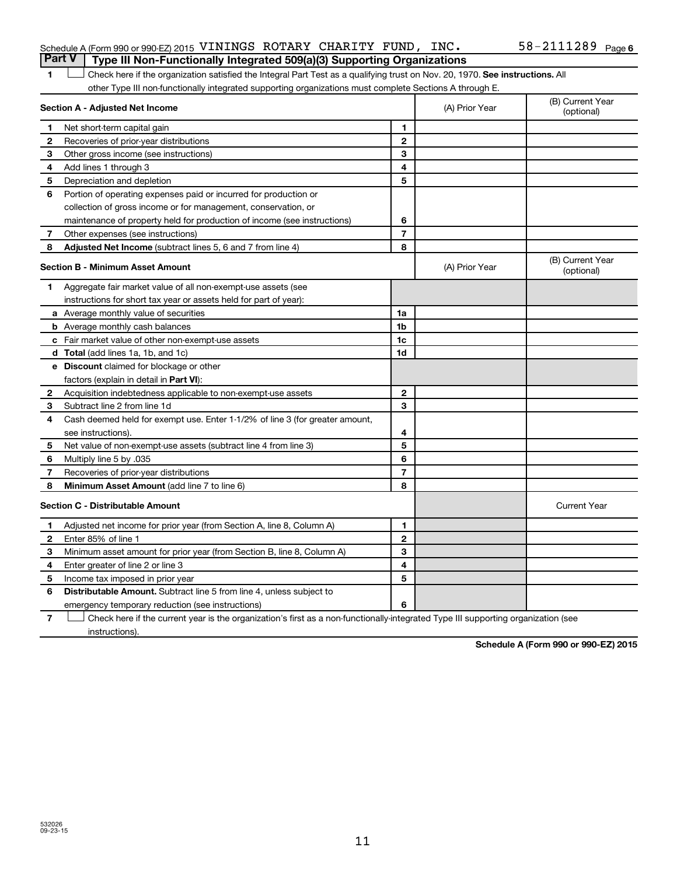#### Schedule A (Form 990 or 990-EZ) 2015 <code>VININGS ROTARY CHARITY FUND</code> , <code>INC</code> .  $58-2111289$  <code>Page</code> **Part V Type III Non-Functionally Integrated 509(a)(3) Supporting Organizations**

1 **Letter on Reck here if the organization satisfied the Integral Part Test as a qualifying trust on Nov. 20, 1970. See instructions. All** other Type III non-functionally integrated supporting organizations must complete Sections A through E.

|              | Section A - Adjusted Net Income                                              | (A) Prior Year           | (B) Current Year<br>(optional) |                                |
|--------------|------------------------------------------------------------------------------|--------------------------|--------------------------------|--------------------------------|
| 1            | Net short-term capital gain                                                  | 1                        |                                |                                |
| $\mathbf{2}$ | Recoveries of prior-year distributions                                       | $\mathbf{2}$             |                                |                                |
| 3            | Other gross income (see instructions)                                        | 3                        |                                |                                |
| 4            | Add lines 1 through 3                                                        | 4                        |                                |                                |
| 5            | Depreciation and depletion                                                   | 5                        |                                |                                |
| 6            | Portion of operating expenses paid or incurred for production or             |                          |                                |                                |
|              | collection of gross income or for management, conservation, or               |                          |                                |                                |
|              | maintenance of property held for production of income (see instructions)     | 6                        |                                |                                |
| 7            | Other expenses (see instructions)                                            | $\overline{7}$           |                                |                                |
| 8            | Adjusted Net Income (subtract lines 5, 6 and 7 from line 4)                  | 8                        |                                |                                |
|              | <b>Section B - Minimum Asset Amount</b>                                      |                          | (A) Prior Year                 | (B) Current Year<br>(optional) |
| 1            | Aggregate fair market value of all non-exempt-use assets (see                |                          |                                |                                |
|              | instructions for short tax year or assets held for part of year):            |                          |                                |                                |
|              | <b>a</b> Average monthly value of securities                                 | 1a                       |                                |                                |
|              | <b>b</b> Average monthly cash balances                                       | 1b                       |                                |                                |
|              | c Fair market value of other non-exempt-use assets                           | 1c                       |                                |                                |
|              | <b>d</b> Total (add lines 1a, 1b, and 1c)                                    | 1 <sub>d</sub>           |                                |                                |
|              | e Discount claimed for blockage or other                                     |                          |                                |                                |
|              | factors (explain in detail in <b>Part VI</b> ):                              |                          |                                |                                |
| $\mathbf{2}$ | Acquisition indebtedness applicable to non-exempt-use assets                 | $\mathbf{2}$             |                                |                                |
| 3            | Subtract line 2 from line 1d                                                 | 3                        |                                |                                |
| 4            | Cash deemed held for exempt use. Enter 1-1/2% of line 3 (for greater amount, |                          |                                |                                |
|              | see instructions).                                                           | 4                        |                                |                                |
| 5            | Net value of non-exempt-use assets (subtract line 4 from line 3)             | 5                        |                                |                                |
| 6            | Multiply line 5 by .035                                                      | 6                        |                                |                                |
| 7            | Recoveries of prior-year distributions                                       | $\overline{\phantom{a}}$ |                                |                                |
| 8            | <b>Minimum Asset Amount (add line 7 to line 6)</b>                           | 8                        |                                |                                |
|              | <b>Section C - Distributable Amount</b>                                      |                          |                                | <b>Current Year</b>            |
| 1            | Adjusted net income for prior year (from Section A, line 8, Column A)        | 1                        |                                |                                |
| 2            | Enter 85% of line 1                                                          | $\mathbf{2}$             |                                |                                |
| З            | Minimum asset amount for prior year (from Section B, line 8, Column A)       | 3                        |                                |                                |
| 4            | Enter greater of line 2 or line 3                                            | 4                        |                                |                                |
| 5            | Income tax imposed in prior year                                             | 5                        |                                |                                |
| 6            | Distributable Amount. Subtract line 5 from line 4, unless subject to         |                          |                                |                                |
|              | emergency temporary reduction (see instructions)                             | 6                        |                                |                                |
|              |                                                                              |                          |                                |                                |

**7** Check here if the current year is the organization's first as a non-functionally-integrated Type III supporting organization (see † instructions).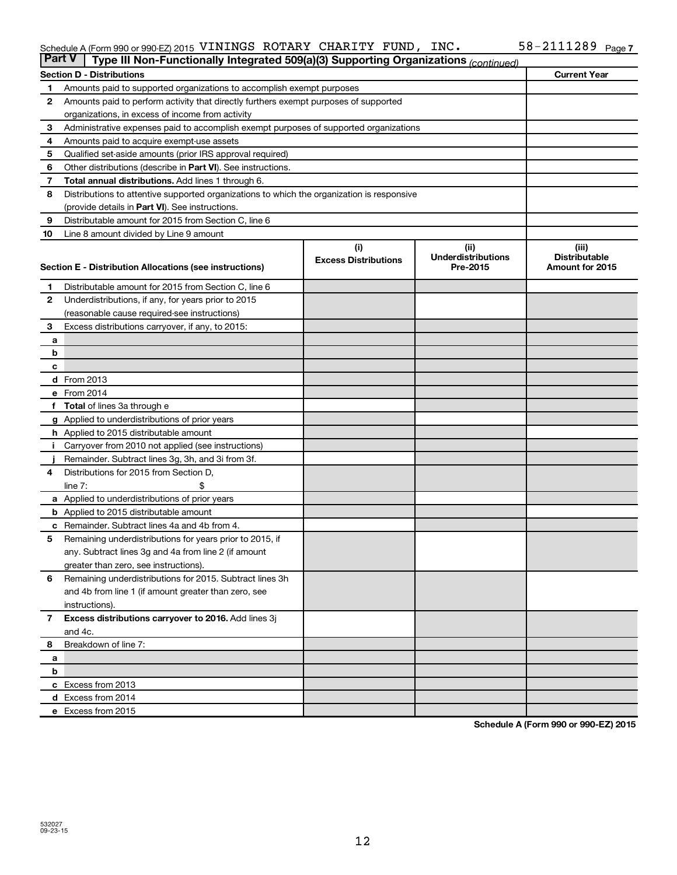#### Schedule A (Form 990 or 990-EZ) 2015 VININGS ROTARY CHARITY FUND,INC。 58-ZIIIZ89 Page VININGS ROTARY CHARITY FUND, INC. 58-2111289

|                | <b>Part V</b><br>Type III Non-Functionally Integrated 509(a)(3) Supporting Organizations (continued)   |                             |                                       |                                         |  |  |  |
|----------------|--------------------------------------------------------------------------------------------------------|-----------------------------|---------------------------------------|-----------------------------------------|--|--|--|
|                | <b>Current Year</b><br><b>Section D - Distributions</b>                                                |                             |                                       |                                         |  |  |  |
| 1              | Amounts paid to supported organizations to accomplish exempt purposes                                  |                             |                                       |                                         |  |  |  |
| 2              | Amounts paid to perform activity that directly furthers exempt purposes of supported                   |                             |                                       |                                         |  |  |  |
|                | organizations, in excess of income from activity                                                       |                             |                                       |                                         |  |  |  |
| 3              | Administrative expenses paid to accomplish exempt purposes of supported organizations                  |                             |                                       |                                         |  |  |  |
| 4              | Amounts paid to acquire exempt-use assets                                                              |                             |                                       |                                         |  |  |  |
| 5              | Qualified set-aside amounts (prior IRS approval required)                                              |                             |                                       |                                         |  |  |  |
| 6              | Other distributions (describe in Part VI). See instructions.                                           |                             |                                       |                                         |  |  |  |
| 7              | <b>Total annual distributions.</b> Add lines 1 through 6.                                              |                             |                                       |                                         |  |  |  |
| 8              | Distributions to attentive supported organizations to which the organization is responsive             |                             |                                       |                                         |  |  |  |
|                | (provide details in Part VI). See instructions.                                                        |                             |                                       |                                         |  |  |  |
| 9              | Distributable amount for 2015 from Section C, line 6                                                   |                             |                                       |                                         |  |  |  |
| 10             | Line 8 amount divided by Line 9 amount                                                                 |                             |                                       |                                         |  |  |  |
|                |                                                                                                        | (i)                         | (ii)                                  | (iii)                                   |  |  |  |
|                | Section E - Distribution Allocations (see instructions)                                                | <b>Excess Distributions</b> | <b>Underdistributions</b><br>Pre-2015 | <b>Distributable</b><br>Amount for 2015 |  |  |  |
|                |                                                                                                        |                             |                                       |                                         |  |  |  |
| 1              | Distributable amount for 2015 from Section C, line 6                                                   |                             |                                       |                                         |  |  |  |
| $\mathbf{2}$   | Underdistributions, if any, for years prior to 2015                                                    |                             |                                       |                                         |  |  |  |
|                | (reasonable cause required-see instructions)                                                           |                             |                                       |                                         |  |  |  |
| 3              | Excess distributions carryover, if any, to 2015:                                                       |                             |                                       |                                         |  |  |  |
| a              |                                                                                                        |                             |                                       |                                         |  |  |  |
| b              |                                                                                                        |                             |                                       |                                         |  |  |  |
| с              |                                                                                                        |                             |                                       |                                         |  |  |  |
|                | d From 2013<br>e From 2014                                                                             |                             |                                       |                                         |  |  |  |
|                |                                                                                                        |                             |                                       |                                         |  |  |  |
|                | <b>Total</b> of lines 3a through e                                                                     |                             |                                       |                                         |  |  |  |
|                | <b>g</b> Applied to underdistributions of prior years<br><b>h</b> Applied to 2015 distributable amount |                             |                                       |                                         |  |  |  |
|                | Carryover from 2010 not applied (see instructions)                                                     |                             |                                       |                                         |  |  |  |
|                | Remainder. Subtract lines 3g, 3h, and 3i from 3f.                                                      |                             |                                       |                                         |  |  |  |
| 4              | Distributions for 2015 from Section D,                                                                 |                             |                                       |                                         |  |  |  |
|                | $line 7$ :                                                                                             |                             |                                       |                                         |  |  |  |
|                | a Applied to underdistributions of prior years                                                         |                             |                                       |                                         |  |  |  |
|                | <b>b</b> Applied to 2015 distributable amount                                                          |                             |                                       |                                         |  |  |  |
| с              | Remainder. Subtract lines 4a and 4b from 4.                                                            |                             |                                       |                                         |  |  |  |
| 5              | Remaining underdistributions for years prior to 2015, if                                               |                             |                                       |                                         |  |  |  |
|                | any. Subtract lines 3g and 4a from line 2 (if amount                                                   |                             |                                       |                                         |  |  |  |
|                | greater than zero, see instructions).                                                                  |                             |                                       |                                         |  |  |  |
| 6              | Remaining underdistributions for 2015. Subtract lines 3h                                               |                             |                                       |                                         |  |  |  |
|                | and 4b from line 1 (if amount greater than zero, see                                                   |                             |                                       |                                         |  |  |  |
|                | instructions).                                                                                         |                             |                                       |                                         |  |  |  |
| $\overline{7}$ | Excess distributions carryover to 2016. Add lines 3j                                                   |                             |                                       |                                         |  |  |  |
|                | and 4c.                                                                                                |                             |                                       |                                         |  |  |  |
| 8              | Breakdown of line 7:                                                                                   |                             |                                       |                                         |  |  |  |
| a              |                                                                                                        |                             |                                       |                                         |  |  |  |
| b              |                                                                                                        |                             |                                       |                                         |  |  |  |
|                | c Excess from 2013                                                                                     |                             |                                       |                                         |  |  |  |
|                | d Excess from 2014                                                                                     |                             |                                       |                                         |  |  |  |
|                | e Excess from 2015                                                                                     |                             |                                       |                                         |  |  |  |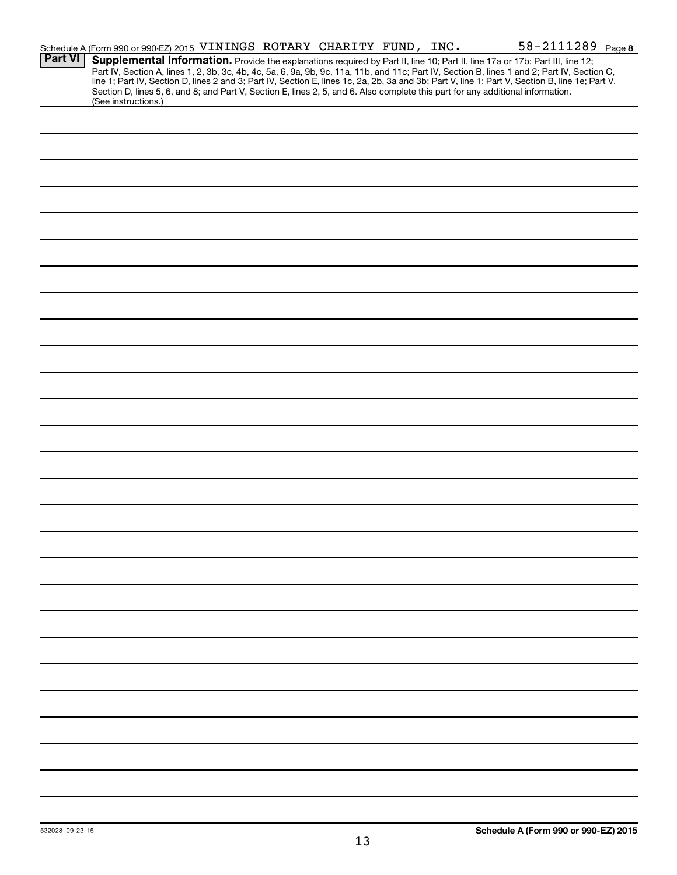|                | Schedule A (Form 990 or 990-EZ) 2015 VININGS ROTARY CHARITY FUND, INC.                                                                                                                                                                                                                                                                                                                                                                                                                                                                                                                     |  |  | 58-2111289 Page 8 |
|----------------|--------------------------------------------------------------------------------------------------------------------------------------------------------------------------------------------------------------------------------------------------------------------------------------------------------------------------------------------------------------------------------------------------------------------------------------------------------------------------------------------------------------------------------------------------------------------------------------------|--|--|-------------------|
| <b>Part VI</b> | Supplemental Information. Provide the explanations required by Part II, line 10; Part II, line 17a or 17b; Part III, line 12;<br>Part IV, Section A, lines 1, 2, 3b, 3c, 4b, 4c, 5a, 6, 9a, 9b, 9c, 11a, 11b, and 11c; Part IV, Section B, lines 1 and 2; Part IV, Section C,<br>line 1; Part IV, Section D, lines 2 and 3; Part IV, Section E, lines 1c, 2a, 2b, 3a and 3b; Part V, line 1; Part V, Section B, line 1e; Part V,<br>Section D, lines 5, 6, and 8; and Part V, Section E, lines 2, 5, and 6. Also complete this part for any additional information.<br>(See instructions.) |  |  |                   |
|                |                                                                                                                                                                                                                                                                                                                                                                                                                                                                                                                                                                                            |  |  |                   |
|                |                                                                                                                                                                                                                                                                                                                                                                                                                                                                                                                                                                                            |  |  |                   |
|                |                                                                                                                                                                                                                                                                                                                                                                                                                                                                                                                                                                                            |  |  |                   |
|                |                                                                                                                                                                                                                                                                                                                                                                                                                                                                                                                                                                                            |  |  |                   |
|                |                                                                                                                                                                                                                                                                                                                                                                                                                                                                                                                                                                                            |  |  |                   |
|                |                                                                                                                                                                                                                                                                                                                                                                                                                                                                                                                                                                                            |  |  |                   |
|                |                                                                                                                                                                                                                                                                                                                                                                                                                                                                                                                                                                                            |  |  |                   |
|                |                                                                                                                                                                                                                                                                                                                                                                                                                                                                                                                                                                                            |  |  |                   |
|                |                                                                                                                                                                                                                                                                                                                                                                                                                                                                                                                                                                                            |  |  |                   |
|                |                                                                                                                                                                                                                                                                                                                                                                                                                                                                                                                                                                                            |  |  |                   |
|                |                                                                                                                                                                                                                                                                                                                                                                                                                                                                                                                                                                                            |  |  |                   |
|                |                                                                                                                                                                                                                                                                                                                                                                                                                                                                                                                                                                                            |  |  |                   |
|                |                                                                                                                                                                                                                                                                                                                                                                                                                                                                                                                                                                                            |  |  |                   |
|                |                                                                                                                                                                                                                                                                                                                                                                                                                                                                                                                                                                                            |  |  |                   |
|                |                                                                                                                                                                                                                                                                                                                                                                                                                                                                                                                                                                                            |  |  |                   |
|                |                                                                                                                                                                                                                                                                                                                                                                                                                                                                                                                                                                                            |  |  |                   |
|                |                                                                                                                                                                                                                                                                                                                                                                                                                                                                                                                                                                                            |  |  |                   |
|                |                                                                                                                                                                                                                                                                                                                                                                                                                                                                                                                                                                                            |  |  |                   |
|                |                                                                                                                                                                                                                                                                                                                                                                                                                                                                                                                                                                                            |  |  |                   |
|                |                                                                                                                                                                                                                                                                                                                                                                                                                                                                                                                                                                                            |  |  |                   |
|                |                                                                                                                                                                                                                                                                                                                                                                                                                                                                                                                                                                                            |  |  |                   |
|                |                                                                                                                                                                                                                                                                                                                                                                                                                                                                                                                                                                                            |  |  |                   |
|                |                                                                                                                                                                                                                                                                                                                                                                                                                                                                                                                                                                                            |  |  |                   |
|                |                                                                                                                                                                                                                                                                                                                                                                                                                                                                                                                                                                                            |  |  |                   |
|                |                                                                                                                                                                                                                                                                                                                                                                                                                                                                                                                                                                                            |  |  |                   |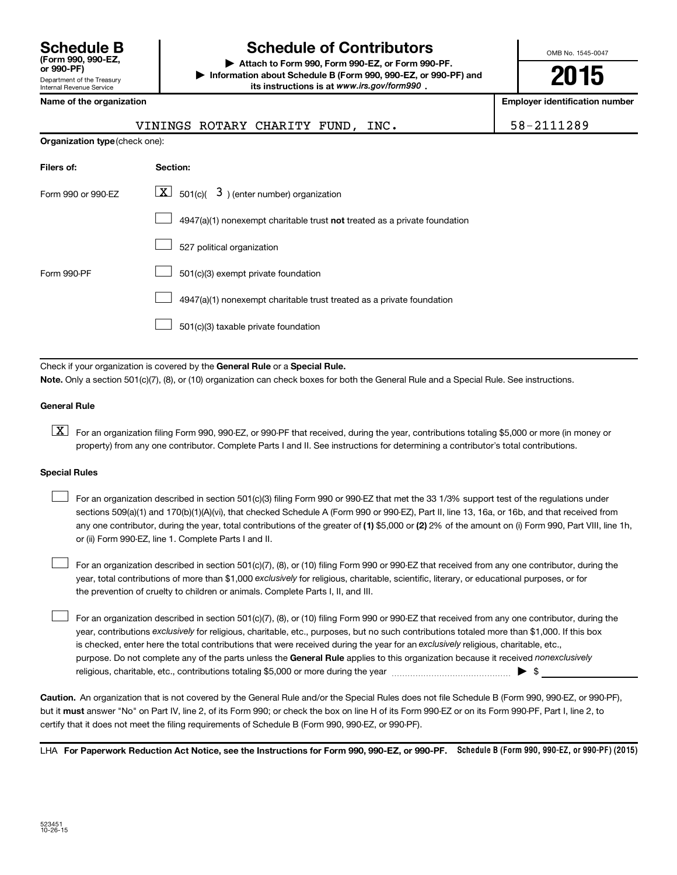| <b>Schedule B</b><br>(Form 990, 990-EZ.<br>or 990-PF)         |
|---------------------------------------------------------------|
| Department of the Treasury<br><b>Internal Revenue Service</b> |

### **Schedule of Contributors**

**or 990-PF) | Attach to Form 990, Form 990-EZ, or Form 990-PF. | Information about Schedule B (Form 990, 990-EZ, or 990-PF) and** its instructions is at www.irs.gov/form990.

OMB No. 1545-0047

**2015**

**Employer identification number** 

|  | Name of the organization |
|--|--------------------------|
|--|--------------------------|

| VININGS ROTARY CHARITY FUND, INC. |  |  |  |  |
|-----------------------------------|--|--|--|--|
|-----------------------------------|--|--|--|--|

58-2111289

| <b>Organization type (check one):</b> |                                                                           |  |  |  |  |  |
|---------------------------------------|---------------------------------------------------------------------------|--|--|--|--|--|
| Filers of:                            | Section:                                                                  |  |  |  |  |  |
| Form 990 or 990-EZ                    | $\boxed{\textbf{X}}$ 501(c)( 3) (enter number) organization               |  |  |  |  |  |
|                                       | 4947(a)(1) nonexempt charitable trust not treated as a private foundation |  |  |  |  |  |
|                                       | 527 political organization                                                |  |  |  |  |  |
| Form 990-PF                           | 501(c)(3) exempt private foundation                                       |  |  |  |  |  |
|                                       | 4947(a)(1) nonexempt charitable trust treated as a private foundation     |  |  |  |  |  |
|                                       | 501(c)(3) taxable private foundation                                      |  |  |  |  |  |

Check if your organization is covered by the General Rule or a Special Rule.

**Note.**  Only a section 501(c)(7), (8), or (10) organization can check boxes for both the General Rule and a Special Rule. See instructions.

#### **General Rule**

**K** For an organization filing Form 990, 990-EZ, or 990-PF that received, during the year, contributions totaling \$5,000 or more (in money or property) from any one contributor. Complete Parts I and II. See instructions for determining a contributor's total contributions.

#### **Special Rules**

 $\Box$ 

any one contributor, during the year, total contributions of the greater of **(1)** \$5,000 or **(2)** 2% of the amount on (i) Form 990, Part VIII, line 1h, For an organization described in section 501(c)(3) filing Form 990 or 990-EZ that met the 33 1/3% support test of the regulations under sections 509(a)(1) and 170(b)(1)(A)(vi), that checked Schedule A (Form 990 or 990-EZ), Part II, line 13, 16a, or 16b, and that received from or (ii) Form 990-EZ, line 1. Complete Parts I and II.  $\Box$ 

year, total contributions of more than \$1,000 *exclusively* for religious, charitable, scientific, literary, or educational purposes, or for For an organization described in section 501(c)(7), (8), or (10) filing Form 990 or 990-EZ that received from any one contributor, during the the prevention of cruelty to children or animals. Complete Parts I, II, and III.  $\Box$ 

purpose. Do not complete any of the parts unless the General Rule applies to this organization because it received nonexclusively year, contributions exclusively for religious, charitable, etc., purposes, but no such contributions totaled more than \$1,000. If this box is checked, enter here the total contributions that were received during the year for an exclusively religious, charitable, etc., For an organization described in section 501(c)(7), (8), or (10) filing Form 990 or 990-EZ that received from any one contributor, during the religious, charitable, etc., contributions totaling \$5,000 or more during the year  $\ldots$  $\ldots$  $\ldots$  $\ldots$  $\ldots$  $\ldots$ 

**Caution.** An organization that is not covered by the General Rule and/or the Special Rules does not file Schedule B (Form 990, 990-EZ, or 990-PF),  **must** but it answer "No" on Part IV, line 2, of its Form 990; or check the box on line H of its Form 990-EZ or on its Form 990-PF, Part I, line 2, to certify that it does not meet the filing requirements of Schedule B (Form 990, 990-EZ, or 990-PF).

LHA For Paperwork Reduction Act Notice, see the Instructions for Form 990, 990-EZ, or 990-PF. Schedule B (Form 990, 990-EZ, or 990-PF) (2015)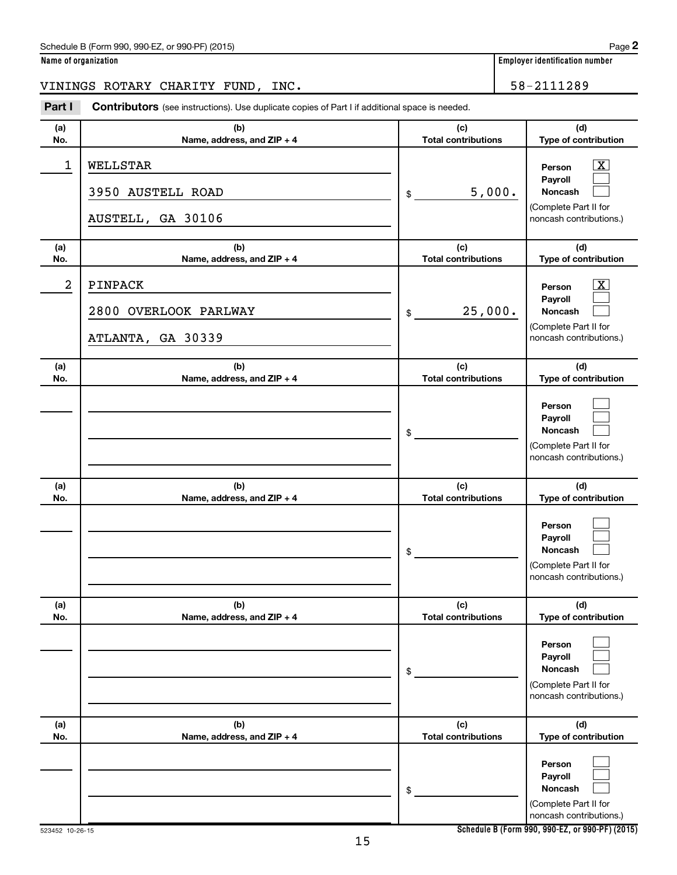#### Schedule B (Form 990, 990-EZ, or 990-PF) (2015)

|  | Name of organization |
|--|----------------------|
|  |                      |

**Employer identification number** 

VININGS ROTARY CHARITY FUND, INC. 58-2111289

**Part I** Contributors (see instructions). Use duplicate copies of Part I if additional space is needed.

| (a)<br>No. | (b)<br>Name, address, and ZIP + 4                     | (c)<br><b>Total contributions</b> | (d)<br>Type of contribution                                                                                     |
|------------|-------------------------------------------------------|-----------------------------------|-----------------------------------------------------------------------------------------------------------------|
| 1          | WELLSTAR<br>3950 AUSTELL ROAD<br>AUSTELL, GA 30106    | 5,000.<br>\$                      | $\boxed{\textbf{X}}$<br>Person<br>Payroll<br><b>Noncash</b><br>(Complete Part II for<br>noncash contributions.) |
| (a)<br>No. | (b)<br>Name, address, and ZIP + 4                     | (c)<br><b>Total contributions</b> | (d)<br>Type of contribution                                                                                     |
| 2          | PINPACK<br>2800 OVERLOOK PARLWAY<br>ATLANTA, GA 30339 | 25,000.<br>\$                     | $\boxed{\textbf{X}}$<br>Person<br>Payroll<br>Noncash<br>(Complete Part II for<br>noncash contributions.)        |
| (a)<br>No. | (b)<br>Name, address, and ZIP + 4                     | (c)<br><b>Total contributions</b> | (d)<br>Type of contribution                                                                                     |
|            |                                                       | \$                                | Person<br>Payroll<br><b>Noncash</b><br>(Complete Part II for<br>noncash contributions.)                         |
| (a)<br>No. | (b)<br>Name, address, and ZIP + 4                     | (c)<br><b>Total contributions</b> | (d)<br>Type of contribution                                                                                     |
|            |                                                       | \$                                | Person<br>Payroll<br>Noncash<br>(Complete Part II for<br>noncash contributions.)                                |
| (a)<br>No. | (b)<br>Name, address, and ZIP + 4                     | (c)<br><b>Total contributions</b> | (d)<br>Type of contribution                                                                                     |
|            |                                                       | \$                                | Person<br>Payroll<br>Noncash<br>(Complete Part II for<br>noncash contributions.)                                |
| (a)<br>No. | (b)<br>Name, address, and ZIP + 4                     | (c)<br><b>Total contributions</b> | (d)<br>Type of contribution                                                                                     |
|            |                                                       | \$                                | Person<br>Payroll<br>Noncash<br>(Complete Part II for<br>noncash contributions.)                                |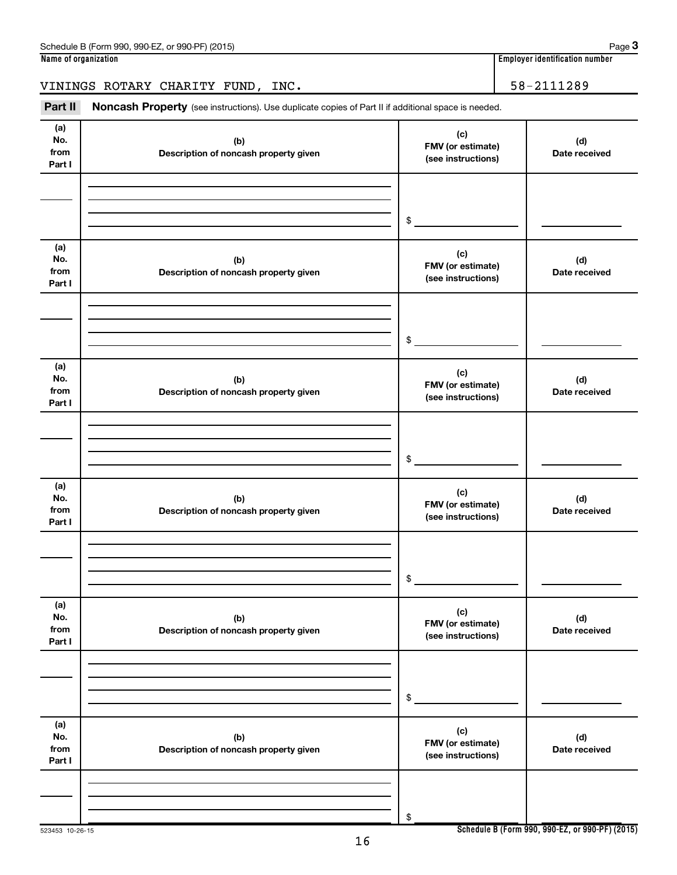VININGS ROTARY CHARITY FUND, INC. 58-2111289

Part II Noncash Property (see instructions). Use duplicate copies of Part II if additional space is needed.

| (a)<br>No.<br>from<br>Part I | (b)<br>Description of noncash property given | (c)<br>FMV (or estimate)<br>(see instructions) | (d)<br>Date received |
|------------------------------|----------------------------------------------|------------------------------------------------|----------------------|
|                              |                                              |                                                |                      |
|                              |                                              | $\frac{1}{2}$                                  |                      |
| (a)<br>No.<br>from<br>Part I | (b)<br>Description of noncash property given | (c)<br>FMV (or estimate)<br>(see instructions) | (d)<br>Date received |
|                              |                                              | $\frac{1}{2}$                                  |                      |
| (a)<br>No.<br>from<br>Part I | (b)<br>Description of noncash property given | (c)<br>FMV (or estimate)<br>(see instructions) | (d)<br>Date received |
|                              |                                              | $\frac{1}{2}$                                  |                      |
| (a)<br>No.<br>from<br>Part I | (b)<br>Description of noncash property given | (c)<br>FMV (or estimate)<br>(see instructions) | (d)<br>Date received |
|                              |                                              | $\circ$                                        |                      |
| (a)<br>No.<br>from<br>Part I | (b)<br>Description of noncash property given | (c)<br>FMV (or estimate)<br>(see instructions) | (d)<br>Date received |
|                              |                                              | \$                                             |                      |
| (a)<br>No.<br>from<br>Part I | (b)<br>Description of noncash property given | (c)<br>FMV (or estimate)<br>(see instructions) | (d)<br>Date received |
|                              |                                              | \$                                             |                      |

**Schedule B (Form 990, 990-EZ, or 990-PF) (2015)**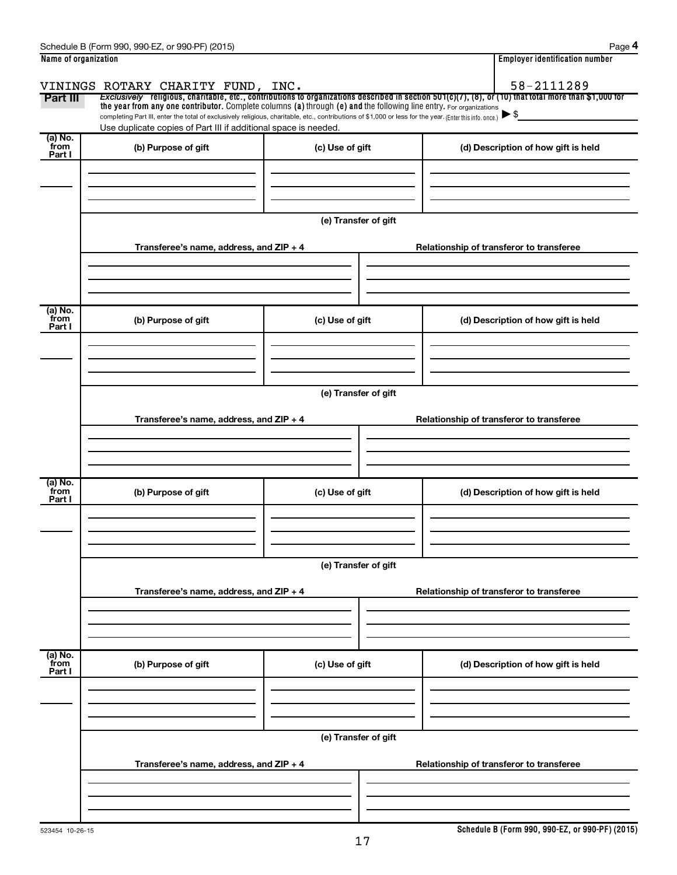|                      | Schedule B (Form 990, 990-EZ, or 990-PF) (2015)                                                                                                          |                      | Page 4                                                                                                                                                   |  |  |  |  |
|----------------------|----------------------------------------------------------------------------------------------------------------------------------------------------------|----------------------|----------------------------------------------------------------------------------------------------------------------------------------------------------|--|--|--|--|
| Name of organization |                                                                                                                                                          |                      | <b>Employer identification number</b>                                                                                                                    |  |  |  |  |
|                      | VININGS ROTARY CHARITY FUND, INC.                                                                                                                        |                      | 58-2111289                                                                                                                                               |  |  |  |  |
| Part III             | the year from any one contributor. Complete columns (a) through (e) and the following line entry. For organizations                                      |                      | Exclusively religious, charitable, etc., contributions to organizations described in section $501(c)(7)$ , (8), or (10) that total more than \$1,000 for |  |  |  |  |
|                      | completing Part III, enter the total of exclusively religious, charitable, etc., contributions of \$1,000 or less for the year. (Enter this info. once.) |                      |                                                                                                                                                          |  |  |  |  |
| (a) No.              | Use duplicate copies of Part III if additional space is needed.                                                                                          |                      |                                                                                                                                                          |  |  |  |  |
| from<br>Part I       | (b) Purpose of gift                                                                                                                                      | (c) Use of gift      | (d) Description of how gift is held                                                                                                                      |  |  |  |  |
|                      |                                                                                                                                                          |                      |                                                                                                                                                          |  |  |  |  |
|                      |                                                                                                                                                          |                      |                                                                                                                                                          |  |  |  |  |
|                      |                                                                                                                                                          |                      |                                                                                                                                                          |  |  |  |  |
|                      |                                                                                                                                                          | (e) Transfer of gift |                                                                                                                                                          |  |  |  |  |
|                      | Transferee's name, address, and ZIP + 4                                                                                                                  |                      | Relationship of transferor to transferee                                                                                                                 |  |  |  |  |
|                      |                                                                                                                                                          |                      |                                                                                                                                                          |  |  |  |  |
|                      |                                                                                                                                                          |                      |                                                                                                                                                          |  |  |  |  |
|                      |                                                                                                                                                          |                      |                                                                                                                                                          |  |  |  |  |
| (a) No.<br>from      | (b) Purpose of gift                                                                                                                                      |                      |                                                                                                                                                          |  |  |  |  |
| Part I               |                                                                                                                                                          | (c) Use of gift      | (d) Description of how gift is held                                                                                                                      |  |  |  |  |
|                      |                                                                                                                                                          |                      |                                                                                                                                                          |  |  |  |  |
|                      |                                                                                                                                                          |                      |                                                                                                                                                          |  |  |  |  |
|                      |                                                                                                                                                          | (e) Transfer of gift |                                                                                                                                                          |  |  |  |  |
|                      |                                                                                                                                                          |                      |                                                                                                                                                          |  |  |  |  |
|                      | Transferee's name, address, and ZIP + 4                                                                                                                  |                      | Relationship of transferor to transferee                                                                                                                 |  |  |  |  |
|                      |                                                                                                                                                          |                      |                                                                                                                                                          |  |  |  |  |
|                      |                                                                                                                                                          |                      |                                                                                                                                                          |  |  |  |  |
| (a) No.              |                                                                                                                                                          |                      |                                                                                                                                                          |  |  |  |  |
| from<br>Part I       | (b) Purpose of gift                                                                                                                                      | (c) Use of gift      | (d) Description of how gift is held                                                                                                                      |  |  |  |  |
|                      |                                                                                                                                                          |                      |                                                                                                                                                          |  |  |  |  |
|                      |                                                                                                                                                          |                      |                                                                                                                                                          |  |  |  |  |
|                      |                                                                                                                                                          |                      |                                                                                                                                                          |  |  |  |  |
|                      |                                                                                                                                                          | (e) Transfer of gift |                                                                                                                                                          |  |  |  |  |
|                      |                                                                                                                                                          |                      | Relationship of transferor to transferee                                                                                                                 |  |  |  |  |
|                      | Transferee's name, address, and ZIP + 4                                                                                                                  |                      |                                                                                                                                                          |  |  |  |  |
|                      |                                                                                                                                                          |                      |                                                                                                                                                          |  |  |  |  |
|                      |                                                                                                                                                          |                      |                                                                                                                                                          |  |  |  |  |
| (a) No.<br>from      | (b) Purpose of gift                                                                                                                                      | (c) Use of gift      | (d) Description of how gift is held                                                                                                                      |  |  |  |  |
| Part I               |                                                                                                                                                          |                      |                                                                                                                                                          |  |  |  |  |
|                      |                                                                                                                                                          |                      |                                                                                                                                                          |  |  |  |  |
|                      |                                                                                                                                                          |                      |                                                                                                                                                          |  |  |  |  |
|                      |                                                                                                                                                          |                      |                                                                                                                                                          |  |  |  |  |
|                      | (e) Transfer of gift                                                                                                                                     |                      |                                                                                                                                                          |  |  |  |  |
|                      | Transferee's name, address, and ZIP + 4                                                                                                                  |                      | Relationship of transferor to transferee                                                                                                                 |  |  |  |  |
|                      |                                                                                                                                                          |                      |                                                                                                                                                          |  |  |  |  |
|                      |                                                                                                                                                          |                      |                                                                                                                                                          |  |  |  |  |
|                      |                                                                                                                                                          |                      |                                                                                                                                                          |  |  |  |  |

**Schedule B (Form 990, 990-EZ, or 990-PF) (2015)**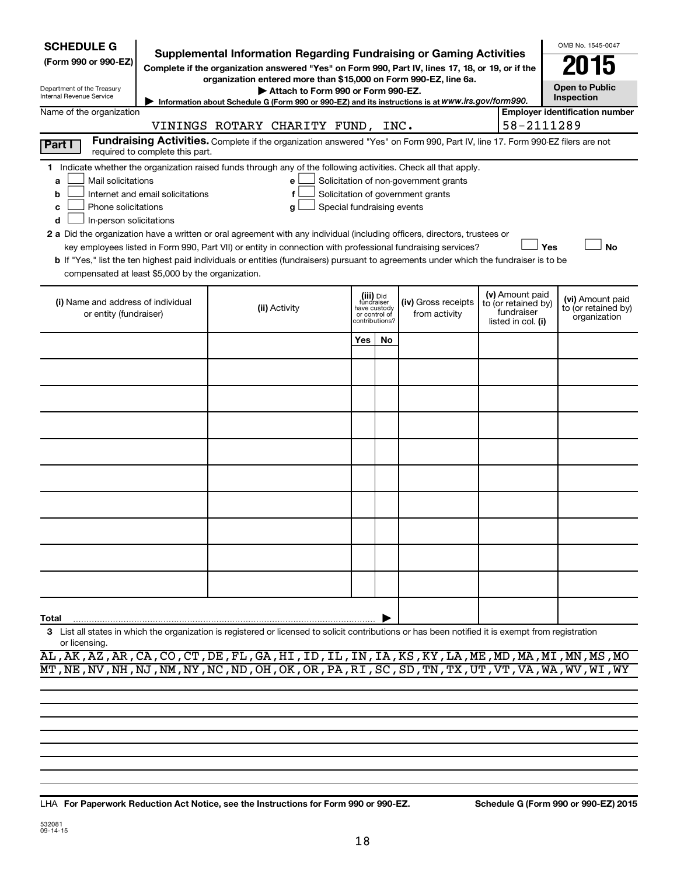| <b>SCHEDULE G</b>                                                                                                                                                                                                                                                                                                                                                          |                                                                                                                                                                                                             |  |                                   |     |                                                                            | <b>Supplemental Information Regarding Fundraising or Gaming Activities</b>                                  |  |                                                                            | OMB No. 1545-0047                                       |
|----------------------------------------------------------------------------------------------------------------------------------------------------------------------------------------------------------------------------------------------------------------------------------------------------------------------------------------------------------------------------|-------------------------------------------------------------------------------------------------------------------------------------------------------------------------------------------------------------|--|-----------------------------------|-----|----------------------------------------------------------------------------|-------------------------------------------------------------------------------------------------------------|--|----------------------------------------------------------------------------|---------------------------------------------------------|
| (Form 990 or 990-EZ)                                                                                                                                                                                                                                                                                                                                                       |                                                                                                                                                                                                             |  |                                   |     |                                                                            | Complete if the organization answered "Yes" on Form 990, Part IV, lines 17, 18, or 19, or if the            |  |                                                                            | 115                                                     |
| Department of the Treasury<br>Internal Revenue Service                                                                                                                                                                                                                                                                                                                     | organization entered more than \$15,000 on Form 990-EZ, line 6a.<br>Attach to Form 990 or Form 990-EZ.<br>Information about Schedule G (Form 990 or 990-EZ) and its instructions is at WWW.irs.gov/form990. |  |                                   |     |                                                                            |                                                                                                             |  |                                                                            | <b>Open to Public</b><br>Inspection                     |
| Name of the organization                                                                                                                                                                                                                                                                                                                                                   |                                                                                                                                                                                                             |  |                                   |     |                                                                            |                                                                                                             |  |                                                                            | <b>Employer identification number</b>                   |
|                                                                                                                                                                                                                                                                                                                                                                            |                                                                                                                                                                                                             |  | VININGS ROTARY CHARITY FUND, INC. |     |                                                                            |                                                                                                             |  | 58-2111289                                                                 |                                                         |
| Fundraising Activities. Complete if the organization answered "Yes" on Form 990, Part IV, line 17. Form 990-EZ filers are not<br>Part I<br>required to complete this part.                                                                                                                                                                                                 |                                                                                                                                                                                                             |  |                                   |     |                                                                            |                                                                                                             |  |                                                                            |                                                         |
| 1 Indicate whether the organization raised funds through any of the following activities. Check all that apply.<br>Mail solicitations<br>Solicitation of non-government grants<br>a<br>е<br>Solicitation of government grants<br>Internet and email solicitations<br>b<br>f<br>Special fundraising events<br>Phone solicitations<br>c<br>g<br>In-person solicitations<br>d |                                                                                                                                                                                                             |  |                                   |     |                                                                            |                                                                                                             |  |                                                                            |                                                         |
| 2 a Did the organization have a written or oral agreement with any individual (including officers, directors, trustees or<br>b If "Yes," list the ten highest paid individuals or entities (fundraisers) pursuant to agreements under which the fundraiser is to be<br>compensated at least \$5,000 by the organization.                                                   |                                                                                                                                                                                                             |  |                                   |     |                                                                            | key employees listed in Form 990, Part VII) or entity in connection with professional fundraising services? |  | Yes                                                                        | <b>No</b>                                               |
| (i) Name and address of individual<br>or entity (fundraiser)                                                                                                                                                                                                                                                                                                               |                                                                                                                                                                                                             |  | (ii) Activity                     |     | (iii) Did<br>fundraiser<br>have custody<br>or control of<br>contributions? | (iv) Gross receipts<br>from activity                                                                        |  | (v) Amount paid<br>to (or retained by)<br>fundraiser<br>listed in col. (i) | (vi) Amount paid<br>to (or retained by)<br>organization |
|                                                                                                                                                                                                                                                                                                                                                                            |                                                                                                                                                                                                             |  |                                   | Yes | No                                                                         |                                                                                                             |  |                                                                            |                                                         |
|                                                                                                                                                                                                                                                                                                                                                                            |                                                                                                                                                                                                             |  |                                   |     |                                                                            |                                                                                                             |  |                                                                            |                                                         |
|                                                                                                                                                                                                                                                                                                                                                                            |                                                                                                                                                                                                             |  |                                   |     |                                                                            |                                                                                                             |  |                                                                            |                                                         |
|                                                                                                                                                                                                                                                                                                                                                                            |                                                                                                                                                                                                             |  |                                   |     |                                                                            |                                                                                                             |  |                                                                            |                                                         |
|                                                                                                                                                                                                                                                                                                                                                                            |                                                                                                                                                                                                             |  |                                   |     |                                                                            |                                                                                                             |  |                                                                            |                                                         |
|                                                                                                                                                                                                                                                                                                                                                                            |                                                                                                                                                                                                             |  |                                   |     |                                                                            |                                                                                                             |  |                                                                            |                                                         |
|                                                                                                                                                                                                                                                                                                                                                                            |                                                                                                                                                                                                             |  |                                   |     |                                                                            |                                                                                                             |  |                                                                            |                                                         |
|                                                                                                                                                                                                                                                                                                                                                                            |                                                                                                                                                                                                             |  |                                   |     |                                                                            |                                                                                                             |  |                                                                            |                                                         |
|                                                                                                                                                                                                                                                                                                                                                                            |                                                                                                                                                                                                             |  |                                   |     |                                                                            |                                                                                                             |  |                                                                            |                                                         |
|                                                                                                                                                                                                                                                                                                                                                                            |                                                                                                                                                                                                             |  |                                   |     |                                                                            |                                                                                                             |  |                                                                            |                                                         |
| Total                                                                                                                                                                                                                                                                                                                                                                      |                                                                                                                                                                                                             |  |                                   |     |                                                                            |                                                                                                             |  |                                                                            |                                                         |
| 3 List all states in which the organization is registered or licensed to solicit contributions or has been notified it is exempt from registration<br>or licensing.                                                                                                                                                                                                        |                                                                                                                                                                                                             |  |                                   |     |                                                                            |                                                                                                             |  |                                                                            |                                                         |

AL,AK,AZ,AR,CA,CO,CT,DE,FL,GA,HI,ID,IL,IN,IA,KS,KY,LA,ME,MD,MA,MI,MN,MS,MO MT,NE,NV,NH,NJ,NM,NY,NC,ND,OH,OK,OR,PA,RI,SC,SD,TN,TX,UT,VT,VA,WA,WV,WI,WY

**For Paperwork Reduction Act Notice, see the Instructions for Form 990 or 990-EZ. Schedule G (Form 990 or 990-EZ) 2015** LHA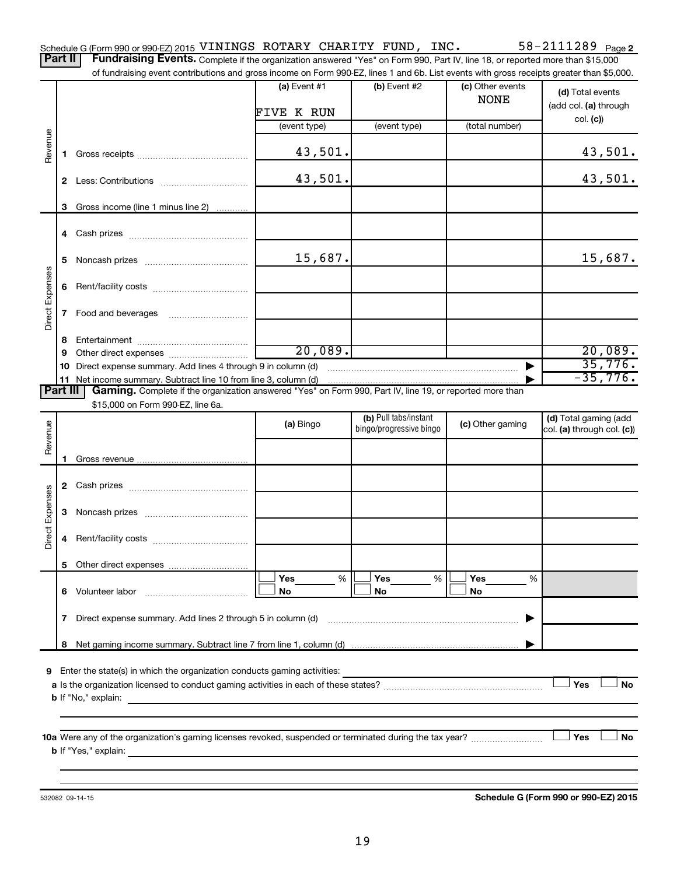of fundraising event contributions and gross income on Form 990-EZ, lines 1 and 6b. List events with gross receipts greater than \$5,000.

|                 |    | andonity overtresont bandarons and gross inserito on nominoso EZ, intos in and ob. Else events with gross receipts groater than $\phi$ o,oos. |                      |                         |                                 |                            |
|-----------------|----|-----------------------------------------------------------------------------------------------------------------------------------------------|----------------------|-------------------------|---------------------------------|----------------------------|
|                 |    |                                                                                                                                               | (a) Event $#1$       | (b) Event #2            | (c) Other events<br><b>NONE</b> | (d) Total events           |
|                 |    |                                                                                                                                               | FIVE K RUN           |                         |                                 | (add col. (a) through      |
|                 |    |                                                                                                                                               | (event type)         | (event type)            | (total number)                  | col. (c)                   |
|                 |    |                                                                                                                                               |                      |                         |                                 |                            |
| Revenue         |    |                                                                                                                                               | 43,501.              |                         |                                 | 43,501.                    |
|                 |    |                                                                                                                                               | 43,501.              |                         |                                 | 43,501.                    |
|                 |    | 3 Gross income (line 1 minus line 2)                                                                                                          |                      |                         |                                 |                            |
|                 |    |                                                                                                                                               |                      |                         |                                 |                            |
|                 |    |                                                                                                                                               |                      |                         |                                 |                            |
|                 | 5. |                                                                                                                                               | 15,687.              |                         |                                 | 15,687.                    |
|                 | 6  |                                                                                                                                               |                      |                         |                                 |                            |
| Direct Expenses | 7  | Food and beverages                                                                                                                            |                      |                         |                                 |                            |
|                 | 8. |                                                                                                                                               |                      |                         |                                 |                            |
|                 | 9  |                                                                                                                                               | $\overline{20,089.}$ |                         |                                 | 20,089.                    |
|                 |    | 10 Direct expense summary. Add lines 4 through 9 in column (d)                                                                                |                      |                         |                                 | 35,776.                    |
|                 |    |                                                                                                                                               |                      |                         |                                 | $-35,776.$                 |
| <b>Part III</b> |    | Gaming. Complete if the organization answered "Yes" on Form 990, Part IV, line 19, or reported more than                                      |                      |                         |                                 |                            |
|                 |    | \$15,000 on Form 990-EZ, line 6a.                                                                                                             |                      |                         |                                 |                            |
|                 |    |                                                                                                                                               | (a) Bingo            | (b) Pull tabs/instant   | (c) Other gaming                | (d) Total gaming (add      |
| Revenue         |    |                                                                                                                                               |                      | bingo/progressive bingo |                                 | col. (a) through col. (c)) |
|                 |    |                                                                                                                                               |                      |                         |                                 |                            |
|                 |    |                                                                                                                                               |                      |                         |                                 |                            |
|                 |    |                                                                                                                                               |                      |                         |                                 |                            |
|                 |    |                                                                                                                                               |                      |                         |                                 |                            |
|                 | 3  |                                                                                                                                               |                      |                         |                                 |                            |
| Direct Expenses | 4  |                                                                                                                                               |                      |                         |                                 |                            |
|                 |    |                                                                                                                                               |                      |                         |                                 |                            |
|                 |    |                                                                                                                                               |                      |                         |                                 |                            |
|                 |    |                                                                                                                                               | <b>Yes</b><br>%      | Yes<br>%                | Yes<br>%                        |                            |
|                 | 6. | Volunteer labor                                                                                                                               | No                   | No                      | No                              |                            |
|                 | 7  | Direct expense summary. Add lines 2 through 5 in column (d)                                                                                   |                      |                         |                                 |                            |
|                 |    |                                                                                                                                               |                      |                         |                                 |                            |
|                 | 8  |                                                                                                                                               |                      |                         |                                 |                            |
|                 |    |                                                                                                                                               |                      |                         |                                 |                            |
| 9               |    | Enter the state(s) in which the organization conducts gaming activities:                                                                      |                      |                         |                                 | Yes<br><b>No</b>           |
|                 |    |                                                                                                                                               |                      |                         |                                 |                            |
|                 |    | <b>b</b> If "No," explain:                                                                                                                    |                      |                         |                                 |                            |
|                 |    |                                                                                                                                               |                      |                         |                                 |                            |
|                 |    | 10a Were any of the organization's gaming licenses revoked, suspended or terminated during the tax year?                                      |                      |                         |                                 | Yes<br>No                  |
|                 |    | <b>b</b> If "Yes," explain:<br><u> 1980 - Jan Sterling Sterling (d. 1980)</u>                                                                 |                      |                         |                                 |                            |
|                 |    |                                                                                                                                               |                      |                         |                                 |                            |
|                 |    |                                                                                                                                               |                      |                         |                                 |                            |

532082 09-14-15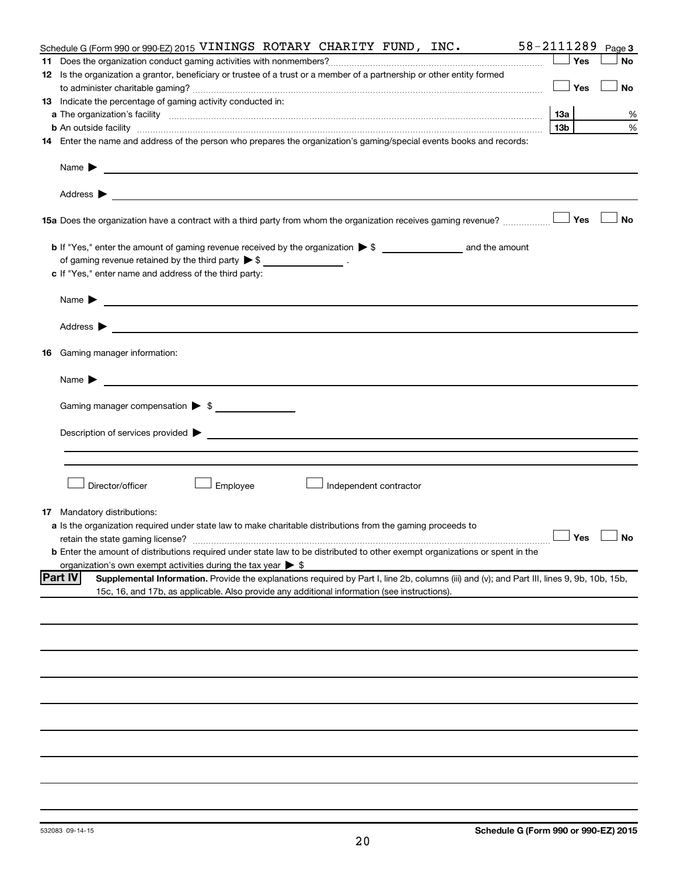| Schedule G (Form 990 or 990-EZ) 2015 VININGS ROTARY CHARITY FUND, INC.                                                                                                                                                                                         | 58-2111289      |     | Page 3               |
|----------------------------------------------------------------------------------------------------------------------------------------------------------------------------------------------------------------------------------------------------------------|-----------------|-----|----------------------|
| 11                                                                                                                                                                                                                                                             |                 | Yes | <b>No</b>            |
| 12 Is the organization a grantor, beneficiary or trustee of a trust or a member of a partnership or other entity formed                                                                                                                                        |                 |     |                      |
|                                                                                                                                                                                                                                                                |                 | Yes | No                   |
| 13 Indicate the percentage of gaming activity conducted in:                                                                                                                                                                                                    |                 |     |                      |
|                                                                                                                                                                                                                                                                |                 |     | %                    |
|                                                                                                                                                                                                                                                                | 13 <sub>b</sub> |     | %                    |
| 14 Enter the name and address of the person who prepares the organization's gaming/special events books and records:                                                                                                                                           |                 |     |                      |
|                                                                                                                                                                                                                                                                |                 |     |                      |
|                                                                                                                                                                                                                                                                |                 |     |                      |
| Address $\blacktriangleright$<br>the control of the control of the control of the control of the control of the control of the control of the control of the control of the control of the control of the control of the control of the control of the control |                 |     |                      |
| 15a Does the organization have a contract with a third party from whom the organization receives gaming revenue?                                                                                                                                               |                 | Yes | <b>No</b>            |
|                                                                                                                                                                                                                                                                |                 |     |                      |
| of gaming revenue retained by the third party $\triangleright$ \$ __________________.                                                                                                                                                                          |                 |     |                      |
|                                                                                                                                                                                                                                                                |                 |     |                      |
| c If "Yes," enter name and address of the third party:                                                                                                                                                                                                         |                 |     |                      |
|                                                                                                                                                                                                                                                                |                 |     |                      |
|                                                                                                                                                                                                                                                                |                 |     |                      |
| 16 Gaming manager information:                                                                                                                                                                                                                                 |                 |     |                      |
|                                                                                                                                                                                                                                                                |                 |     |                      |
|                                                                                                                                                                                                                                                                |                 |     |                      |
| Gaming manager compensation > \$                                                                                                                                                                                                                               |                 |     |                      |
|                                                                                                                                                                                                                                                                |                 |     |                      |
|                                                                                                                                                                                                                                                                |                 |     |                      |
| Director/officer<br>Employee<br>Independent contractor                                                                                                                                                                                                         |                 |     |                      |
| Mandatory distributions:<br>17                                                                                                                                                                                                                                 |                 |     |                      |
| a Is the organization required under state law to make charitable distributions from the gaming proceeds to                                                                                                                                                    |                 |     |                      |
|                                                                                                                                                                                                                                                                |                 |     | $\Box$ Yes $\Box$ No |
| <b>b</b> Enter the amount of distributions required under state law to be distributed to other exempt organizations or spent in the                                                                                                                            |                 |     |                      |
| organization's own exempt activities during the tax year $\triangleright$ \$                                                                                                                                                                                   |                 |     |                      |
| <b>Part IV</b><br>Supplemental Information. Provide the explanations required by Part I, line 2b, columns (iii) and (v); and Part III, lines 9, 9b, 10b, 15b,                                                                                                  |                 |     |                      |
| 15c, 16, and 17b, as applicable. Also provide any additional information (see instructions).                                                                                                                                                                   |                 |     |                      |
|                                                                                                                                                                                                                                                                |                 |     |                      |
|                                                                                                                                                                                                                                                                |                 |     |                      |
|                                                                                                                                                                                                                                                                |                 |     |                      |
|                                                                                                                                                                                                                                                                |                 |     |                      |
|                                                                                                                                                                                                                                                                |                 |     |                      |
|                                                                                                                                                                                                                                                                |                 |     |                      |
|                                                                                                                                                                                                                                                                |                 |     |                      |
|                                                                                                                                                                                                                                                                |                 |     |                      |
|                                                                                                                                                                                                                                                                |                 |     |                      |
|                                                                                                                                                                                                                                                                |                 |     |                      |
|                                                                                                                                                                                                                                                                |                 |     |                      |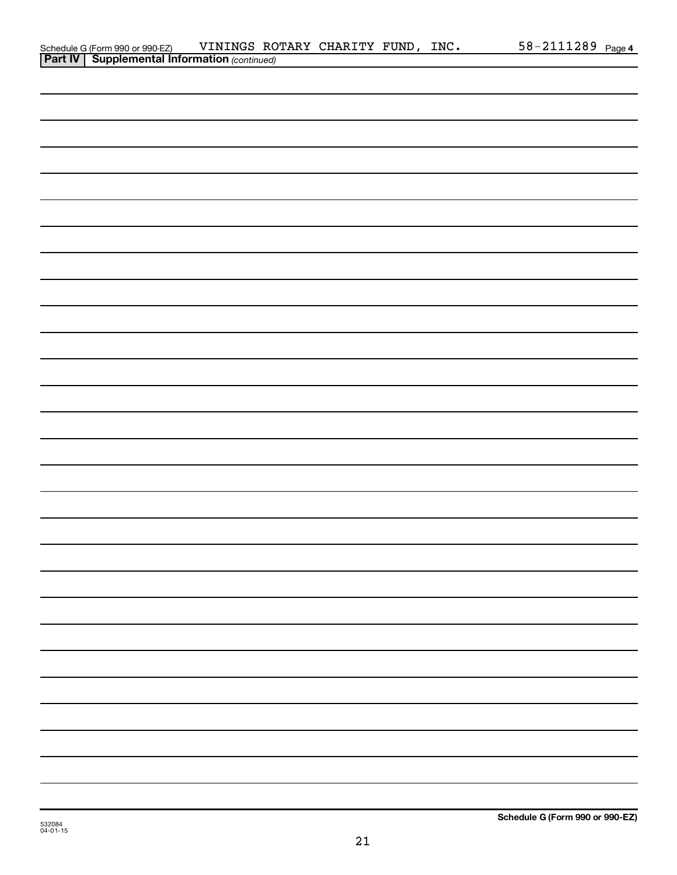| Schedule G (Form 990 or 990-EZ) VININGS RO<br><b>Part IV   Supplemental Information</b> (continued) | VININGS ROTARY CHARITY FUND, INC. |  |  | 58-2111289 Page 4 |  |
|-----------------------------------------------------------------------------------------------------|-----------------------------------|--|--|-------------------|--|
|                                                                                                     |                                   |  |  |                   |  |
|                                                                                                     |                                   |  |  |                   |  |
|                                                                                                     |                                   |  |  |                   |  |
|                                                                                                     |                                   |  |  |                   |  |
|                                                                                                     |                                   |  |  |                   |  |
|                                                                                                     |                                   |  |  |                   |  |
|                                                                                                     |                                   |  |  |                   |  |
|                                                                                                     |                                   |  |  |                   |  |
|                                                                                                     |                                   |  |  |                   |  |
|                                                                                                     |                                   |  |  |                   |  |
|                                                                                                     |                                   |  |  |                   |  |
|                                                                                                     |                                   |  |  |                   |  |
|                                                                                                     |                                   |  |  |                   |  |
|                                                                                                     |                                   |  |  |                   |  |
|                                                                                                     |                                   |  |  |                   |  |
|                                                                                                     |                                   |  |  |                   |  |
|                                                                                                     |                                   |  |  |                   |  |
|                                                                                                     |                                   |  |  |                   |  |
|                                                                                                     |                                   |  |  |                   |  |
|                                                                                                     |                                   |  |  |                   |  |
|                                                                                                     |                                   |  |  |                   |  |
|                                                                                                     |                                   |  |  |                   |  |
|                                                                                                     |                                   |  |  |                   |  |
|                                                                                                     |                                   |  |  |                   |  |
|                                                                                                     |                                   |  |  |                   |  |
|                                                                                                     |                                   |  |  |                   |  |
|                                                                                                     |                                   |  |  |                   |  |
|                                                                                                     |                                   |  |  |                   |  |
|                                                                                                     |                                   |  |  |                   |  |
|                                                                                                     |                                   |  |  |                   |  |
|                                                                                                     |                                   |  |  |                   |  |
|                                                                                                     |                                   |  |  |                   |  |
|                                                                                                     |                                   |  |  |                   |  |
|                                                                                                     |                                   |  |  |                   |  |
|                                                                                                     |                                   |  |  |                   |  |
|                                                                                                     |                                   |  |  |                   |  |
|                                                                                                     |                                   |  |  |                   |  |
|                                                                                                     |                                   |  |  |                   |  |
|                                                                                                     |                                   |  |  |                   |  |
|                                                                                                     |                                   |  |  |                   |  |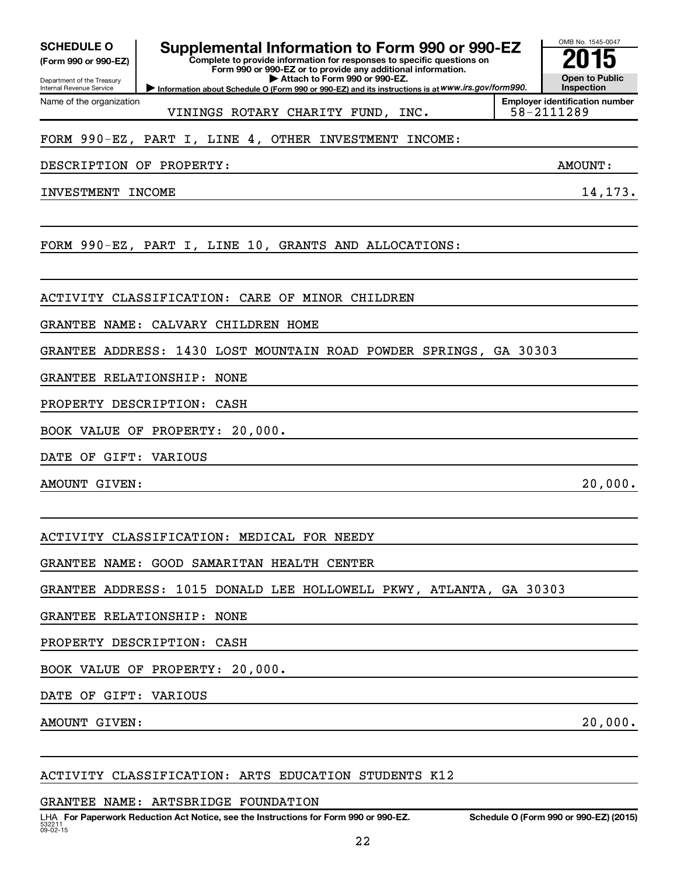Department of the Treasury Internal Revenue Service Name of the organization

# SCHEDULE O **Supplemental Information to Form 990 or 990-EZ** 2015<br>(Form 990 or 990-EZ) Complete to provide information for responses to specific questions on

**Complete to provide information for responses to specific questions on Form 990 or 990-EZ or to provide any additional information. | Attach to Form 990 or 990-EZ.**

**Information about Schedule O (Form 990 or 990-EZ) and its instructions is at WWW.irs.gov/form990.** 

VININGS ROTARY CHARITY FUND, INC.  $\vert$  58-2111289

### FORM 990-EZ, PART I, LINE 4, OTHER INVESTMENT INCOME:

DESCRIPTION OF PROPERTY: AMOUNT:

INVESTMENT INCOME 14, 173.

FORM 990-EZ, PART I, LINE 10, GRANTS AND ALLOCATIONS:

ACTIVITY CLASSIFICATION: CARE OF MINOR CHILDREN

GRANTEE NAME: CALVARY CHILDREN HOME

GRANTEE ADDRESS: 1430 LOST MOUNTAIN ROAD POWDER SPRINGS, GA 30303

GRANTEE RELATIONSHIP: NONE

PROPERTY DESCRIPTION: CASH

BOOK VALUE OF PROPERTY: 20,000.

DATE OF GIFT: VARIOUS

AMOUNT GIVEN:  $20,000$ .

ACTIVITY CLASSIFICATION: MEDICAL FOR NEEDY

GRANTEE NAME: GOOD SAMARITAN HEALTH CENTER

GRANTEE ADDRESS: 1015 DONALD LEE HOLLOWELL PKWY, ATLANTA, GA 30303

GRANTEE RELATIONSHIP: NONE

PROPERTY DESCRIPTION: CASH

BOOK VALUE OF PROPERTY: 20,000.

DATE OF GIFT: VARIOUS

AMOUNT GIVEN: 20,000.

ACTIVITY CLASSIFICATION: ARTS EDUCATION STUDENTS K12

GRANTEE NAME: ARTSBRIDGE FOUNDATION

OMB No. 1545-0047

**Open to Public Inspection Employer identification number**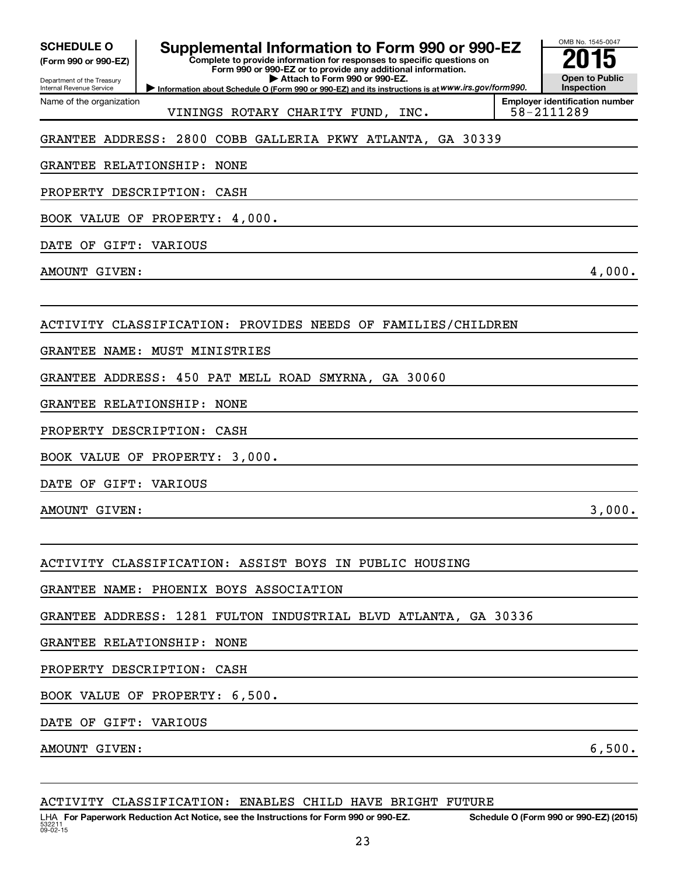| Department of the Treasury |  |
|----------------------------|--|
| Internal Revenue Service   |  |

## **Supplemental Information to Form 990 or 990-EZ**<br>Complete to provide information for responses to specific questions on

**Complete to provide information for responses to specific questions on Form 990 or 990-EZ or to provide any additional information. | Attach to Form 990 or 990-EZ.**

**Information about Schedule O (Form 990 or 990-EZ) and its instructions is at WWW.irs.gov/form990.** 



Name of the organization VININGS ROTARY CHARITY FUND, INC.  $\vert$  58-2111289

**Employer identification number**

### GRANTEE ADDRESS: 2800 COBB GALLERIA PKWY ATLANTA, GA 30339

GRANTEE RELATIONSHIP: NONE

PROPERTY DESCRIPTION: CASH

BOOK VALUE OF PROPERTY: 4,000.

DATE OF GIFT: VARIOUS

AMOUNT GIVEN: 4,000.

ACTIVITY CLASSIFICATION: PROVIDES NEEDS OF FAMILIES/CHILDREN

GRANTEE NAME: MUST MINISTRIES

GRANTEE ADDRESS: 450 PAT MELL ROAD SMYRNA, GA 30060

GRANTEE RELATIONSHIP: NONE

PROPERTY DESCRIPTION: CASH

BOOK VALUE OF PROPERTY: 3,000.

DATE OF GIFT: VARIOUS

AMOUNT GIVEN: 3,000.

ACTIVITY CLASSIFICATION: ASSIST BOYS IN PUBLIC HOUSING

GRANTEE NAME: PHOENIX BOYS ASSOCIATION

GRANTEE ADDRESS: 1281 FULTON INDUSTRIAL BLVD ATLANTA, GA 30336

GRANTEE RELATIONSHIP: NONE

PROPERTY DESCRIPTION: CASH

BOOK VALUE OF PROPERTY: 6,500.

DATE OF GIFT: VARIOUS

AMOUNT GIVEN: 6,500.

|  | ACTIVITY CLASSIFICATION: ENABLES CHILD HAVE BRIGHT FUTURE |  |  |  |  |  |
|--|-----------------------------------------------------------|--|--|--|--|--|
|--|-----------------------------------------------------------|--|--|--|--|--|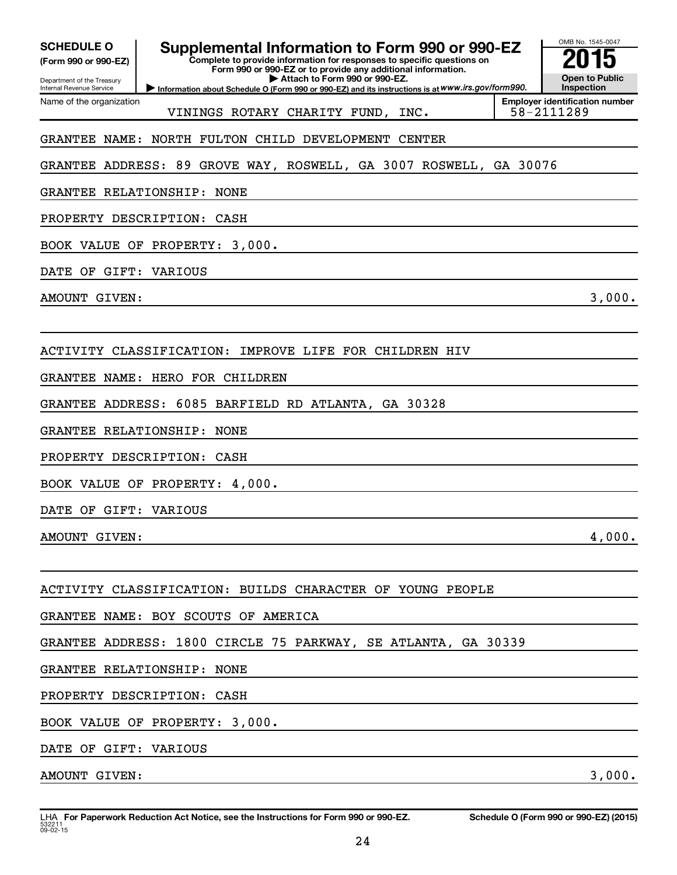| <b>SCHEDULE O</b> |  |
|-------------------|--|
|                   |  |

Department of the Treasury Internal Revenue Service Name of the organization

## **Supplemental Information to Form 990 or 990-EZ**<br>Complete to provide information for responses to specific questions on

**Complete to provide information for responses to specific questions on Form 990 or 990-EZ or to provide any additional information. | Attach to Form 990 or 990-EZ.**

**Information about Schedule O (Form 990 or 990-EZ) and its instructions is at WWW.irs.gov/form990.** 



VININGS ROTARY CHARITY FUND, INC.  $\vert$  58-2111289

**Employer identification number**

### GRANTEE NAME: NORTH FULTON CHILD DEVELOPMENT CENTER

GRANTEE ADDRESS: 89 GROVE WAY, ROSWELL, GA 3007 ROSWELL, GA 30076

GRANTEE RELATIONSHIP: NONE

PROPERTY DESCRIPTION: CASH

BOOK VALUE OF PROPERTY: 3,000.

DATE OF GIFT: VARIOUS

AMOUNT GIVEN: 3,000.

ACTIVITY CLASSIFICATION: IMPROVE LIFE FOR CHILDREN HIV

GRANTEE NAME: HERO FOR CHILDREN

GRANTEE ADDRESS: 6085 BARFIELD RD ATLANTA, GA 30328

GRANTEE RELATIONSHIP: NONE

PROPERTY DESCRIPTION: CASH

BOOK VALUE OF PROPERTY: 4,000.

DATE OF GIFT: VARIOUS

AMOUNT GIVEN: 4,000.

ACTIVITY CLASSIFICATION: BUILDS CHARACTER OF YOUNG PEOPLE

GRANTEE NAME: BOY SCOUTS OF AMERICA

GRANTEE ADDRESS: 1800 CIRCLE 75 PARKWAY, SE ATLANTA, GA 30339

GRANTEE RELATIONSHIP: NONE

PROPERTY DESCRIPTION: CASH

BOOK VALUE OF PROPERTY: 3,000.

DATE OF GIFT: VARIOUS

AMOUNT GIVEN: 3,000.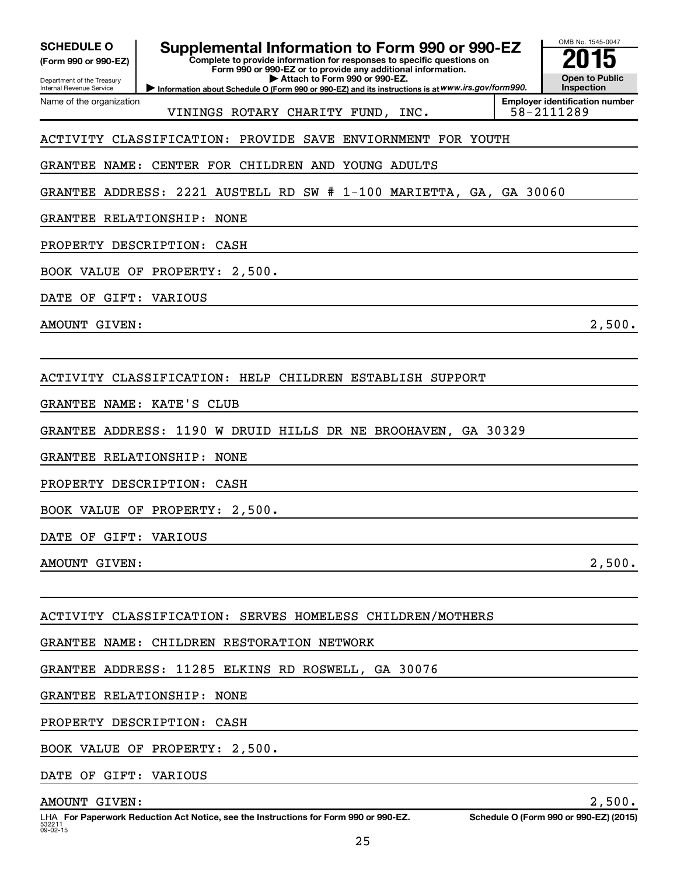| <b>SCHEDULE O</b><br>(Form 990 or 990-EZ)<br>Department of the Treasury | Supplemental Information to Form 990 or 990-EZ<br>Complete to provide information for responses to specific questions on<br>Form 990 or 990-EZ or to provide any additional information.<br>Attach to Form 990 or 990-EZ. | OMB No. 1545-0047<br><b>Open to Public</b><br><b>Inspection</b> |
|-------------------------------------------------------------------------|---------------------------------------------------------------------------------------------------------------------------------------------------------------------------------------------------------------------------|-----------------------------------------------------------------|
| Internal Revenue Service<br>Name of the organization                    | Information about Schedule O (Form 990 or 990-EZ) and its instructions is at WWW.irs.gov/form990.                                                                                                                         | <b>Employer identification number</b>                           |
|                                                                         | VININGS ROTARY CHARITY FUND, INC.                                                                                                                                                                                         | 58-2111289                                                      |
| ACTIVITY CLASSIFICATION:                                                | PROVIDE SAVE<br>ENVIORNMENT FOR YOUTH                                                                                                                                                                                     |                                                                 |
| <b>GRANTEE</b><br>NAME :                                                | CENTER FOR CHILDREN AND YOUNG ADULTS                                                                                                                                                                                      |                                                                 |
| <b>GRANTEE</b><br>ADDRESS:                                              | 2221 AUSTELL RD SW # 1-100 MARIETTA, GA, GA 30060                                                                                                                                                                         |                                                                 |
| GRANTEE RELATIONSHIP:                                                   | NONE                                                                                                                                                                                                                      |                                                                 |
| PROPERTY DESCRIPTION:                                                   | CASH                                                                                                                                                                                                                      |                                                                 |
|                                                                         | BOOK VALUE OF PROPERTY: 2,500.                                                                                                                                                                                            |                                                                 |
| DATE<br>OF                                                              | GIFT: VARIOUS                                                                                                                                                                                                             |                                                                 |
| AMOUNT GIVEN:                                                           |                                                                                                                                                                                                                           | 2,500.                                                          |
|                                                                         |                                                                                                                                                                                                                           |                                                                 |
|                                                                         | ACTIVITY CLASSIFICATION: HELP CHILDREN ESTABLISH SUPPORT                                                                                                                                                                  |                                                                 |
| <b>GRANTEE</b>                                                          | NAME: KATE'S<br>CLUB                                                                                                                                                                                                      |                                                                 |
| <b>GRANTEE</b><br>ADDRESS:                                              | 1190 W DRUID HILLS DR NE BROOHAVEN, GA 30329                                                                                                                                                                              |                                                                 |
| GRANTEE RELATIONSHIP:                                                   | NONE                                                                                                                                                                                                                      |                                                                 |
| PROPERTY DESCRIPTION:                                                   | CASH                                                                                                                                                                                                                      |                                                                 |
|                                                                         | BOOK VALUE OF PROPERTY: 2,500.                                                                                                                                                                                            |                                                                 |
| DATE OF GIFT: VARIOUS                                                   |                                                                                                                                                                                                                           |                                                                 |
| AMOUNT GIVEN:                                                           |                                                                                                                                                                                                                           | 2,500.                                                          |
|                                                                         |                                                                                                                                                                                                                           |                                                                 |
|                                                                         | ACTIVITY CLASSIFICATION: SERVES HOMELESS CHILDREN/MOTHERS                                                                                                                                                                 |                                                                 |
|                                                                         | GRANTEE NAME: CHILDREN RESTORATION NETWORK                                                                                                                                                                                |                                                                 |
|                                                                         | GRANTEE ADDRESS: 11285 ELKINS RD ROSWELL, GA 30076                                                                                                                                                                        |                                                                 |
|                                                                         | GRANTEE RELATIONSHIP: NONE                                                                                                                                                                                                |                                                                 |
|                                                                         | PROPERTY DESCRIPTION: CASH                                                                                                                                                                                                |                                                                 |
|                                                                         | BOOK VALUE OF PROPERTY: 2,500.                                                                                                                                                                                            |                                                                 |
| DATE OF GIFT: VARIOUS                                                   |                                                                                                                                                                                                                           |                                                                 |
| AMOUNT GIVEN:                                                           |                                                                                                                                                                                                                           | 2,500.                                                          |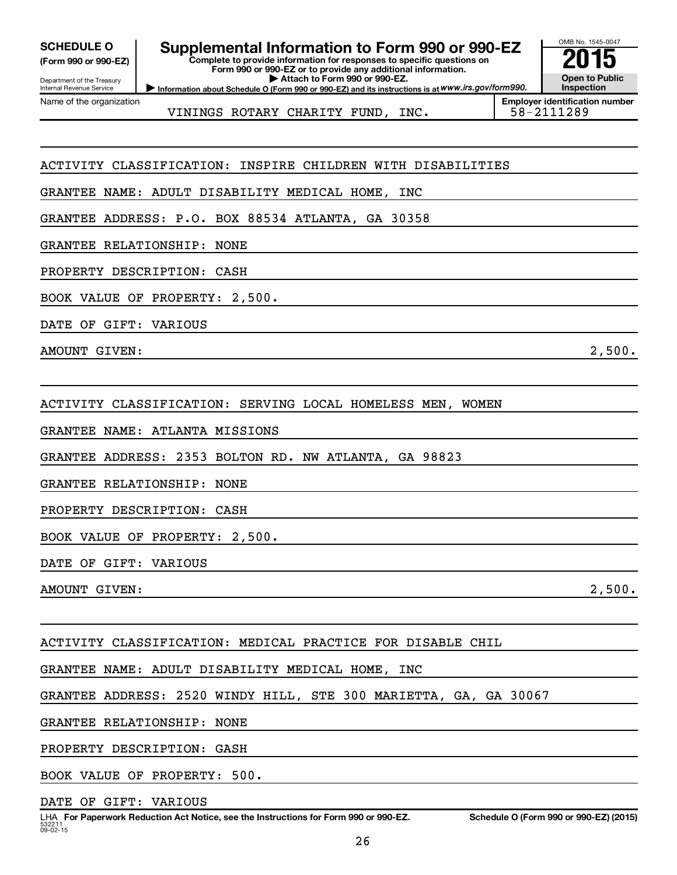Department of the Treasury Internal Revenue Service Name of the organization

## **SCHEDULE O Supplemental Information to Form 990 or 990-EZ 2015**

**Complete to provide information for responses to specific questions on Form 990 or 990-EZ or to provide any additional information. | Attach to Form 990 or 990-EZ.**



OMB No. 1545-0047 **Open to Public Inspection**

VININGS ROTARY CHARITY FUND, INC.  $\vert$  58-2111289

**Employer identification number**

### ACTIVITY CLASSIFICATION: INSPIRE CHILDREN WITH DISABILITIES

GRANTEE NAME: ADULT DISABILITY MEDICAL HOME, INC

GRANTEE ADDRESS: P.O. BOX 88534 ATLANTA, GA 30358

GRANTEE RELATIONSHIP: NONE

PROPERTY DESCRIPTION: CASH

BOOK VALUE OF PROPERTY: 2,500.

DATE OF GIFT: VARIOUS

AMOUNT GIVEN: 2,500.

ACTIVITY CLASSIFICATION: SERVING LOCAL HOMELESS MEN, WOMEN

GRANTEE NAME: ATLANTA MISSIONS

GRANTEE ADDRESS: 2353 BOLTON RD. NW ATLANTA, GA 98823

GRANTEE RELATIONSHIP: NONE

PROPERTY DESCRIPTION: CASH

BOOK VALUE OF PROPERTY: 2,500.

DATE OF GIFT: VARIOUS

AMOUNT GIVEN:  $2,500$ .

ACTIVITY CLASSIFICATION: MEDICAL PRACTICE FOR DISABLE CHIL

GRANTEE NAME: ADULT DISABILITY MEDICAL HOME, INC

GRANTEE ADDRESS: 2520 WINDY HILL, STE 300 MARIETTA, GA, GA 30067

GRANTEE RELATIONSHIP: NONE

PROPERTY DESCRIPTION: GASH

BOOK VALUE OF PROPERTY: 500.

DATE OF GIFT: VARIOUS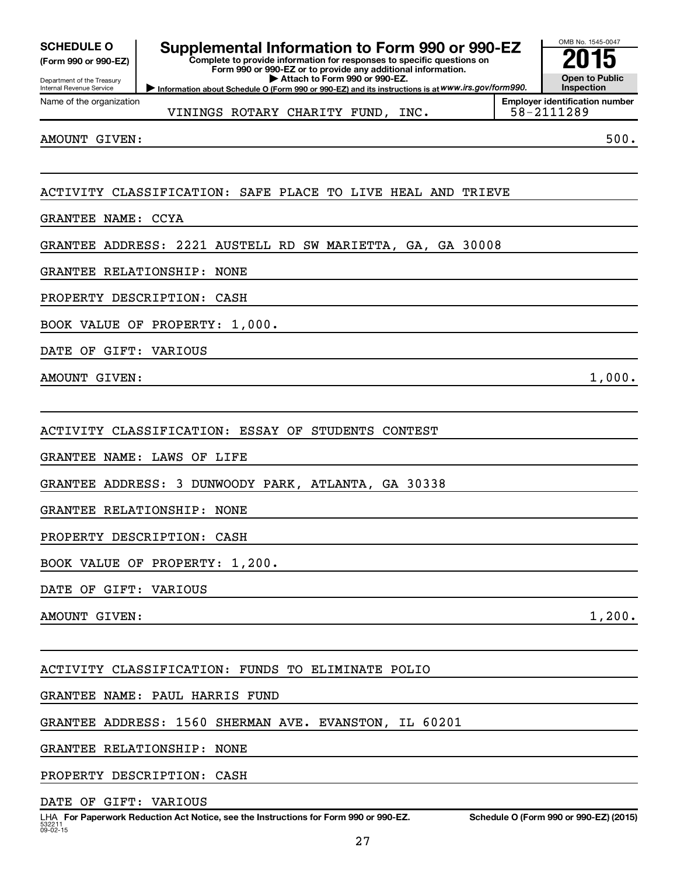| <b>SCHEDULE O</b>    |  |  |
|----------------------|--|--|
| (Form 990 or 990-EZ) |  |  |

Department of the Treasury Internal Revenue Service

## **Supplemental Information to Form 990 or 990-EZ**<br>Complete to provide information for response to specific questions on

**Complete to provide information for responses to specific questions on Form 990 or 990-EZ or to provide any additional information. | Attach to Form 990 or 990-EZ.**

**Information about Schedule O (Form 990 or 990-EZ) and its instructions is at WWW.irs.gov/form990.** 

VININGS ROTARY CHARITY FUND, INC.  $\vert$  58-2111289

OMB No. 1545-0047

**Open to Public Inspection Employer identification number**

AMOUNT GIVEN: 500.

Name of the organization

### ACTIVITY CLASSIFICATION: SAFE PLACE TO LIVE HEAL AND TRIEVE

GRANTEE NAME: CCYA

GRANTEE ADDRESS: 2221 AUSTELL RD SW MARIETTA, GA, GA 30008

GRANTEE RELATIONSHIP: NONE

PROPERTY DESCRIPTION: CASH

BOOK VALUE OF PROPERTY: 1,000.

DATE OF GIFT: VARIOUS

AMOUNT GIVEN: 1,000.

ACTIVITY CLASSIFICATION: ESSAY OF STUDENTS CONTEST

GRANTEE NAME: LAWS OF LIFE

GRANTEE ADDRESS: 3 DUNWOODY PARK, ATLANTA, GA 30338

GRANTEE RELATIONSHIP: NONE

PROPERTY DESCRIPTION: CASH

BOOK VALUE OF PROPERTY: 1,200.

DATE OF GIFT: VARIOUS

AMOUNT GIVEN: 1,200.

ACTIVITY CLASSIFICATION: FUNDS TO ELIMINATE POLIO

GRANTEE NAME: PAUL HARRIS FUND

GRANTEE ADDRESS: 1560 SHERMAN AVE. EVANSTON, IL 60201

GRANTEE RELATIONSHIP: NONE

PROPERTY DESCRIPTION: CASH

DATE OF GIFT: VARIOUS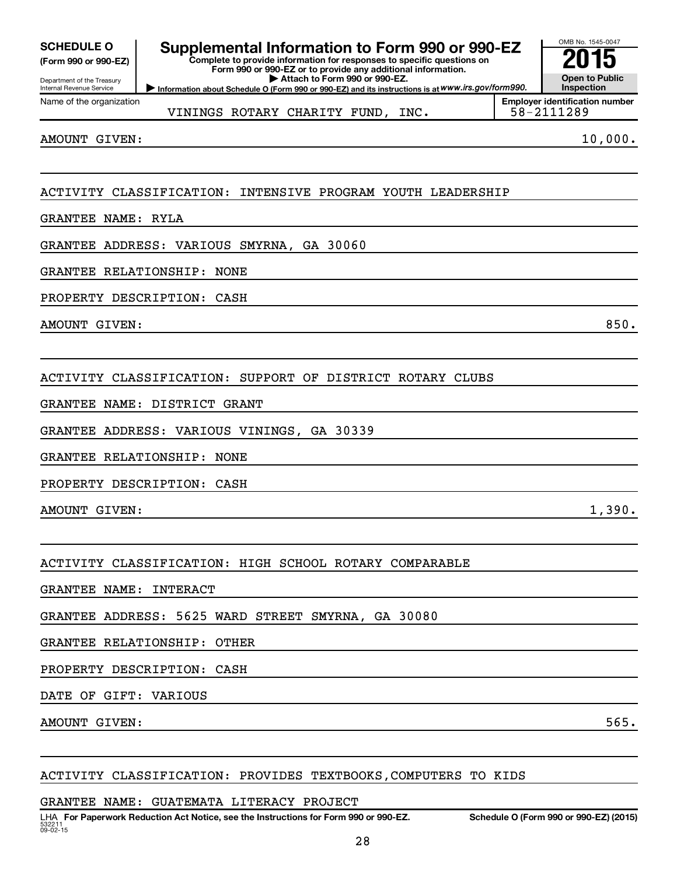| <b>SCHEDULE O</b> |  |
|-------------------|--|
|                   |  |

#### Department of the Treasury Internal Revenue Service

Name of the organization

## **Supplemental Information to Form 990 or 990-EZ**<br>Complete to provide information for responses to specific questions on

**Complete to provide information for responses to specific questions on Form 990 or 990-EZ or to provide any additional information. | Attach to Form 990 or 990-EZ.**



VININGS ROTARY CHARITY FUND, INC.

AMOUNT GIVEN: 10,000.

### ACTIVITY CLASSIFICATION: INTENSIVE PROGRAM YOUTH LEADERSHIP

#### GRANTEE NAME: RYLA

GRANTEE ADDRESS: VARIOUS SMYRNA, GA 30060

#### GRANTEE RELATIONSHIP: NONE

PROPERTY DESCRIPTION: CASH

AMOUNT GIVEN: 850.

ACTIVITY CLASSIFICATION: SUPPORT OF DISTRICT ROTARY CLUBS

GRANTEE NAME: DISTRICT GRANT

GRANTEE ADDRESS: VARIOUS VININGS, GA 30339

GRANTEE RELATIONSHIP: NONE

PROPERTY DESCRIPTION: CASH

AMOUNT GIVEN: 1,390.

#### ACTIVITY CLASSIFICATION: HIGH SCHOOL ROTARY COMPARABLE

GRANTEE NAME: INTERACT

GRANTEE ADDRESS: 5625 WARD STREET SMYRNA, GA 30080

GRANTEE RELATIONSHIP: OTHER

PROPERTY DESCRIPTION: CASH

DATE OF GIFT: VARIOUS

AMOUNT GIVEN: 565.

#### ACTIVITY CLASSIFICATION: PROVIDES TEXTBOOKS,COMPUTERS TO KIDS

GRANTEE NAME: GUATEMATA LITERACY PROJECT

OMB No. 1545-0047 **Open to Public Inspection**

**Employer identification number**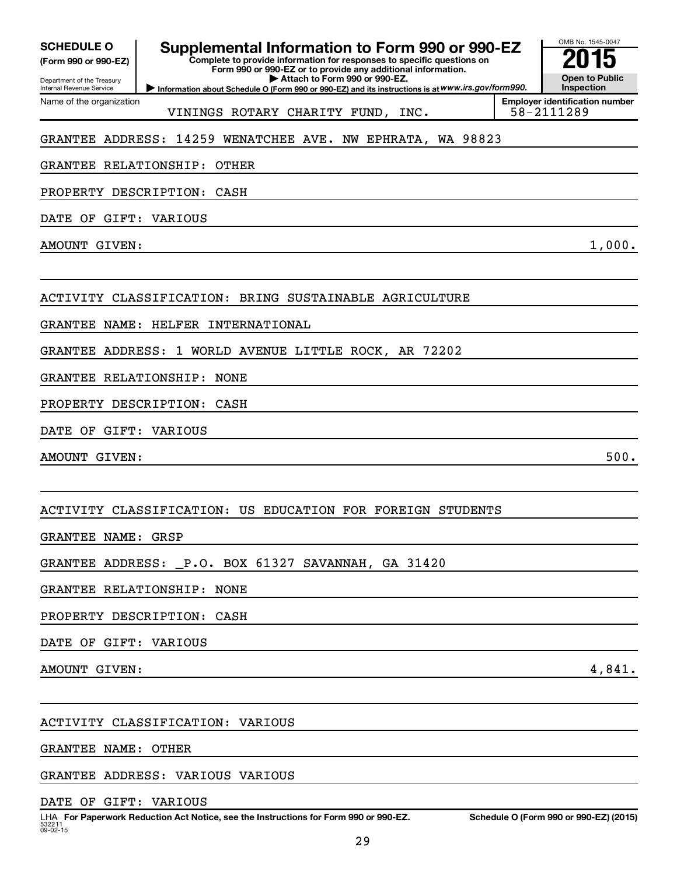Department of the Treasury Internal Revenue Service Name of the organization

## **Supplemental Information to Form 990 or 990-EZ**<br>Complete to provide information for responses to specific questions on

**Complete to provide information for responses to specific questions on Form 990 or 990-EZ or to provide any additional information. | Attach to Form 990 or 990-EZ.**

**Information about Schedule O (Form 990 or 990-EZ) and its instructions is at WWW.irs.gov/form990.** 

OMB No. 1545-0047 **Open to Public Inspection**

VININGS ROTARY CHARITY FUND, INC.  $\vert$  58-2111289

**Employer identification number**

### GRANTEE ADDRESS: 14259 WENATCHEE AVE. NW EPHRATA, WA 98823

GRANTEE RELATIONSHIP: OTHER

PROPERTY DESCRIPTION: CASH

DATE OF GIFT: VARIOUS

AMOUNT GIVEN: 1,000.

ACTIVITY CLASSIFICATION: BRING SUSTAINABLE AGRICULTURE

GRANTEE NAME: HELFER INTERNATIONAL

GRANTEE ADDRESS: 1 WORLD AVENUE LITTLE ROCK, AR 72202

GRANTEE RELATIONSHIP: NONE

PROPERTY DESCRIPTION: CASH

DATE OF GIFT: VARIOUS

AMOUNT GIVEN: 500.

ACTIVITY CLASSIFICATION: US EDUCATION FOR FOREIGN STUDENTS

GRANTEE NAME: GRSP

GRANTEE ADDRESS: \_P.O. BOX 61327 SAVANNAH, GA 31420

GRANTEE RELATIONSHIP: NONE

PROPERTY DESCRIPTION: CASH

DATE OF GIFT: VARIOUS

AMOUNT GIVEN: 4,841.

ACTIVITY CLASSIFICATION: VARIOUS

GRANTEE NAME: OTHER

GRANTEE ADDRESS: VARIOUS VARIOUS

DATE OF GIFT: VARIOUS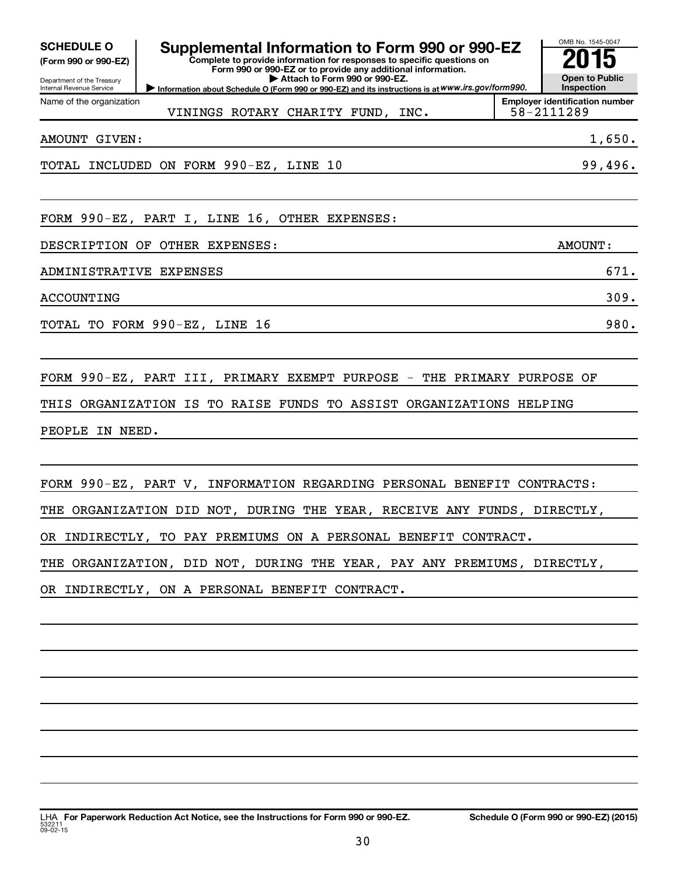| <b>SCHEDULE O</b><br>(Form 990 or 990-EZ)<br>Department of the Treasury<br>Internal Revenue Service                                                                                                                                                                                            | Supplemental Information to Form 990 or 990-EZ<br>Complete to provide information for responses to specific questions on<br>Form 990 or 990-EZ or to provide any additional information.<br>Attach to Form 990 or 990-EZ.<br>Information about Schedule O (Form 990 or 990-EZ) and its instructions is at WWW.irs.gov/form990. |  | OMB No. 1545-0047<br><b>Open to Public</b><br>Inspection |  |  |
|------------------------------------------------------------------------------------------------------------------------------------------------------------------------------------------------------------------------------------------------------------------------------------------------|--------------------------------------------------------------------------------------------------------------------------------------------------------------------------------------------------------------------------------------------------------------------------------------------------------------------------------|--|----------------------------------------------------------|--|--|
| Name of the organization                                                                                                                                                                                                                                                                       | VININGS ROTARY CHARITY FUND, INC.                                                                                                                                                                                                                                                                                              |  | <b>Employer identification number</b><br>58-2111289      |  |  |
| AMOUNT GIVEN:                                                                                                                                                                                                                                                                                  |                                                                                                                                                                                                                                                                                                                                |  | 1,650.                                                   |  |  |
|                                                                                                                                                                                                                                                                                                | TOTAL INCLUDED ON FORM 990-EZ, LINE 10                                                                                                                                                                                                                                                                                         |  | 99,496.                                                  |  |  |
|                                                                                                                                                                                                                                                                                                | FORM 990-EZ, PART I, LINE 16, OTHER EXPENSES:                                                                                                                                                                                                                                                                                  |  |                                                          |  |  |
| DESCRIPTION OF OTHER EXPENSES:<br>AMOUNT:                                                                                                                                                                                                                                                      |                                                                                                                                                                                                                                                                                                                                |  |                                                          |  |  |
| ADMINISTRATIVE EXPENSES                                                                                                                                                                                                                                                                        |                                                                                                                                                                                                                                                                                                                                |  | 671.                                                     |  |  |
| ACCOUNTING                                                                                                                                                                                                                                                                                     |                                                                                                                                                                                                                                                                                                                                |  | 309.                                                     |  |  |
|                                                                                                                                                                                                                                                                                                | TOTAL TO FORM 990-EZ, LINE 16                                                                                                                                                                                                                                                                                                  |  | 980.                                                     |  |  |
| FORM 990-EZ, PART III, PRIMARY EXEMPT PURPOSE - THE PRIMARY PURPOSE OF<br>ORGANIZATION IS TO RAISE FUNDS TO ASSIST ORGANIZATIONS HELPING<br>THIS<br>PEOPLE IN NEED.                                                                                                                            |                                                                                                                                                                                                                                                                                                                                |  |                                                          |  |  |
| FORM 990-EZ, PART V, INFORMATION REGARDING PERSONAL BENEFIT CONTRACTS:<br>THE ORGANIZATION DID NOT, DURING THE YEAR, RECEIVE ANY FUNDS, DIRECTLY,<br>OR INDIRECTLY, TO PAY PREMIUMS ON A PERSONAL BENEFIT CONTRACT.<br>THE ORGANIZATION, DID NOT, DURING THE YEAR, PAY ANY PREMIUMS, DIRECTLY, |                                                                                                                                                                                                                                                                                                                                |  |                                                          |  |  |
|                                                                                                                                                                                                                                                                                                | OR INDIRECTLY, ON A PERSONAL BENEFIT CONTRACT.                                                                                                                                                                                                                                                                                 |  |                                                          |  |  |
|                                                                                                                                                                                                                                                                                                |                                                                                                                                                                                                                                                                                                                                |  |                                                          |  |  |